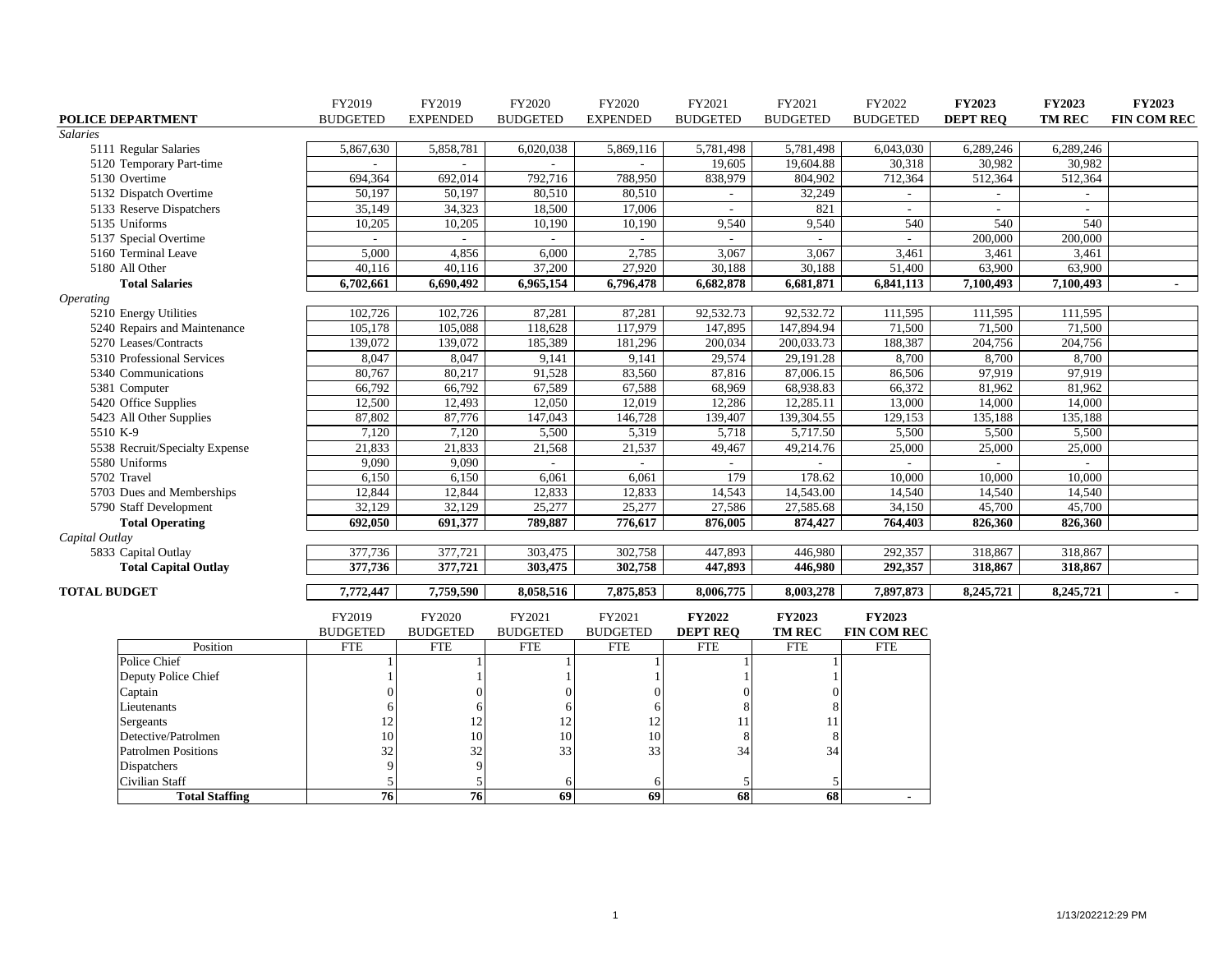|                                | FY2019          | FY2019          | FY2020          | FY2020          | FY2021                   | FY2021          | FY2022          | <b>FY2023</b>   | FY2023        | <b>FY2023</b>      |
|--------------------------------|-----------------|-----------------|-----------------|-----------------|--------------------------|-----------------|-----------------|-----------------|---------------|--------------------|
| POLICE DEPARTMENT              | <b>BUDGETED</b> | <b>EXPENDED</b> | <b>BUDGETED</b> | <b>EXPENDED</b> | <b>BUDGETED</b>          | <b>BUDGETED</b> | <b>BUDGETED</b> | <b>DEPT REQ</b> | <b>TM REC</b> | <b>FIN COM REC</b> |
| <b>Salaries</b>                |                 |                 |                 |                 |                          |                 |                 |                 |               |                    |
| 5111 Regular Salaries          | 5,867,630       | 5,858,781       | 6,020,038       | 5,869,116       | 5,781,498                | 5,781,498       | 6,043,030       | 6,289,246       | 6,289,246     |                    |
| 5120 Temporary Part-time       |                 |                 |                 |                 | 19,605                   | 19,604.88       | 30,318          | 30,982          | 30,982        |                    |
| 5130 Overtime                  | 694,364         | 692,014         | 792,716         | 788,950         | 838,979                  | 804,902         | 712,364         | 512,364         | 512,364       |                    |
| 5132 Dispatch Overtime         | 50,197          | 50,197          | 80,510          | 80,510          | $\overline{\phantom{a}}$ | 32,249          | $\frac{1}{2}$   |                 |               |                    |
| 5133 Reserve Dispatchers       | 35,149          | 34,323          | 18,500          | 17,006          |                          | 821             |                 |                 |               |                    |
| 5135 Uniforms                  | 10,205          | 10,205          | 10,190          | 10,190          | 9,540                    | 9,540           | 540             | 540             | 540           |                    |
| 5137 Special Overtime          | $\sim$          | $\sim$          | $\sim$          | $\sim$          | $\sim$                   | $\sim$          | $\sim$          | 200,000         | 200,000       |                    |
| 5160 Terminal Leave            | 5,000           | 4,856           | 6,000           | 2,785           | 3,067                    | 3,067           | 3,461           | 3,461           | 3,461         |                    |
| 5180 All Other                 | 40,116          | 40,116          | 37,200          | 27,920          | 30,188                   | 30,188          | 51,400          | 63,900          | 63,900        |                    |
| <b>Total Salaries</b>          | 6,702,661       | 6,690,492       | 6,965,154       | 6,796,478       | 6,682,878                | 6,681,871       | 6,841,113       | 7,100,493       | 7,100,493     | $\sim$             |
| <i><b>Operating</b></i>        |                 |                 |                 |                 |                          |                 |                 |                 |               |                    |
| 5210 Energy Utilities          | 102,726         | 102,726         | 87,281          | 87,281          | 92,532.73                | 92,532.72       | 111,595         | 111,595         | 111,595       |                    |
| 5240 Repairs and Maintenance   | 105.178         | 105,088         | 118,628         | 117,979         | 147,895                  | 147,894.94      | 71,500          | 71,500          | 71,500        |                    |
| 5270 Leases/Contracts          | 139,072         | 139,072         | 185,389         | 181,296         | 200,034                  | 200,033.73      | 188,387         | 204,756         | 204,756       |                    |
| 5310 Professional Services     | 8,047           | 8,047           | 9,141           | 9,141           | 29,574                   | 29,191.28       | 8,700           | 8,700           | 8,700         |                    |
| 5340 Communications            | 80,767          | 80,217          | 91,528          | 83,560          | 87,816                   | 87,006.15       | 86,506          | 97,919          | 97,919        |                    |
| 5381 Computer                  | 66,792          | 66,792          | 67,589          | 67,588          | 68,969                   | 68,938.83       | 66,372          | 81,962          | 81,962        |                    |
| 5420 Office Supplies           | 12,500          | 12,493          | 12,050          | 12,019          | 12,286                   | 12,285.11       | 13,000          | 14,000          | 14,000        |                    |
| 5423 All Other Supplies        | 87,802          | 87,776          | 147,043         | 146,728         | 139,407                  | 139,304.55      | 129,153         | 135,188         | 135,188       |                    |
| 5510 K-9                       | 7,120           | 7,120           | 5,500           | 5,319           | 5,718                    | 5,717.50        | 5,500           | 5,500           | 5,500         |                    |
| 5538 Recruit/Specialty Expense | 21,833          | 21,833          | 21,568          | 21,537          | 49,467                   | 49,214.76       | 25,000          | 25,000          | 25,000        |                    |
| 5580 Uniforms                  | 9,090           | 9,090           |                 |                 |                          |                 |                 |                 |               |                    |
| 5702 Travel                    | 6,150           | 6,150           | 6,061           | 6,061           | 179                      | 178.62          | 10,000          | 10,000          | 10,000        |                    |
| 5703 Dues and Memberships      | 12,844          | 12,844          | 12,833          | 12,833          | 14,543                   | 14,543.00       | 14,540          | 14,540          | 14,540        |                    |
| 5790 Staff Development         | 32,129          | 32,129          | 25,277          | 25,277          | 27,586                   | 27,585.68       | 34,150          | 45,700          | 45,700        |                    |
| <b>Total Operating</b>         | 692,050         | 691,377         | 789,887         | 776,617         | 876,005                  | 874,427         | 764,403         | 826,360         | 826,360       |                    |
| Capital Outlay                 |                 |                 |                 |                 |                          |                 |                 |                 |               |                    |
| 5833 Capital Outlay            | 377,736         | 377,721         | 303,475         | 302,758         | 447,893                  | 446,980         | 292,357         | 318,867         | 318,867       |                    |
| <b>Total Capital Outlay</b>    | 377,736         | 377,721         | 303,475         | 302,758         | 447,893                  | 446,980         | 292,357         | 318,867         | 318,867       |                    |
| <b>TOTAL BUDGET</b>            | 7,772,447       | 7,759,590       | 8,058,516       | 7,875,853       | 8,006,775                | 8,003,278       | 7,897,873       | 8,245,721       | 8,245,721     | $\sim$             |
|                                | FY2019          | FY2020          | FY2021          | FY2021          | <b>FY2022</b>            | <b>FY2023</b>   | <b>FY2023</b>   |                 |               |                    |
|                                | <b>BUDGETED</b> | <b>BUDGETED</b> | <b>BUDGETED</b> | <b>BUDGETED</b> | <b>DEPT REO</b>          | <b>TM REC</b>   | FIN COM REC     |                 |               |                    |
| Position                       | <b>FTE</b>      | <b>FTE</b>      | <b>FTE</b>      | <b>FTE</b>      | <b>FTE</b>               | <b>FTE</b>      | <b>FTE</b>      |                 |               |                    |
| Police Chief                   |                 |                 |                 |                 |                          |                 |                 |                 |               |                    |
| Deputy Police Chief            |                 |                 |                 |                 |                          |                 |                 |                 |               |                    |
| Captain                        |                 | $\Omega$        |                 |                 |                          |                 |                 |                 |               |                    |
| Lieutenants                    |                 | 6               | 6               |                 |                          |                 |                 |                 |               |                    |
| Sergeants                      | 12              | 12              | 12              | 12              | 11                       | 11              |                 |                 |               |                    |
| Detective/Patrolmen            | 10              | 10              | 10              | 10              | 8                        | 8               |                 |                 |               |                    |
| <b>Patrolmen Positions</b>     | 32              | 32              | 33              | 33              | 34                       | 34              |                 |                 |               |                    |
| Dispatchers                    | 9               | $\mathbf Q$     |                 |                 |                          |                 |                 |                 |               |                    |
| Civilian Staff                 |                 |                 | -6              | 6               | 5                        |                 |                 |                 |               |                    |
| <b>Total Staffing</b>          | 76              | 76              | 69              | 69              | 68                       | 68              | $\blacksquare$  |                 |               |                    |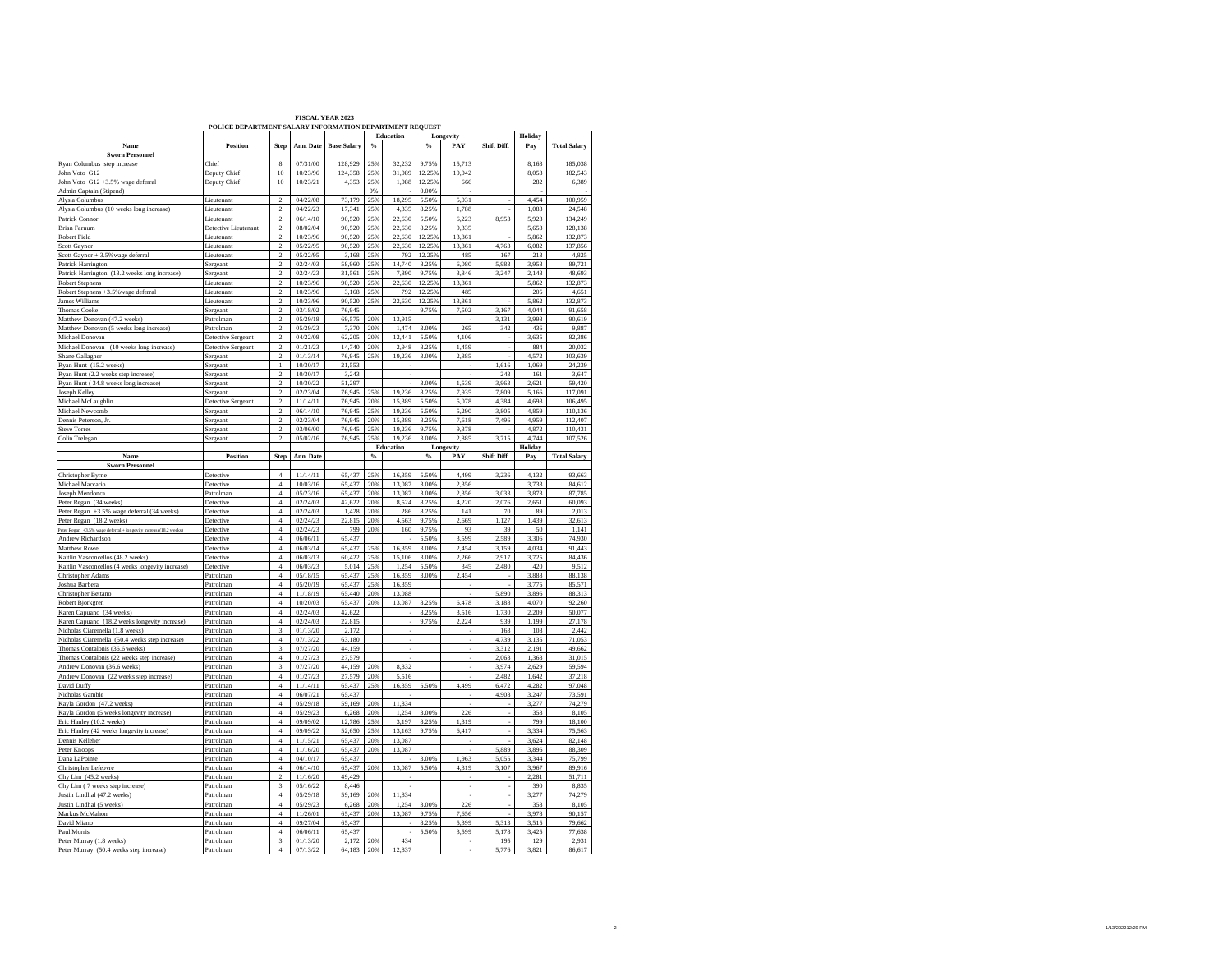| <b>FISCAL YEAR 2023</b>                                 |  |
|---------------------------------------------------------|--|
| POLICE DEPARTMENT SALARY INFORMATION DEPARTMENT REOUEST |  |

|                                                                                   | <b>OLIGE DEL ART</b> |                         |           |                    |               | <br>Education |               | Longevity |             | Holiday |                     |
|-----------------------------------------------------------------------------------|----------------------|-------------------------|-----------|--------------------|---------------|---------------|---------------|-----------|-------------|---------|---------------------|
| Name                                                                              | Position             | Step                    | Ann. Date | <b>Base Salary</b> | $\%$          |               | $\%$          | PAY       | Shift Diff. |         | <b>Total Salary</b> |
|                                                                                   |                      |                         |           |                    |               |               |               |           |             | Pay     |                     |
| <b>Sworn Personnel</b>                                                            |                      |                         |           |                    |               |               |               |           |             |         |                     |
| Ryan Columbus step increase                                                       | Chief                | 8                       | 07/31/00  | 128,929            | 25%           | 32,232        | 9.75%         | 15,713    |             | 8.163   | 185,038             |
| John Voto G12                                                                     | Deputy Chief         | 10                      | 10/23/96  | 124,358            | 25%           | 31,089        | 12.25%        | 19,042    |             | 8,053   | 182,543             |
| John Voto G12 +3.5% wage deferral                                                 | Deputy Chief         | 10                      | 10/23/21  | 4,353              | 25%           |               | 1,088 12.25%  | 666       |             | 282     | 6,389               |
| Admin Captain (Stipend)<br>Alysia Columbus                                        |                      |                         |           |                    | 0%            |               | 0.00%         |           |             |         |                     |
|                                                                                   | Lieutenant           | $\overline{2}$          | 04/22/08  | 73.179             | 25%           | 18,295        | 5.50%         | 5.031     |             | 4.454   | 100,959             |
| Alysia Columbus (10 weeks long increase)                                          | Lieutenant           | $\overline{a}$          | 04/22/23  | 17,341             | 25%           | 4,335         | 8.25%         | 1,788     |             | 1,083   | 24,548              |
| Patrick Connor                                                                    | Lieutenant           | $\overline{2}$          | 06/14/10  | 90,520             | 25%           | 22,630        | 5.50%         | 6,223     | 8,953       | 5,923   | 134,249             |
| <b>Brian Farnum</b>                                                               | Detective Lieutenan  | $\overline{a}$          | 08/02/04  | 90,520             | 25%           | 22,630        | 8.25%         | 9,335     |             | 5,653   | 128,138             |
| Robert Field                                                                      | Lieutenant           | $\overline{2}$          | 10/23/96  | 90,520             | 25%           | 22.630        | 12.25%        | 13,861    |             | 5,862   | 132,873             |
| Scott Gaynor                                                                      | Lieutenant           | $\mathfrak{D}$          | 05/22/95  | 90,520             | 25%           | 22,630        | 12.25%        | 13,861    | 4,763       | 6,082   | 137,856             |
|                                                                                   | Lieutenant           | $\,2$                   | 05/22/95  | 3,168              | 25%           | 792           | 12.25%        | 485       | 167         | 213     | 4,825               |
| Scott Gaynor + 3.5% wage deferral<br>Patrick Harrington                           | Sergeant             | $\,2$                   | 02/24/03  | 58,960             | 25%           | 14,740        | 8.25%         | 6.080     | 5,983       | 3,958   | 89,721              |
|                                                                                   |                      | $\overline{a}$          | 02/24/23  |                    | 25%           | 7,890         | 9.75%         | 3,846     |             |         |                     |
| Patrick Harrington (18.2 weeks long increase)                                     | Sergeant             |                         |           | 31,561             |               |               |               |           | 3,247       | 2,148   | 48,693              |
| Robert Stephens                                                                   | Lieutenant           | $\overline{2}$          | 10/23/96  | 90,520             | 25%           | 22,630        | 12.25%        | 13,861    |             | 5,862   | 132,873             |
| Robert Stephens +3.5% wage deferral                                               | Lieutenant           | $\mathfrak{D}$          | 10/23/96  | 3.168              | 25%           | 792           | 12.25%        | 485       |             | 205     | 4,651               |
| James Williams                                                                    | Lieutenant           | $\,2$                   | 10/23/96  | 90,520             | 25%           | 22,630        | 12.25%        | 13,861    |             | 5,862   | 132,873             |
| <b>Thomas Cooke</b>                                                               | Sergeant             | $\mathcal{L}$           | 03/18/02  | 76,945             |               |               | 9.75%         | 7,502     | 3,167       | 4,044   | 91,658              |
| Matthew Donovan (47.2 weeks)                                                      | Patrolman            | $\overline{c}$          | 05/29/18  | 69,575             | 20%           | 13,915        |               |           | 3,131       | 3,998   | 90,619              |
| Matthew Donovan (5 weeks long increase)                                           | Patrolman            | $\,2\,$                 | 05/29/23  | 7,370              | 20%           | 1,474         | 3.00%         | 265       | 342         | 436     | 9,887               |
| Michael Donovan                                                                   | Detective Sergeant   | $\overline{2}$          | 04/22/08  | 62,205             | 20%           | 12,441        | 5.50%         | 4,106     |             | 3,635   | 82,386              |
| Michael Donovan (10 weeks long increase)                                          | Detective Sergeant   | $\sqrt{2}$              | 01/21/23  | 14,740             | 20%           | 2,948         | 8.25%         | 1,459     |             | 884     | 20,032              |
| Shane Gallagher                                                                   | Sergeant             | <sup>2</sup>            | 01/13/14  | 76,945             | 25%           | 19,236        | 3.00%         | 2,885     |             | 4.572   | 103,639             |
| Ryan Hunt (15.2 weeks)                                                            | Sergeant             | $\mathbf{1}$            | 10/30/17  | 21,553             |               |               |               |           | 1,616       | 1,069   | 24,239              |
| Ryan Hunt (2.2 weeks step increase)                                               | Sergeant             | $\overline{2}$          | 10/30/17  | 3,243              |               |               |               |           | 243         | 161     | 3,647               |
| Ryan Hunt (34.8 weeks long increase)                                              | Sergean              | $\overline{2}$          | 10/30/22  | 51,297             |               |               | 3.00%         | 1,539     | 3,963       | 2,621   | 59,420              |
|                                                                                   |                      |                         |           |                    | 25%           |               | 8.25%         | 7,935     |             |         | 117,091             |
| Joseph Kelley                                                                     | Sergeant             | $\overline{2}$          | 02/23/04  | 76,945             |               | 19,236        |               |           | 7,809       | 5,166   |                     |
| Michael McLaughlin                                                                | Detective Sergeant   | $\overline{2}$          | 11/14/11  | 76,945             | 20%           | 15.389        | 5.50%         | 5.078     | 4.384       | 4.698   | 106 495             |
| Michael Newcomb                                                                   | Sergeant             | $\overline{c}$          | 06/14/10  | 76,945             | 25%           | 19,236        | 5.50%         | 5,290     | 3,805       | 4,859   | 110,136             |
| Dennis Peterson, Jr.                                                              | Sergeant             | $\,2\,$                 | 02/23/04  | 76,945             | 20%           | 15,389        | 8.25%         | 7,618     | 7,496       | 4,959   | 112,407             |
| <b>Steve Torres</b>                                                               | Sergeant             | $\overline{c}$          | 03/06/00  | 76,945             | 25%           | 19,236        | 9.75%         | 9,378     |             | 4,872   | 110,431             |
| Colin Trelegan                                                                    | Sergeant             | $\overline{c}$          | 05/02/16  | 76,945             | 25%           | 19.236        | 3.00%         | 2,885     | 3,715       | 4.744   | 107,526             |
|                                                                                   |                      |                         |           |                    |               | Education     |               | Longevity |             | Holiday |                     |
| Name                                                                              | <b>Position</b>      | Step                    | Ann. Date |                    | $\frac{0}{2}$ |               | $\frac{6}{9}$ | PAY       | Shift Diff. | Pay     | <b>Total Salary</b> |
| <b>Sworn Personnel</b>                                                            |                      |                         |           |                    |               |               |               |           |             |         |                     |
| Christopher Byrne                                                                 | Detective            | $\overline{4}$          | 11/14/11  | 65.437             | 25%           | 16359         | 5.50%         | 4.499     | 3.236       | 4,132   | 93,663              |
| Michael Maccario                                                                  | Detective            | $\overline{4}$          | 10/03/16  | 65,437             | 20%           | 13,087        | 3.00%         | 2,356     |             | 3,733   | 84,612              |
| Joseph Mendonca                                                                   | Patrolman            | $\sqrt{4}$              | 05/23/16  | 65,437             | 20%           | 13,087        | 3.00%         | 2,356     | 3,033       | 3,873   | 87,785              |
| Peter Regan (34 weeks)                                                            | Detective            | $\,4$                   | 02/24/03  | 42,622             | 20%           | 8,524         | 8.25%         | 4,220     | 2,076       | 2,651   | 60,093              |
| Peter Regan +3.5% wage deferral (34 weeks)                                        | Detective            | $\overline{4}$          | 02/24/03  |                    | 20%           | 286           | 8.25%         | 141       | $70\,$      | 89      | 2,013               |
|                                                                                   |                      | $\overline{4}$          | 02/24/23  | 1,428              | 20%           |               |               |           |             | 1,439   |                     |
| Peter Regan (18.2 weeks)                                                          | Detective            | $\overline{4}$          |           | 22,815             |               | 4,563         | 9.75%         | 2,669     | 1,127<br>39 | 50      | 32,613              |
| Peter Regan +3.5% wage deferral + longevity increase(18.2 weeks)                  | Detective            |                         | 02/24/23  | 799                | 20%           | 160           | 9.75%         | 93        |             |         | 1,141               |
| Andrew Richardson                                                                 | Detective            | $\overline{4}$          | 06/06/11  | 65,437             |               |               | 5.50%         | 3,599     | 2,589       | 3,306   | 74,930              |
| Matthew Rowe                                                                      | Detective            | $\boldsymbol{4}$        | 06/03/14  | 65,437             | 25%           | 16,359        | 3.00%         | 2,454     | 3,159       | 4,034   | 91,443              |
| Kaitlin Vasconcellos (48.2 weeks)                                                 | Detective            | $\overline{4}$          | 06/03/13  | 60.422             | 25%           | 15.106        | 3.00%         | 2,266     | 2.917       | 3.725   | 84,436              |
| Kaitlin Vasconcellos (4 weeks longevity increase)                                 | Detective            | $\sqrt{4}$              | 06/03/23  | 5,014              | 25%           | 1,254         | 5.50%         | 345       | 2,480       | 420     | 9,512               |
| Christopher Adams                                                                 | Patrolman            | $\overline{4}$          | 05/18/15  | 65,437             | 25%           | 16,359        | 3.00%         | 2,454     |             | 3,888   | 88,138              |
| Joshua Barbera                                                                    | Patrolman            | $\overline{4}$          | 05/20/19  | 65,437             | 25%           | 16,359        |               |           |             | 3,775   | 85,571              |
| Christopher Bettano                                                               | Patrolman            | $\overline{4}$          | 11/18/19  | 65,440             | 20%           | 13,088        |               |           | 5,890       | 3,896   | 88,313              |
| Robert Bjorkgren                                                                  | Patrolman            | $\overline{4}$          | 10/20/03  | 65.437             | 20%           | 13,087        | 8.25%         | 6.478     | 3.188       | 4.070   | 92.260              |
| Karen Capuano (34 weeks)                                                          | Patrolman            | $\overline{4}$          | 02/24/03  | 42,622             |               |               | 8.25%         | 3,516     | 1,730       | 2.209   | 50,077              |
| Karen Capuano (18.2 weeks longevity increase)                                     | Patrolman            | $\sqrt{4}$              | 02/24/03  | 22,815             |               |               | 9.75%         | 2,224     | 939         | 1,199   | 27,178              |
|                                                                                   | Patrolman            | $\overline{3}$          | 01/13/20  | 2,172              |               |               |               |           | 163         | 108     | 2,442               |
| Nicholas Ciaremella (1.8 weeks)<br>Nicholas Ciaremella (50.4 weeks step increase) | Patrolman            | $\overline{4}$          | 07/13/22  | 63.180             |               |               |               |           | 4.739       | 3,135   | 71,053              |
| Thomas Contalonis (36.6 weeks)                                                    | Patrolman            | $\overline{\mathbf{3}}$ | 07/27/20  | 44,159             |               |               |               |           | 3,312       | 2,191   | 49,662              |
|                                                                                   |                      |                         |           |                    |               |               |               |           |             |         |                     |
| Thomas Contalonis (22 weeks step increase)                                        | Patrolman            | $\overline{4}$          | 01/27/23  | 27,579             |               |               |               |           | 2,068       | 1,368   | 31,015              |
| Andrew Donovan (36.6 weeks)                                                       | Patrolman            | $\mathbf{3}$            | 07/27/20  | 44,159             | 20%           | 8,832         |               |           | 3,974       | 2,629   | 59,594              |
| Andrew Donovan (22 weeks step increase)                                           | Patrolman            | $\overline{4}$          | 01/27/23  | 27,579             | 20%           | 5,516         |               |           | 2,482       | 1,642   | 37,218              |
| David Duffy                                                                       | Patrolman            | $\overline{4}$          | 11/14/11  | 65,437             | 25%           | 16,359        | 5.50%         | 4,499     | 6,472       | 4,282   | 97,048              |
| Nicholas Gamble                                                                   | Patrolman            | $\overline{4}$          | 06/07/21  | 65,437             |               |               |               |           | 4,908       | 3,247   | 73,591              |
| Kayla Gordon (47.2 weeks)                                                         | Patrolman            | $\boldsymbol{4}$        | 05/29/18  | 59,169             | 20%           | 11,834        |               |           |             | 3,277   | 74,279              |
| Kayla Gordon (5 weeks longevity increase)                                         | Patrolman            | $\overline{4}$          | 05/29/23  | 6,268              | 20%           | 1,254         | 3.00%         | 226       |             | 358     | 8,105               |
| Eric Hanley (10.2 weeks)                                                          | Patrolman            | $\overline{4}$          | 09/09/02  | 12,786             | 25%           | 3.197         | 8.25%         | 1,319     |             | 799     | 18,100              |
| Eric Hanley (42 weeks longevity increase)                                         | Patrolman            | $\overline{4}$          | 09/09/22  | 52,650             | 25%           | 13,163        | 9.75%         | 6,417     |             | 3,334   | 75,563              |
| Dennis Kelleher                                                                   | Patrolman            | $\sqrt{4}$              | 11/15/21  | 65,437             | 20%           | 13,087        |               |           |             | 3,624   | 82,148              |
| Peter Knoops                                                                      | Patrolman            | $\,4$                   | 11/16/20  | 65,437             | 20%           | 13,087        |               |           | 5,889       | 3,896   | 88,309              |
| Dana LaPointe                                                                     | Patrolman            | $\overline{4}$          | 04/10/17  | 65,437             |               |               | 3.00%         | 1.963     | 5.055       | 3.344   | 75.799              |
|                                                                                   |                      | $\overline{4}$          | 06/14/10  |                    |               |               |               | 4,319     |             | 3,967   |                     |
| Christopher Lefebvre                                                              | Patrolman            |                         |           | 65,437             | 20%           | 13,087        | 5.50%         |           | 3,107       |         | 89,916              |
| Chy Lim (45.2 weeks)                                                              | Patrolman            | $\overline{2}$          | 11/16/20  | 49,429             |               |               |               |           |             | 2,281   | 51,711              |
| Chy Lim (7 weeks step increase)                                                   | Patrolmar            | $\overline{\mathbf{3}}$ | 05/16/22  | 8,446              |               |               |               |           |             | 390     | 8,835               |
| Justin Lindhal (47.2 weeks)                                                       | Patrolman            | $\overline{4}$          | 05/29/18  | 59,169             | 20%           | 11,834        |               |           |             | 3,277   | 74,279              |
| Justin Lindhal (5 weeks)                                                          | Patrolman            | $\overline{4}$          | 05/29/23  | 6.268              | 20%           | 1.254         | 3.00%         | 226       |             | 358     | 8.105               |
| Markus McMahon                                                                    | Patrolman            | $\overline{4}$          | 11/26/01  | 65,437             | 20%           | 13,087        | 9.75%         | 7,656     |             | 3,978   | 90,157              |
| David Miano                                                                       | Patrolman            | $\,4\,$                 | 09/27/04  | 65,437             |               |               | 8.25%         | 5,399     | 5,313       | 3,515   | 79,662              |
| Paul Morris                                                                       | Patrolman            | $\overline{4}$          | 06/06/11  | 65,437             |               |               | 5.50%         | 3,599     | 5,178       | 3,425   | 77,638              |
| Peter Murray (1.8 weeks)                                                          | Patrolman            | $\overline{3}$          | 01/13/20  | 2.172              | 20%           | 434           |               |           | 195         | 129     | 2.931               |
| Peter Murray (50.4 weeks step increase)                                           | Patrolman            | $\overline{4}$          | 07/13/22  | 64,183             | 20%           | 12.837        |               |           | 5,776       | 3,821   | 86,617              |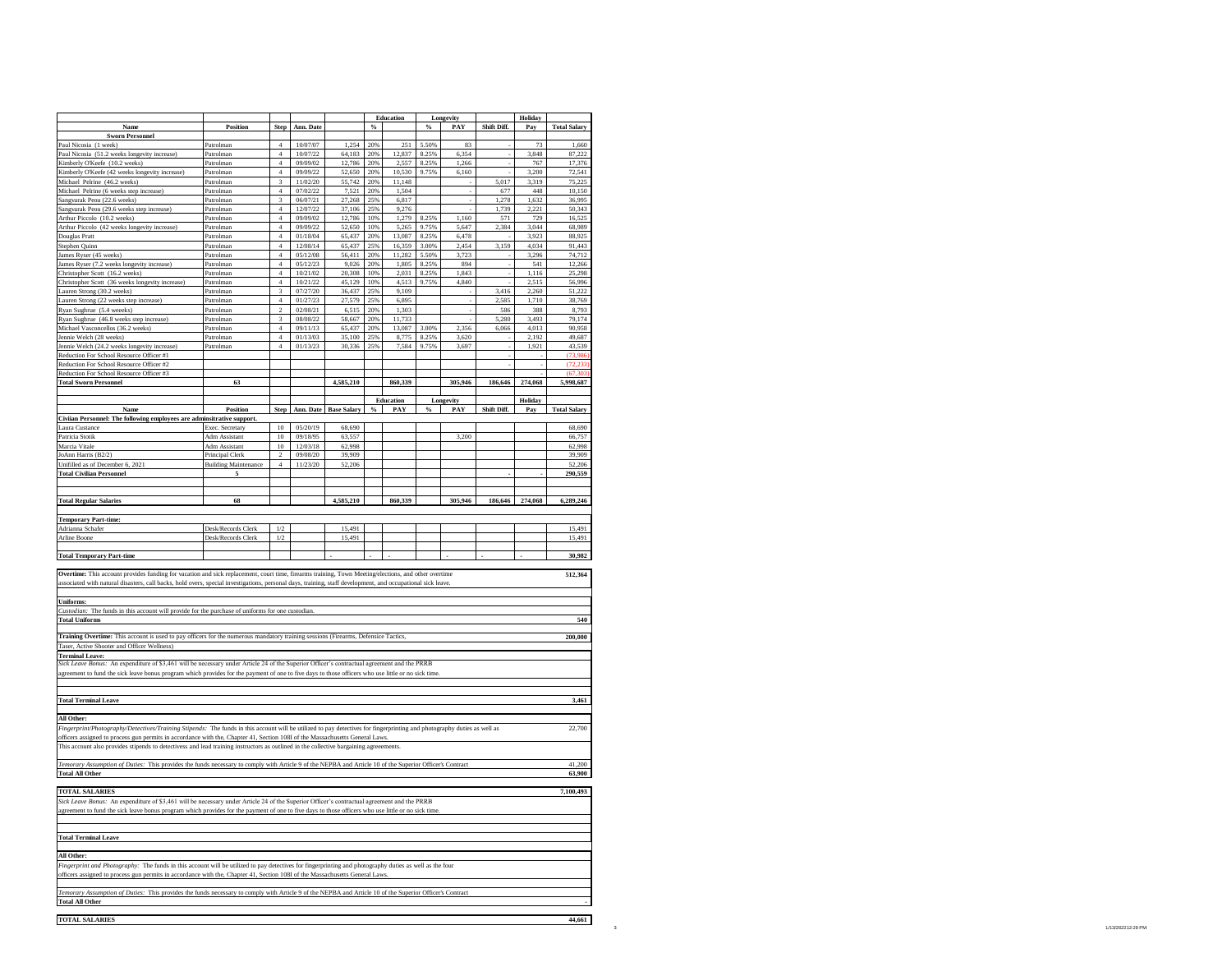|                                                                                                                                                                                    |                                  |                      |                      |                            |            | <b>Education</b> |       | Longevity |                | Holiday        |                     |
|------------------------------------------------------------------------------------------------------------------------------------------------------------------------------------|----------------------------------|----------------------|----------------------|----------------------------|------------|------------------|-------|-----------|----------------|----------------|---------------------|
| Name                                                                                                                                                                               | Position                         | <b>Step</b>          | Ann. Date            |                            | $\%$       |                  | $\%$  | PAY       | Shift Diff.    | Pay            | <b>Total Salary</b> |
| <b>Sworn Personnel</b>                                                                                                                                                             |                                  |                      |                      |                            |            |                  |       |           |                |                |                     |
| Paul Nicosia (1 week)                                                                                                                                                              | Patrolman                        | $\overline{4}$       | 10/07/07             | 1.254                      | 20%        | 251              | 5.50% | 83        |                | 73             | 1.660               |
| Paul Nicosia (51.2 weeks longevity increase)                                                                                                                                       | Patrolman                        | $\,4\,$              | 10/07/22             | 64,183                     | 20%        | 12,837           | 8.25% | 6,354     |                | 3.848          | 87,222              |
| Kimberly O'Keefe (10.2 weeks)                                                                                                                                                      | Patrolman                        | $\overline{4}$       | 09/09/02             | 12,786                     | 20%        | 557              | 8.25% | 1,266     |                | 767            | 17,376              |
| Kimberly O'Keefe (42 weeks longevity increase)                                                                                                                                     | Patrolman                        | $\overline{4}$       | 09/09/22             | 52,650                     | 20%        | 10,530           | 9.75% | 6,160     |                | 3,200          | 72,541              |
| Michael Pelrine (46.2 weeks)                                                                                                                                                       | Patrolman                        | 3<br>$\overline{4}$  | 11/02/20<br>07/02/22 | 55,742                     | 20%<br>20% | 11,148<br>1.504  |       |           | 5,017<br>677   | 3,319<br>448   | 75,225<br>10.150    |
| Michael Pelrine (6 weeks step increase)                                                                                                                                            | Patrolman                        | $\overline{3}$       |                      | 7,521                      |            |                  |       |           |                |                |                     |
| Sangvarak Peou (22.6 weeks)                                                                                                                                                        | Patrolman<br>Patrolman           | $\ddot{4}$           | 06/07/21<br>12/07/22 | 27,268<br>37,106           | 25%<br>25% | 6,817<br>9,276   |       |           | 1,278<br>1,739 | 1,632<br>2,221 | 36,995<br>50,343    |
| Sangvarak Peou (29.6 weeks step increase)<br>Arthur Piccolo (10.2 weeks)                                                                                                           | Patrolman                        | 4                    | 09/09/02             | 12.786                     | 10%        | 1.279            | 8.25% | 1.160     | 571            | 729            | 16.525              |
| Arthur Piccolo (42 weeks longevity increase)                                                                                                                                       | Patrolman                        | $\overline{4}$       | 09/09/22             | 52,650                     | 10%        | 5,265            | 9.75% | 5,647     | 2,384          | 3,044          | 68,989              |
| Douglas Pratt                                                                                                                                                                      | Patrolman                        | $\overline{4}$       | 01/18/04             | 65,437                     | 20%        | 13,087           | 8.25% | 6,478     |                | 3,923          | 88,925              |
| Stephen Quinn                                                                                                                                                                      | Patrolman                        | $\overline{4}$       | 12/08/14             | 65,437                     | 25%        | 16,359           | 3.00% | 2.454     | 3.159          | 4.034          | 91.443              |
| James Ryser (45 weeks)                                                                                                                                                             | Patrolman                        | $\sqrt{4}$           | 05/12/08             | 56,411                     | 20%        | 11,282           | 5.50% | 3,723     |                | 3,296          | 74,712              |
| James Ryser (7.2 weeks longevity increase)                                                                                                                                         | Patrolman                        | $\overline{4}$       | 05/12/23             | 9.026                      | 20%        | 1.805            | 8.25% | 894       |                | 541            | 12.266              |
| Christopher Scott (16.2 weeks)                                                                                                                                                     | Patrolman                        | $\overline{4}$       | 10/21/02             | 20,308                     | 10%        | 2,031            | 8.25% | 1,843     |                | 1.116          | 25,298              |
| Christopher Scott (36 weeks longevity increase)                                                                                                                                    | Patrolman                        | $\overline{4}$       | 10/21/22             | 45,129                     | 10%        | 4,513            | 9.75% | 4,840     |                | 2,515          | 56,996              |
| Lauren Strong (30.2 weeks)                                                                                                                                                         | Patrolman                        | $\mathbf{\hat{z}}$   | 07/27/20             | 36,437                     | 25%        | 9.109            |       |           | 3,416          | 2,260          | 51,222              |
| Lauren Strong (22 weeks step increase)                                                                                                                                             | Patrolman                        | $\overline{4}$       | 01/27/23             | 27,579                     | 25%        | 6,895            |       |           | 2,585          | 1,710          | 38,769              |
| Ryan Sughrue (5.4 weeks)                                                                                                                                                           | Patrolman                        | $\overline{c}$       | 02/08/21             | 6,515                      | 20%        | 1,303            |       |           | 586            | 388            | 8,793               |
| Ryan Sughrue (46.8 weeks step increase)                                                                                                                                            | Patrolman                        | $\overline{3}$       | 08/08/22             | 58,667                     | 20%        | 11.733           |       |           | 5.280          | 3.493          | 79,174              |
| Michael Vasconcellos (36.2 weeks)                                                                                                                                                  | Patrolman                        | $\overline{4}$       | 09/11/13             | 65,437                     | 20%        | 13,087           | 3.00% | 2,356     | 6,066          | 4,013          | 90,958              |
| Jennie Welch (28 weeks)                                                                                                                                                            | Patrolman                        |                      | 01/13/03             | 35,100                     | 25%        | 8,775            | 8.25% | 3,620     |                | 2,192          | 49,687              |
| Jennie Welch (24.2 weeks longevity increase)                                                                                                                                       | Patrolman                        | $\overline{4}$       | 01/13/23             | 30,336                     | 25%        | 7,584            | 9.75% | 3,697     |                | 1,921          | 43.539              |
| Reduction For School Resource Officer #1                                                                                                                                           |                                  |                      |                      |                            |            |                  |       |           |                |                | (73,986)            |
| Reduction For School Resource Officer #2                                                                                                                                           |                                  |                      |                      |                            |            |                  |       |           |                |                | σ                   |
| Reduction For School Resource Officer #3                                                                                                                                           |                                  |                      |                      |                            |            |                  |       |           |                |                | (67, 303)           |
| <b>Total Sworn Personnel</b>                                                                                                                                                       | 63                               |                      |                      | 4,585,210                  |            | 860,339          |       | 305,946   | 186,646        | 274,068        | 5,998,687           |
|                                                                                                                                                                                    |                                  |                      |                      |                            |            |                  |       |           |                |                |                     |
|                                                                                                                                                                                    |                                  |                      |                      |                            |            | <b>Education</b> |       | Longevity |                | Holiday        |                     |
| Name                                                                                                                                                                               | Position                         |                      |                      | Step Ann. Date Base Salary |            | $%$ PAY          | $\%$  | PAY       | Shift Diff.    | Pay            | <b>Total Salary</b> |
| Civiian Personnel: The following employees are adminsitrative support.                                                                                                             |                                  | 10                   | 05/20/19             |                            |            |                  |       |           |                |                |                     |
| Laura Custanc                                                                                                                                                                      | Exec. Secretary                  |                      |                      | 68.690                     |            |                  |       |           |                |                | 68,690              |
| Patricia Stotik                                                                                                                                                                    | Adm Assistant                    | $10\,$               | 09/18/95             | 63,557                     |            |                  |       | 3,200     |                |                | 66,757              |
| Marcia Vitale                                                                                                                                                                      | Adm Assistant                    | 10<br>$\mathfrak{D}$ | 12/03/18<br>09/08/20 | 62,998<br>39,909           |            |                  |       |           |                |                | 62,998<br>39,909    |
| JoAnn Harris (B2/2)                                                                                                                                                                | Principal Clerk                  | $\overline{4}$       |                      |                            |            |                  |       |           |                |                |                     |
| Unifilled as of December 6, 2021<br><b>Total Civilian Personnel</b>                                                                                                                | <b>Building Maintenance</b><br>5 |                      | 11/23/20             | 52,206                     |            |                  |       |           |                |                | 52,206<br>290,559   |
|                                                                                                                                                                                    |                                  |                      |                      |                            |            |                  |       |           |                |                |                     |
|                                                                                                                                                                                    |                                  |                      |                      |                            |            |                  |       |           |                |                |                     |
| <b>Total Regular Salaries</b>                                                                                                                                                      | 68                               |                      |                      | 4,585,210                  |            | 860,339          |       | 305,946   | 186,646        | 274,068        | 6,289,246           |
|                                                                                                                                                                                    |                                  |                      |                      |                            |            |                  |       |           |                |                |                     |
| <b>Temporary Part-time:</b>                                                                                                                                                        |                                  |                      |                      |                            |            |                  |       |           |                |                |                     |
| Adrianna Schafer                                                                                                                                                                   | Desk/Records Clerk               | 1/2                  |                      | 15.491                     |            |                  |       |           |                |                | 15.491              |
| <b>Arline Boone</b>                                                                                                                                                                | Desk/Records Clerk               | 1/2                  |                      | 15,491                     |            |                  |       |           |                |                | 15,491              |
|                                                                                                                                                                                    |                                  |                      |                      |                            |            |                  |       |           |                |                |                     |
| <b>Total Temporary Part-time</b>                                                                                                                                                   |                                  |                      |                      |                            |            |                  |       |           |                |                | 30,982              |
|                                                                                                                                                                                    |                                  |                      |                      |                            |            |                  |       |           |                |                |                     |
| Overtime: This account provides funding for vacation and sick replacement, court time, firearms training, Town Meeting/elections, and other overtime                               |                                  |                      |                      |                            |            |                  |       |           |                |                | 512,364             |
| associated with natural disasters, call backs, hold overs, special investigations, personal days, training, staff development, and occupational sick leave.                        |                                  |                      |                      |                            |            |                  |       |           |                |                |                     |
|                                                                                                                                                                                    |                                  |                      |                      |                            |            |                  |       |           |                |                |                     |
| Uniforms:                                                                                                                                                                          |                                  |                      |                      |                            |            |                  |       |           |                |                |                     |
| Custodian: The funds in this account will provide for the purchase of uniforms for one custodian                                                                                   |                                  |                      |                      |                            |            |                  |       |           |                |                |                     |
| <b>Total Uniform</b>                                                                                                                                                               |                                  |                      |                      |                            |            |                  |       |           |                |                |                     |
|                                                                                                                                                                                    |                                  |                      |                      |                            |            |                  |       |           |                |                | 540                 |
|                                                                                                                                                                                    |                                  |                      |                      |                            |            |                  |       |           |                |                |                     |
| Training Overtime: This account is used to pay officers for the numerous mandatory training sessions (Firearms, Defensice Tactics,                                                 |                                  |                      |                      |                            |            |                  |       |           |                |                | 200,000             |
| Active Shooter and Officer Wellness                                                                                                                                                |                                  |                      |                      |                            |            |                  |       |           |                |                |                     |
| <b>Terminal Leave:</b>                                                                                                                                                             |                                  |                      |                      |                            |            |                  |       |           |                |                |                     |
| Sick Leave Bonus: An expenditure of \$3,461 will be necessary under Article 24 of the Superior Officer's contractual agreement and the PRRB                                        |                                  |                      |                      |                            |            |                  |       |           |                |                |                     |
| agreement to fund the sick leave bonus program which provides for the payment of one to five days to those officers who use little or no sick tim                                  |                                  |                      |                      |                            |            |                  |       |           |                |                |                     |
|                                                                                                                                                                                    |                                  |                      |                      |                            |            |                  |       |           |                |                |                     |
|                                                                                                                                                                                    |                                  |                      |                      |                            |            |                  |       |           |                |                |                     |
| <b>Total Terminal Leave</b>                                                                                                                                                        |                                  |                      |                      |                            |            |                  |       |           |                |                | 3,461               |
|                                                                                                                                                                                    |                                  |                      |                      |                            |            |                  |       |           |                |                |                     |
| All Other:                                                                                                                                                                         |                                  |                      |                      |                            |            |                  |       |           |                |                |                     |
| Fingerprint/Photography/Detectives/Training Stipends: The funds in this account will be utilized to pay detectives for fingerprinting and photography duties as well as            |                                  |                      |                      |                            |            |                  |       |           |                |                | 22,700              |
| officers assigned to process gun permits in accordance with the, Chapter 41, Section 108I of the Massachusetts General Laws                                                        |                                  |                      |                      |                            |            |                  |       |           |                |                |                     |
| This account also provides stipends to detectivess and lead training instructors as outlined in the collective bargaining agreeements.                                             |                                  |                      |                      |                            |            |                  |       |           |                |                |                     |
|                                                                                                                                                                                    |                                  |                      |                      |                            |            |                  |       |           |                |                |                     |
| Temorary Assumption of Duties: This provides the funds necessary to comply with Article 9 of the NEPBA and Article 10 of the Superior Officer's Contract<br><b>Total All Other</b> |                                  |                      |                      |                            |            |                  |       |           |                |                | 41,200<br>63,900    |
|                                                                                                                                                                                    |                                  |                      |                      |                            |            |                  |       |           |                |                |                     |
| <b>TOTAL SALARIES</b>                                                                                                                                                              |                                  |                      |                      |                            |            |                  |       |           |                |                | 7,100,493           |
| Sick Leave Bonus: An expenditure of \$3,461 will be necessary under Article 24 of the Superior Officer's contractual agreement and the PRRB                                        |                                  |                      |                      |                            |            |                  |       |           |                |                |                     |
| agreement to fund the sick leave bonus program which provides for the payment of one to five days to those officers who use little or no sick time                                 |                                  |                      |                      |                            |            |                  |       |           |                |                |                     |
|                                                                                                                                                                                    |                                  |                      |                      |                            |            |                  |       |           |                |                |                     |
|                                                                                                                                                                                    |                                  |                      |                      |                            |            |                  |       |           |                |                |                     |
| <b>Total Terminal Leave</b>                                                                                                                                                        |                                  |                      |                      |                            |            |                  |       |           |                |                |                     |
|                                                                                                                                                                                    |                                  |                      |                      |                            |            |                  |       |           |                |                |                     |
| All Other:                                                                                                                                                                         |                                  |                      |                      |                            |            |                  |       |           |                |                |                     |
| Fingerprint and Photography: The funds in this account will be utilized to pay detectives for fingerprinting and photography duties as well as the four                            |                                  |                      |                      |                            |            |                  |       |           |                |                |                     |
| officers assigned to process gun permits in accordance with the, Chapter 41, Section 108I of the Massachusetts General Laws                                                        |                                  |                      |                      |                            |            |                  |       |           |                |                |                     |
|                                                                                                                                                                                    |                                  |                      |                      |                            |            |                  |       |           |                |                |                     |
| Temorary Assumption of Duties: This provides the funds necessary to comply with Article 9 of the NEPBA and Article 10 of the Superior Officer's Contract                           |                                  |                      |                      |                            |            |                  |       |           |                |                |                     |
| <b>Total All Other</b>                                                                                                                                                             |                                  |                      |                      |                            |            |                  |       |           |                |                |                     |
| <b>TOTAL SALARIES</b>                                                                                                                                                              |                                  |                      |                      |                            |            |                  |       |           |                |                | 44,661              |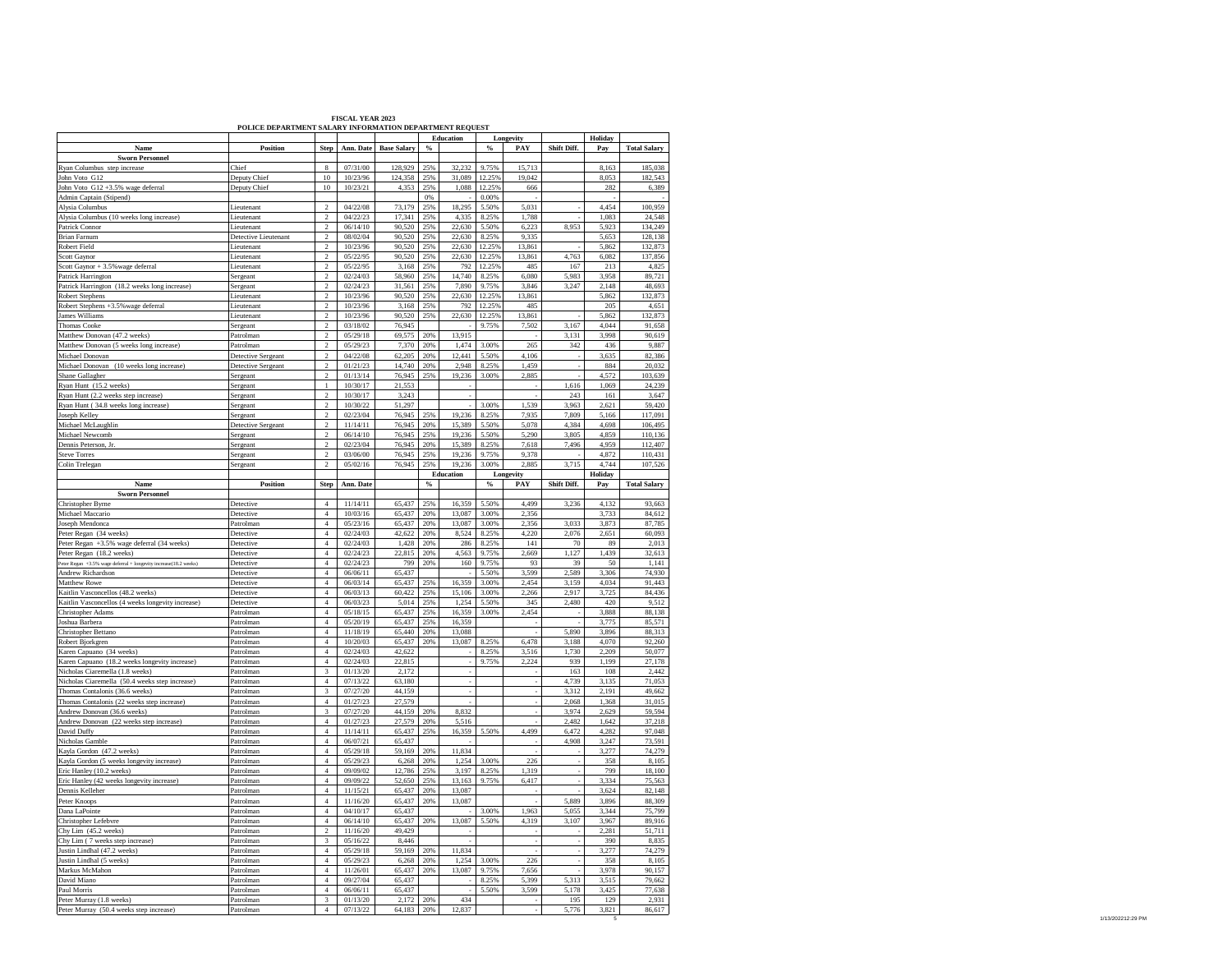|                                                                                              | POLICE DEPARTMENT SALARY INFORMATION DEPARTMENT REQUEST |                                           |                      |                    |               |                  |                  |                  |              |                |                     |
|----------------------------------------------------------------------------------------------|---------------------------------------------------------|-------------------------------------------|----------------------|--------------------|---------------|------------------|------------------|------------------|--------------|----------------|---------------------|
|                                                                                              |                                                         |                                           |                      |                    |               | <b>Education</b> |                  | Longevity        |              | Holiday        |                     |
| Name                                                                                         | Position                                                | Step                                      | Ann. Date            | <b>Base Salary</b> | %             |                  | $\%$             | PAY              | Shift Diff.  | Pay            | <b>Total Salary</b> |
| <b>Sworn Personnel</b><br>Ryan Columbus step increase                                        | Chief                                                   | 8                                         | 07/31/00             | 128,929            | 25%           | 32,232           | 9.75%            | 15,713           |              | 8,163          | 185,038             |
| John Voto G12                                                                                | Deputy Chief                                            | 10                                        | 10/23/96             | 124.358            | 25%           | 31.089           | 12.25%           | 19.042           |              | 8.053          | 182.543             |
| John Voto G12 +3.5% wage deferral                                                            | Deputy Chief                                            | $10\,$                                    | 10/23/21             | 4,353              | 25%           | 1,088            | 12.25%           | 666              |              | 282            | 6,389               |
| Admin Captain (Stipend)                                                                      |                                                         |                                           |                      |                    | 0%            |                  | 0.00%            |                  |              |                |                     |
| Alysia Columbus                                                                              | Lieutenant                                              | $\overline{c}$                            | 04/22/08             | 73,179             | 25%           | 18.295           | 5.50%            | 5.031            |              | 4.454          | 100.959             |
| Alysia Columbus (10 weeks long increase)                                                     | Lieutenant                                              | $\overline{\mathbf{c}}$                   | 04/22/23             | 17,341             | 25%           | 4,335            | 8.25%            | 1,788            |              | 1,083          | 24,548              |
| Patrick Connor                                                                               | Lieutenant                                              | $\,2$                                     | 06/14/10             | 90,520             | 25%           | 22,630           | 5.50%            | 6,223            | 8.953        | 5,923          | 134,249             |
| <b>Brian Farnum</b>                                                                          | Detective Lieutenant                                    | $\overline{2}$                            | 08/02/04             | 90,520             | 25%           | 22,630           | 8.25%            | 9.335            |              | 5,653          | 128,138             |
| <b>Robert Field</b>                                                                          | Lieutenant                                              | $\overline{c}$<br>$\overline{c}$          | 10/23/96<br>05/22/95 | 90,520             | 25%<br>25%    | 22.630           | 12.25%<br>12.25% | 13.861<br>13.861 | 4,763        | 5.862<br>6.082 | 132,873             |
| Scott Gaynor<br>Scott Gaynor + 3.5% wage deferral                                            | Lieutenant<br>Lieutenant                                | $\overline{\mathcal{L}}$                  | 05/22/95             | 90,520<br>3.168    | 25%           | 22,630<br>792    | 12.25%           | 485              | 167          | 213            | 137,856<br>4,825    |
| Patrick Harrington                                                                           | Sergeant                                                | $\overline{a}$                            | 02/24/03             | 58,960             | 25%           | 14,740           | 8.25%            | 6,080            | 5,983        | 3,958          | 89,721              |
| Patrick Harrington (18.2 weeks long increase)                                                | Sergeant                                                | $\overline{a}$                            | 02/24/23             | 31,561             | 25%           | 7,890            | 9.75%            | 3.846            | 3,247        | 2,148          | 48,693              |
| <b>Robert Stephens</b>                                                                       | Lieutenant                                              | $\overline{a}$                            | 10/23/96             | 90.520             | 25%           | 22,630           | 12.25%           | 13.861           |              | 5.862          | 132.873             |
| Robert Stephens +3.5% wage deferral                                                          | Lieutenant                                              | $\,2$                                     | 10/23/96             | 3,168              | 25%           | 792              | 12.25%           | 485              |              | 205            | 4,651               |
| James Williams                                                                               | Lieutenant                                              | $\,2$                                     | 10/23/96             | 90,520             | 25%           | 22,630           | 12.25%           | 13,861           |              | 5,862          | 132,873             |
| <b>Thomas Cooke</b>                                                                          | Sergeant                                                | $\overline{2}$                            | 03/18/02             | 76.945             |               |                  | 9.75%            | 7,502            | 3.167        | 4,044          | 91,658              |
| Matthew Donovan (47.2 weeks)                                                                 | Patrolman                                               | $\overline{a}$                            | 05/29/18             | 69,575             | 20%           | 13,915           |                  |                  | 3,131        | 3,998          | 90,619              |
| Matthew Donovan (5 weeks long increase)<br>Michael Donovan                                   | Patrolman<br>Detective Sergeant                         | $\,2$<br>$\,2\,$                          | 05/29/23<br>04/22/08 | 7,370<br>62,205    | 20%<br>20%    | 1,474<br>12,441  | 3.00%<br>5.50%   | 265<br>4,106     | 342          | 436<br>3,635   | 9,887<br>82,386     |
| Michael Donovan (10 weeks long increase)                                                     | Detective Sergeant                                      | $\overline{a}$                            | 01/21/23             | 14,740             | 20%           | 2,948            | 8.25%            | 1,459            |              | 884            | 20.032              |
| Shane Gallagher                                                                              | Sergeant                                                | $\mathbf 2$                               | 01/13/14             | 76,945             | 25%           | 19,236           | 3.00%            | 2,885            |              | 4,572          | 103,639             |
| Ryan Hunt (15.2 weeks)                                                                       | Sergeant                                                | $\,$ $\,$                                 | 10/30/17             | 21,553             |               |                  |                  |                  | 1,616        | 1,069          | 24,239              |
| Ryan Hunt (2.2 weeks step increase)                                                          | Sergeant                                                | $\overline{c}$                            | 10/30/17             | 3.243              |               |                  |                  |                  | 243          | 161            | 3.647               |
| Ryan Hunt (34.8 weeks long increase)                                                         | Sergeant                                                | $\overline{a}$                            | 10/30/22             | 51.297             |               |                  | 3.00%            | 1.539            | 3.963        | 2.621          | 59.420              |
| Joseph Kelley                                                                                | Sergeant                                                | $\overline{a}$                            | 02/23/04             | 76,945             | 25%           | 19,236           | 8.25%            | 7.935            | 7.809        | 5.166          | 117,091             |
| Michael McLaughlin                                                                           | Detective Sergeant                                      | $\overline{c}$                            | 11/14/11             | 76.945             | 20%           | 15.389           | 5.50%            | 5.078            | 4.384        | 4.698          | 106,495             |
| Michael Newcomb                                                                              | Sergeant                                                | $\,2$                                     | 06/14/10             | 76,945             | 25%           | 19,236           | 5.50%            | 5,290            | 3,805        | 4,859          | 110,136             |
| Dennis Peterson, Jr<br>Steve Torres                                                          | Sergeant<br>Sergeant                                    | $\overline{\mathbf{c}}$<br>$\overline{2}$ | 02/23/04<br>03/06/00 | 76,945<br>76,945   | 20%<br>25%    | 15,389<br>19.236 | 8.25%<br>9.75%   | 7,618<br>9.378   | 7,496        | 4,959<br>4.872 | 112,407<br>110.431  |
| Colin Trelegar                                                                               | Sergeant                                                | $\,2$                                     | 05/02/16             | 76,945             | 25%           | 19.236           | 3.00%            | 2.885            | 3,715        | 4.744          | 107.526             |
|                                                                                              |                                                         |                                           |                      |                    |               | Education        |                  | Longevity        |              | Holiday        |                     |
| Name                                                                                         | Position                                                | <b>Step</b>                               | Ann. Date            |                    | $\frac{6}{5}$ |                  | $\frac{1}{2}$    | PAY              | Shift Diff.  | Pay            | <b>Total Salary</b> |
| <b>Sworn Personnel</b>                                                                       |                                                         |                                           |                      |                    |               |                  |                  |                  |              |                |                     |
| Christopher Byrne                                                                            | Detective                                               | $\overline{4}$                            | 11/14/11             | 65,437             | 25%           | 16,359           | 5.50%            | 4.499            | 3,236        | 4,132          | 93,663              |
| Michael Maccario                                                                             | Detective                                               | $\overline{4}$                            | 10/03/16             | 65.437             | 20%           | 13.087           | 3.00%            | 2.356            |              | 3,733          | 84,612              |
| Joseph Mendonca                                                                              | Patrolman                                               | $\overline{4}$                            | 05/23/16             | 65,437             | 20%           | 13,087           | 3.00%            | 356              | 3,033        | 3.873          | 87,785              |
| Peter Regan (34 weeks)<br>Peter Regan +3.5% wage deferral (34 weeks)                         | Detective<br>Detective                                  | $\overline{4}$<br>$\overline{4}$          | 02/24/03<br>02/24/03 | 42,622<br>1.428    | 20%<br>20%    | 8,524<br>286     | 8.25%<br>8.25%   | 4,220<br>141     | 2,076<br>70  | 2,651          | 60,093<br>2,013     |
|                                                                                              |                                                         |                                           |                      |                    |               |                  |                  |                  |              |                |                     |
|                                                                                              |                                                         |                                           |                      |                    |               |                  |                  |                  |              | 89             |                     |
| Peter Regan (18.2 weeks)                                                                     | Detective                                               | $\overline{4}$                            | 02/24/23             | 22,815             | 20%           | 4,563            | 9.75%            | 2,669<br>93      | 1,127        | 1,439          | 32,613              |
| Peter Regan +3.5% wage deferral + longevity increase(18.2 weeks)<br><b>Andrew Richardson</b> | Detective<br>Detective                                  | $\,4\,$<br>$\overline{4}$                 | 02/24/23<br>06/06/11 | 799                | 20%           | 160              | 9.75%<br>5.50%   | 3,599            | 39<br>2.589  | 50<br>3.306    | 1,141<br>74.930     |
| Matthew Rowe                                                                                 | Detective                                               | $\overline{\mathbf{4}}$                   | 06/03/14             | 65,437<br>65,437   | 25%           | 16,359           | 3.00%            | 2,454            | 3,159        | 4,034          | 91,443              |
| Kaitlin Vasconcellos (48.2 weeks)                                                            | Detective                                               | $\overline{4}$                            | 06/03/13             | 60,422             | 25%           | 15,106           | 3.00%            | 2,266            | 2,917        | 3,725          | 84,436              |
| Kaitlin Vasconcellos (4 weeks longevity increase)                                            | Detective                                               | $\overline{4}$                            | 06/03/23             | 5.014              | 25%           | 1,254            | 5.50%            | 345              | 2,480        | 420            | 9,512               |
| Christopher Adams                                                                            | Patrolman                                               | $\overline{4}$                            | 05/18/15             | 65,437             | 25%           | 16,359           | 3.00%            | 2,454            |              | 3,888          | 88,138              |
| Joshua Barbera                                                                               | Patrolman                                               | $\overline{4}$                            | 05/20/19             | 65,437             | 25%           | 16,359           |                  |                  |              | 3,775          | 85,571              |
| Christopher Bettano                                                                          | Patrolman                                               | $\overline{4}$                            | 11/18/19             | 65.440             | 20%           | 13,088           |                  |                  | 5.890        | 3,896          | 88.313              |
| Robert Bjorkgren                                                                             | Patrolman                                               | $\overline{4}$                            | 10/20/03             | 65,437             | 20%           | 13,087           | 8.25%            | 6,478            | 3,188        | 4,070          | 92,260              |
| Karen Capuano (34 weeks)                                                                     | Patrolman<br>Patrolman                                  | $\overline{4}$<br>$\overline{4}$          | 02/24/03<br>02/24/03 | 42,622<br>22.815   |               |                  | 8.25%<br>9.75%   | 3,516<br>2.224   | 1,730<br>939 | 2,209<br>1.199 | 50,077<br>27.178    |
| Karen Capuano (18.2 weeks longevity increase)<br>Nicholas Ciaremella (1.8 weeks)             | Patrolman                                               | 3                                         | 01/13/20             | 2,172              |               |                  |                  |                  | 163          | 108            | 2,442               |
| Nicholas Ciaremella (50.4 weeks step increase)                                               | Patrolman                                               | $4\,$                                     | 07/13/22             | 63,180             |               |                  |                  |                  | 4,739        | 3,135          | 71,053              |
| Thomas Contalonis (36.6 weeks)                                                               | Patrolman                                               | 3                                         | 07/27/20             | 44,159             |               |                  |                  |                  | 3,312        | 2.191          | 49,662              |
| Thomas Contalonis (22 weeks step increase)                                                   | Patrolman                                               | $\overline{4}$                            | 01/27/23             | 27,579             |               |                  |                  |                  | 2.068        | 1,368          | 31,015              |
| Andrew Donovan (36.6 weeks)                                                                  | Patrolman                                               | 3                                         | 07/27/20             | 44,159             | 20%           | 8,832            |                  |                  | 3,974        | 2,629          | 59,594              |
| Andrew Donovan (22 weeks step increase)                                                      | Patrolman                                               | $\overline{4}$                            | 01/27/23             | 27,579             | 20%           | 5,516            |                  |                  | 2,482        | 1,642          | 37,218              |
| David Duffy                                                                                  | Patrolman                                               | $\overline{4}$                            | 11/14/11             | 65,437             | 25%           | 16,359           | 5.50%            | 4,499            | 6,472        | 4.282          | 97,048              |
| Nicholas Gamble                                                                              | Patrolman<br>Patrolman                                  | $\overline{4}$                            | 06/07/21<br>05/29/18 | 65,437<br>59.169   | 20%           | 11.834           |                  |                  | 4,908        | 3,247          | 73,591              |
| Kayla Gordon (47.2 weeks)                                                                    | Patrolman                                               | $\overline{4}$                            |                      | 6,268              |               |                  | 3.00%            |                  |              | 3,277          | 74,279              |
| Kayla Gordon (5 weeks longevity increase)<br>Eric Hanley (10.2 weeks)                        | Patrolman                                               | $\overline{4}$<br>$\overline{4}$          | 05/29/23<br>09/09/02 | 12,786             | 20%<br>25%    | 1,254<br>3,197   | 8.25%            | 226<br>1,319     |              | 358<br>799     | 8,105<br>18,100     |
| Eric Hanley (42 weeks longevity increase)                                                    | Patrolman                                               | $\overline{4}$                            | 09/09/22             | 52.650             | 25%           | 13,163           | 9.75%            | 6,417            |              | 3,334          | 75,563              |
| Dennis Kelleher                                                                              | Patrolman                                               | $\overline{4}$                            | 11/15/21             | 65,437             | 20%           | 13,087           |                  |                  |              | 3,624          | 82,148              |
| Peter Knoops                                                                                 | Patrolman                                               | $\overline{4}$                            | 11/16/20             | 65,437             | 20%           | 13,087           |                  |                  | 5.889        | 3.896          | 88,309              |
| Dana LaPointe                                                                                | Patrolman                                               | $\overline{4}$                            | 04/10/17             | 65,437             |               |                  | 3.00%            | 1.963            | 5.055        | 3,344          | 75.799              |
| Christopher Lefebvre                                                                         | Patrolman                                               | $\overline{4}$                            | 06/14/10             | 65,437             | 20%           | 13,087           | 5.50%            | 4,319            | 3.107        | 3,967          | 89.916              |
| Chy Lim (45.2 weeks)                                                                         | Patrolman                                               | $\,2$                                     | 11/16/20             | 49,429             |               |                  |                  |                  |              | 2,281          | 51,711              |
| Chy Lim (7 weeks step increase)                                                              | Patrolman                                               | 3                                         | 05/16/22             | 8,446              | 20%           |                  |                  |                  |              | 390            | 8,835               |
| Justin Lindhal (47.2 weeks)<br>Justin Lindhal (5 weeks)                                      | Patrolman<br>Patrolman                                  | $\overline{4}$<br>$\overline{4}$          | 05/29/18<br>05/29/23 | 59.169<br>6.268    | 20%           | 11.834<br>1,254  | 3.00%            | 226              |              | 3,277<br>358   | 74.279<br>8,105     |
| Markus McMahon                                                                               | Patrolman                                               | $\overline{4}$                            | 11/26/01             | 65,437             | 20%           | 13,087           | 9.75%            | 7,656            |              | 3,978          | 90,157              |
| David Miano                                                                                  | Patrolman                                               | $\overline{4}$                            | 09/27/04             | 65,437             |               |                  | 8.25%            | 5,399            | 5,313        | 3,515          | 79,662              |
| Paul Morris                                                                                  | Patrolman                                               | $\overline{4}$                            | 06/06/11             | 65.437             |               |                  | 5.50%            | 3,599            | 5,178        | 3,425          | 77,638              |
| Peter Murray (1.8 weeks)<br>Peter Murray (50.4 weeks step increase)                          | Patrolman<br>Patrolman                                  | 3<br>$\overline{4}$                       | 01/13/20<br>07/13/22 | 2.172<br>64,183    | 20%<br>20%    | 434<br>12,837    |                  |                  | 195<br>5,776 | 129<br>3,821   | 2.931<br>86,617     |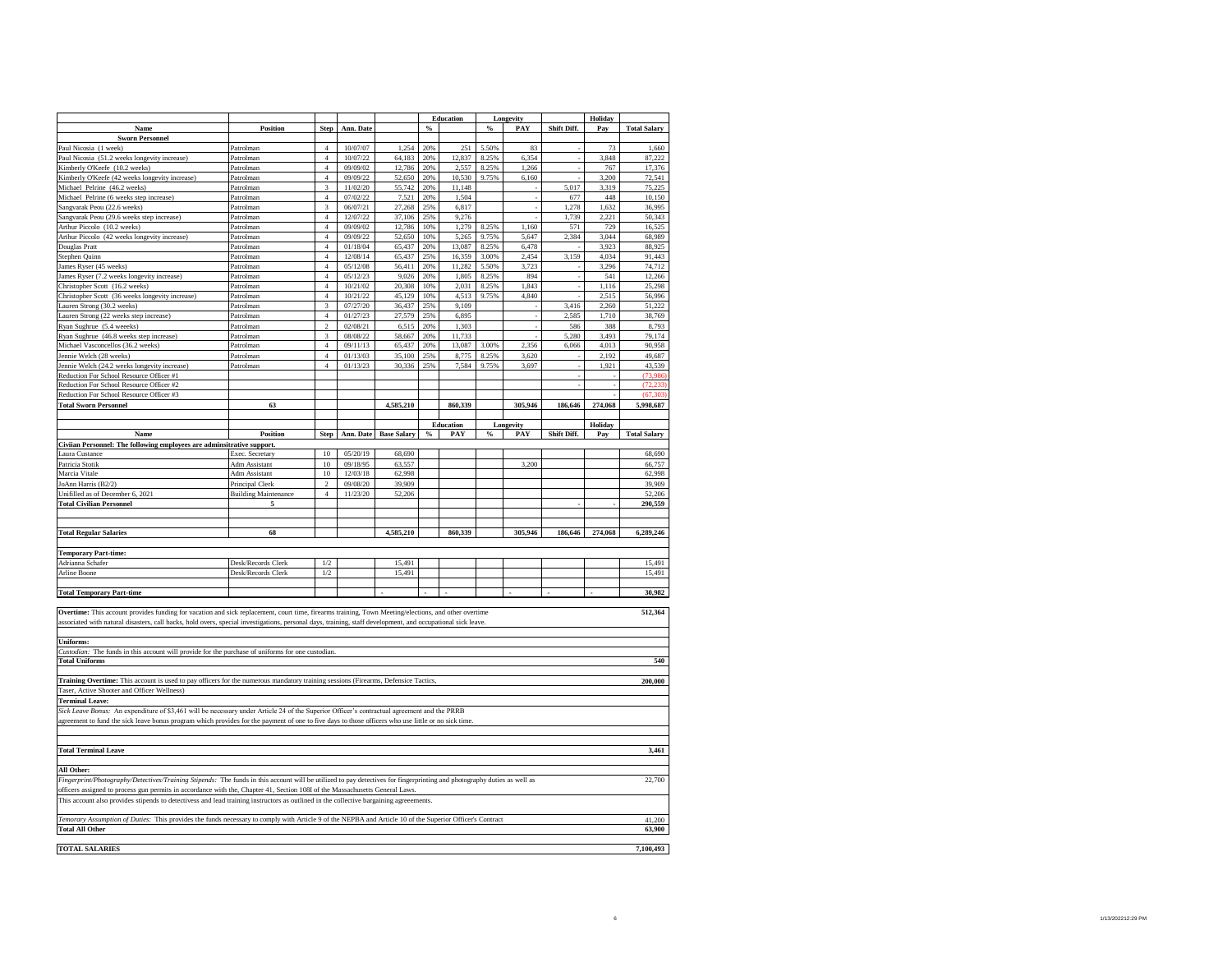| Position<br>Shift Diff.<br>Ann. Date<br>$\%$<br>%<br>PAY<br>Pay<br><b>Total Salary</b><br>Name<br><b>Step</b><br><b>Sworn Personnel</b><br>$\overline{4}$<br>10/07/07<br>1,254<br>20%<br>251<br>5.50%<br>83<br>73<br>Patrolman<br>1.660<br>Paul Nicosia (51.2 weeks longevity increase)<br>$\overline{4}$<br>10/07/22<br>64,183<br>20%<br>12,837<br>8.25%<br>6,354<br>3,848<br>87,222<br>Patrolman<br>Kimberly O'Keefe (10.2 weeks)<br>$\overline{4}$<br>09/09/02<br>12,786<br>20%<br>2,557<br>8.25%<br>1,266<br>767<br>17,376<br>Patrolman<br>Kimberly O'Keefe (42 weeks longevity increase)<br>$\overline{4}$<br>09/09/22<br>52,650<br>20%<br>10,530<br>9.75%<br>6,160<br>3,200<br>72,541<br>Patrolman<br>75,225<br>Michael Pelrine (46.2 weeks)<br>3<br>11/02/20<br>55,742<br>20%<br>11,148<br>5,017<br>3,319<br>Patrolman<br>Michael Pelrine (6 weeks step increase)<br>$\overline{4}$<br>07/02/22<br>7,521<br>20%<br>1,504<br>677<br>448<br>10,150<br>Patrolman<br>1,278<br>Sangvarak Peou (22.6 weeks)<br>Patrolman<br>3<br>06/07/21<br>27,268<br>25%<br>6,817<br>1,632<br>36,995<br>$\overline{4}$<br>Sangvarak Peou (29.6 weeks step increase)<br>Patrolman<br>12/07/22<br>37,106<br>25%<br>9,276<br>1,739<br>2,221<br>50,343<br>$\overline{4}$<br>1,160<br>729<br>16,525<br>Arthur Piccolo (10.2 weeks)<br>Patrolman<br>09/09/02<br>12,786<br>10%<br>1,279<br>8.25%<br>571<br>$\overline{4}$<br>2,384<br>Arthur Piccolo (42 weeks longevity increase)<br>Patrolman<br>09/09/22<br>52,650<br>10%<br>5,265<br>9.75%<br>5,647<br>3,044<br>68,989<br>$\overline{4}$<br>01/18/04<br>65,437<br>6,478<br>3,923<br>88,925<br>Douglas Pratt<br>Patrolman<br>20%<br>13,087<br>8.25%<br>$\overline{4}$<br>3,159<br>4,034<br>91,443<br>Stephen Quinn<br>Patrolman<br>12/08/14<br>65,437<br>25%<br>16,359<br>3.00%<br>2,454<br>$\overline{4}$<br>James Ryser (45 weeks)<br>05/12/08<br>56,411<br>20%<br>11,282<br>5.50%<br>3,723<br>3,296<br>74,712<br>Patrolman<br>$\overline{4}$<br>James Ryser (7.2 weeks longevity increase)<br>05/12/23<br>9,026<br>20%<br>1,805<br>8.25%<br>894<br>541<br>12,266<br>Patrolman<br>$\overline{4}$<br>1,843<br>1,116<br>25,298<br>Christopher Scott (16.2 weeks)<br>10/21/02<br>20,308<br>10%<br>2,031<br>8.25%<br>Patrolman<br>$\overline{4}$<br>45,129<br>4,840<br>2,515<br>56,996<br>Christopher Scott (36 weeks longevity increase)<br>10/21/22<br>10%<br>4,513<br>9.75%<br>Patrolman<br>3<br>07/27/20<br>36,437<br>25%<br>3,416<br>2,260<br>51,222<br>auren Strong (30.2 weeks)<br>Patrolman<br>9.109<br>$\overline{4}$<br>01/27/23<br>27,579<br>25%<br>6,895<br>2,585<br>1,710<br>38,769<br>auren Strong (22 weeks step increase)<br>Patrolman<br>$\overline{2}$<br>1,303<br>Ryan Sughrue (5.4 weeeks)<br>02/08/21<br>6,515<br>20%<br>586<br>388<br>8,793<br>Patrolman<br>3<br>11,733<br>5,280<br>3,493<br>79,174<br>Ryan Sughrue (46.8 weeks step increase)<br>08/08/22<br>58,667<br>20%<br>Patrolman<br>$\overline{4}$<br>2,356<br>09/11/13<br>65,437<br>13,087<br>3.00%<br>4,013<br>90,958<br>Michael Vasconcellos (36.2 weeks)<br>20%<br>6,066<br>Patrolman<br>$\overline{4}$<br>01/13/03<br>35,100<br>25%<br>2,192<br>49,687<br>Jennie Welch (28 weeks)<br>8,775<br>8.25%<br>3,620<br>Patrolman<br>$\overline{4}$<br>01/13/23<br>30,336<br>25%<br>9.75%<br>3,697<br>1,921<br>43,539<br>Jennie Welch (24.2 weeks longevity increase)<br>7,584<br>Patrolman<br>Reduction For School Resource Officer #1<br>(73.986<br>Reduction For School Resource Officer #2<br>(72, 233)<br>(67, 303)<br>Reduction For School Resource Officer #3<br><b>Total Sworn Personnel</b><br>63<br>4,585,210<br>860,339<br>305,946<br>274,068<br>5,998,687<br>186,646<br>Holiday<br><b>Education</b><br>Longevity<br>Name<br>Position<br>Ann. Date<br><b>Base Salary</b><br>$\%$<br>$\%$<br>PAY<br>Shift Diff.<br><b>Total Salary</b><br>Step<br>PAY<br>Pay<br>Civiian Personnel: The following employees are adminsitrative support.<br>Exec. Secretary<br>10<br>05/20/19<br>68,690<br>68,690<br>aura Custance<br>Adm Assistant<br>10<br>09/18/95<br>63,557<br>3,200<br>66,757<br>$10\,$<br>12/03/18<br>62,998<br>62,998<br><b>Adm Assistant</b><br>39,909<br>Principal Clerk<br>$\,2$<br>09/08/20<br>39,909<br>11/23/20<br>Unifilled as of December 6, 2021<br><b>Building Maintenance</b><br>$\overline{4}$<br>52,206<br>52,206<br>290,559<br><b>Total Civilian Personnel</b><br>5<br><b>Total Regular Salaries</b><br>860,339<br>305,946<br>68<br>4,585,210<br>186,646<br>274,068<br>6,289,246<br><b>Temporary Part-time:</b><br>$1/2$<br>Adrianna Schafer<br>Desk/Records Clerk<br>15,491<br>15,491<br>$1/2\,$<br>15,491<br>15,491<br>Arline Boone<br>Desk/Records Clerk<br>30,982<br>512,364<br>Overtime: This account provides funding for vacation and sick replacement, court time, firearms training, Town Meeting/elections, and other overtime<br>associated with natural disasters, call backs, hold overs, special investigations, personal days, training, staff development, and occupational sick leave.<br><b>Uniforms:</b><br>Custodian: The funds in this account will provide for the purchase of uniforms for one custodian.<br><b>Total Uniforms</b><br>540<br>Training Overtime: This account is used to pay officers for the numerous mandatory training sessions (Firearms, Defensice Tactics,<br>200,000<br>Taser, Active Shooter and Officer Wellness)<br><b>Terminal Leave:</b><br>Sick Leave Bonus: An expenditure of \$3,461 will be necessary under Article 24 of the Superior Officer's contractual agreement and the PRRB<br>agreement to fund the sick leave bonus program which provides for the payment of one to five days to those officers who use little or no sick time.<br>3,461<br>Fingerprint/Photography/Detectives/Training Stipends: The funds in this account will be utilized to pay detectives for fingerprinting and photography duties as well as<br>22,700<br>officers assigned to process gun permits in accordance with the, Chapter 41, Section 108I of the Massachusetts General Laws.<br>This account also provides stipends to detectivess and lead training instructors as outlined in the collective bargaining agreeements.<br>Temorary Assumption of Duties: This provides the funds necessary to comply with Article 9 of the NEPBA and Article 10 of the Superior Officer's Contract<br>41,200<br><b>Total All Other</b><br>63,900<br><b>TOTAL SALARIES</b><br>7,100,493 |                                  |  |  | <b>Education</b> | Longevity | Holiday |  |
|---------------------------------------------------------------------------------------------------------------------------------------------------------------------------------------------------------------------------------------------------------------------------------------------------------------------------------------------------------------------------------------------------------------------------------------------------------------------------------------------------------------------------------------------------------------------------------------------------------------------------------------------------------------------------------------------------------------------------------------------------------------------------------------------------------------------------------------------------------------------------------------------------------------------------------------------------------------------------------------------------------------------------------------------------------------------------------------------------------------------------------------------------------------------------------------------------------------------------------------------------------------------------------------------------------------------------------------------------------------------------------------------------------------------------------------------------------------------------------------------------------------------------------------------------------------------------------------------------------------------------------------------------------------------------------------------------------------------------------------------------------------------------------------------------------------------------------------------------------------------------------------------------------------------------------------------------------------------------------------------------------------------------------------------------------------------------------------------------------------------------------------------------------------------------------------------------------------------------------------------------------------------------------------------------------------------------------------------------------------------------------------------------------------------------------------------------------------------------------------------------------------------------------------------------------------------------------------------------------------------------------------------------------------------------------------------------------------------------------------------------------------------------------------------------------------------------------------------------------------------------------------------------------------------------------------------------------------------------------------------------------------------------------------------------------------------------------------------------------------------------------------------------------------------------------------------------------------------------------------------------------------------------------------------------------------------------------------------------------------------------------------------------------------------------------------------------------------------------------------------------------------------------------------------------------------------------------------------------------------------------------------------------------------------------------------------------------------------------------------------------------------------------------------------------------------------------------------------------------------------------------------------------------------------------------------------------------------------------------------------------------------------------------------------------------------------------------------------------------------------------------------------------------------------------------------------------------------------------------------------------------------------------------------------------------------------------------------------------------------------------------------------------------------------------------------------------------------------------------------------------------------------------------------------------------------------------------------------------------------------------------------------------------------------------------------------------------------------------------------------------------------------------------------------------------------------------------------------------------------------------------------------------------------------------------------------------------------------------------------------------------------------------------------------------------------------------------------------------------------------------------------------------------------------------------------------------------------------------------------------------------------------------------------------------------------------------------------------------------------------------------------------------------------------------------------------------------------------------------------------------------------------------------------------------------------------------------------------------------------------------------------------------------------------------------------------------------------------------------------------------------------------------------------------------------------------------------------------------------------------------------------------------------------------------------------------------------------------------------------------------------------------------------------------------------------------------------------------------------------------------------------------------------------------------------------------------------------------------------------------------------------------------------------------------------------------------------------------------------------------------------------------------------------------------------------------------------------|----------------------------------|--|--|------------------|-----------|---------|--|
|                                                                                                                                                                                                                                                                                                                                                                                                                                                                                                                                                                                                                                                                                                                                                                                                                                                                                                                                                                                                                                                                                                                                                                                                                                                                                                                                                                                                                                                                                                                                                                                                                                                                                                                                                                                                                                                                                                                                                                                                                                                                                                                                                                                                                                                                                                                                                                                                                                                                                                                                                                                                                                                                                                                                                                                                                                                                                                                                                                                                                                                                                                                                                                                                                                                                                                                                                                                                                                                                                                                                                                                                                                                                                                                                                                                                                                                                                                                                                                                                                                                                                                                                                                                                                                                                                                                                                                                                                                                                                                                                                                                                                                                                                                                                                                                                                                                                                                                                                                                                                                                                                                                                                                                                                                                                                                                                                                                                                                                                                                                                                                                                                                                                                                                                                                                                                                                                                                                                                                                                                                                                                                                                                                                                                                                                                                                                                                                                                                                               |                                  |  |  |                  |           |         |  |
|                                                                                                                                                                                                                                                                                                                                                                                                                                                                                                                                                                                                                                                                                                                                                                                                                                                                                                                                                                                                                                                                                                                                                                                                                                                                                                                                                                                                                                                                                                                                                                                                                                                                                                                                                                                                                                                                                                                                                                                                                                                                                                                                                                                                                                                                                                                                                                                                                                                                                                                                                                                                                                                                                                                                                                                                                                                                                                                                                                                                                                                                                                                                                                                                                                                                                                                                                                                                                                                                                                                                                                                                                                                                                                                                                                                                                                                                                                                                                                                                                                                                                                                                                                                                                                                                                                                                                                                                                                                                                                                                                                                                                                                                                                                                                                                                                                                                                                                                                                                                                                                                                                                                                                                                                                                                                                                                                                                                                                                                                                                                                                                                                                                                                                                                                                                                                                                                                                                                                                                                                                                                                                                                                                                                                                                                                                                                                                                                                                                               |                                  |  |  |                  |           |         |  |
|                                                                                                                                                                                                                                                                                                                                                                                                                                                                                                                                                                                                                                                                                                                                                                                                                                                                                                                                                                                                                                                                                                                                                                                                                                                                                                                                                                                                                                                                                                                                                                                                                                                                                                                                                                                                                                                                                                                                                                                                                                                                                                                                                                                                                                                                                                                                                                                                                                                                                                                                                                                                                                                                                                                                                                                                                                                                                                                                                                                                                                                                                                                                                                                                                                                                                                                                                                                                                                                                                                                                                                                                                                                                                                                                                                                                                                                                                                                                                                                                                                                                                                                                                                                                                                                                                                                                                                                                                                                                                                                                                                                                                                                                                                                                                                                                                                                                                                                                                                                                                                                                                                                                                                                                                                                                                                                                                                                                                                                                                                                                                                                                                                                                                                                                                                                                                                                                                                                                                                                                                                                                                                                                                                                                                                                                                                                                                                                                                                                               | Paul Nicosia (1 week)            |  |  |                  |           |         |  |
|                                                                                                                                                                                                                                                                                                                                                                                                                                                                                                                                                                                                                                                                                                                                                                                                                                                                                                                                                                                                                                                                                                                                                                                                                                                                                                                                                                                                                                                                                                                                                                                                                                                                                                                                                                                                                                                                                                                                                                                                                                                                                                                                                                                                                                                                                                                                                                                                                                                                                                                                                                                                                                                                                                                                                                                                                                                                                                                                                                                                                                                                                                                                                                                                                                                                                                                                                                                                                                                                                                                                                                                                                                                                                                                                                                                                                                                                                                                                                                                                                                                                                                                                                                                                                                                                                                                                                                                                                                                                                                                                                                                                                                                                                                                                                                                                                                                                                                                                                                                                                                                                                                                                                                                                                                                                                                                                                                                                                                                                                                                                                                                                                                                                                                                                                                                                                                                                                                                                                                                                                                                                                                                                                                                                                                                                                                                                                                                                                                                               |                                  |  |  |                  |           |         |  |
|                                                                                                                                                                                                                                                                                                                                                                                                                                                                                                                                                                                                                                                                                                                                                                                                                                                                                                                                                                                                                                                                                                                                                                                                                                                                                                                                                                                                                                                                                                                                                                                                                                                                                                                                                                                                                                                                                                                                                                                                                                                                                                                                                                                                                                                                                                                                                                                                                                                                                                                                                                                                                                                                                                                                                                                                                                                                                                                                                                                                                                                                                                                                                                                                                                                                                                                                                                                                                                                                                                                                                                                                                                                                                                                                                                                                                                                                                                                                                                                                                                                                                                                                                                                                                                                                                                                                                                                                                                                                                                                                                                                                                                                                                                                                                                                                                                                                                                                                                                                                                                                                                                                                                                                                                                                                                                                                                                                                                                                                                                                                                                                                                                                                                                                                                                                                                                                                                                                                                                                                                                                                                                                                                                                                                                                                                                                                                                                                                                                               |                                  |  |  |                  |           |         |  |
|                                                                                                                                                                                                                                                                                                                                                                                                                                                                                                                                                                                                                                                                                                                                                                                                                                                                                                                                                                                                                                                                                                                                                                                                                                                                                                                                                                                                                                                                                                                                                                                                                                                                                                                                                                                                                                                                                                                                                                                                                                                                                                                                                                                                                                                                                                                                                                                                                                                                                                                                                                                                                                                                                                                                                                                                                                                                                                                                                                                                                                                                                                                                                                                                                                                                                                                                                                                                                                                                                                                                                                                                                                                                                                                                                                                                                                                                                                                                                                                                                                                                                                                                                                                                                                                                                                                                                                                                                                                                                                                                                                                                                                                                                                                                                                                                                                                                                                                                                                                                                                                                                                                                                                                                                                                                                                                                                                                                                                                                                                                                                                                                                                                                                                                                                                                                                                                                                                                                                                                                                                                                                                                                                                                                                                                                                                                                                                                                                                                               |                                  |  |  |                  |           |         |  |
|                                                                                                                                                                                                                                                                                                                                                                                                                                                                                                                                                                                                                                                                                                                                                                                                                                                                                                                                                                                                                                                                                                                                                                                                                                                                                                                                                                                                                                                                                                                                                                                                                                                                                                                                                                                                                                                                                                                                                                                                                                                                                                                                                                                                                                                                                                                                                                                                                                                                                                                                                                                                                                                                                                                                                                                                                                                                                                                                                                                                                                                                                                                                                                                                                                                                                                                                                                                                                                                                                                                                                                                                                                                                                                                                                                                                                                                                                                                                                                                                                                                                                                                                                                                                                                                                                                                                                                                                                                                                                                                                                                                                                                                                                                                                                                                                                                                                                                                                                                                                                                                                                                                                                                                                                                                                                                                                                                                                                                                                                                                                                                                                                                                                                                                                                                                                                                                                                                                                                                                                                                                                                                                                                                                                                                                                                                                                                                                                                                                               |                                  |  |  |                  |           |         |  |
|                                                                                                                                                                                                                                                                                                                                                                                                                                                                                                                                                                                                                                                                                                                                                                                                                                                                                                                                                                                                                                                                                                                                                                                                                                                                                                                                                                                                                                                                                                                                                                                                                                                                                                                                                                                                                                                                                                                                                                                                                                                                                                                                                                                                                                                                                                                                                                                                                                                                                                                                                                                                                                                                                                                                                                                                                                                                                                                                                                                                                                                                                                                                                                                                                                                                                                                                                                                                                                                                                                                                                                                                                                                                                                                                                                                                                                                                                                                                                                                                                                                                                                                                                                                                                                                                                                                                                                                                                                                                                                                                                                                                                                                                                                                                                                                                                                                                                                                                                                                                                                                                                                                                                                                                                                                                                                                                                                                                                                                                                                                                                                                                                                                                                                                                                                                                                                                                                                                                                                                                                                                                                                                                                                                                                                                                                                                                                                                                                                                               |                                  |  |  |                  |           |         |  |
|                                                                                                                                                                                                                                                                                                                                                                                                                                                                                                                                                                                                                                                                                                                                                                                                                                                                                                                                                                                                                                                                                                                                                                                                                                                                                                                                                                                                                                                                                                                                                                                                                                                                                                                                                                                                                                                                                                                                                                                                                                                                                                                                                                                                                                                                                                                                                                                                                                                                                                                                                                                                                                                                                                                                                                                                                                                                                                                                                                                                                                                                                                                                                                                                                                                                                                                                                                                                                                                                                                                                                                                                                                                                                                                                                                                                                                                                                                                                                                                                                                                                                                                                                                                                                                                                                                                                                                                                                                                                                                                                                                                                                                                                                                                                                                                                                                                                                                                                                                                                                                                                                                                                                                                                                                                                                                                                                                                                                                                                                                                                                                                                                                                                                                                                                                                                                                                                                                                                                                                                                                                                                                                                                                                                                                                                                                                                                                                                                                                               |                                  |  |  |                  |           |         |  |
|                                                                                                                                                                                                                                                                                                                                                                                                                                                                                                                                                                                                                                                                                                                                                                                                                                                                                                                                                                                                                                                                                                                                                                                                                                                                                                                                                                                                                                                                                                                                                                                                                                                                                                                                                                                                                                                                                                                                                                                                                                                                                                                                                                                                                                                                                                                                                                                                                                                                                                                                                                                                                                                                                                                                                                                                                                                                                                                                                                                                                                                                                                                                                                                                                                                                                                                                                                                                                                                                                                                                                                                                                                                                                                                                                                                                                                                                                                                                                                                                                                                                                                                                                                                                                                                                                                                                                                                                                                                                                                                                                                                                                                                                                                                                                                                                                                                                                                                                                                                                                                                                                                                                                                                                                                                                                                                                                                                                                                                                                                                                                                                                                                                                                                                                                                                                                                                                                                                                                                                                                                                                                                                                                                                                                                                                                                                                                                                                                                                               |                                  |  |  |                  |           |         |  |
|                                                                                                                                                                                                                                                                                                                                                                                                                                                                                                                                                                                                                                                                                                                                                                                                                                                                                                                                                                                                                                                                                                                                                                                                                                                                                                                                                                                                                                                                                                                                                                                                                                                                                                                                                                                                                                                                                                                                                                                                                                                                                                                                                                                                                                                                                                                                                                                                                                                                                                                                                                                                                                                                                                                                                                                                                                                                                                                                                                                                                                                                                                                                                                                                                                                                                                                                                                                                                                                                                                                                                                                                                                                                                                                                                                                                                                                                                                                                                                                                                                                                                                                                                                                                                                                                                                                                                                                                                                                                                                                                                                                                                                                                                                                                                                                                                                                                                                                                                                                                                                                                                                                                                                                                                                                                                                                                                                                                                                                                                                                                                                                                                                                                                                                                                                                                                                                                                                                                                                                                                                                                                                                                                                                                                                                                                                                                                                                                                                                               |                                  |  |  |                  |           |         |  |
|                                                                                                                                                                                                                                                                                                                                                                                                                                                                                                                                                                                                                                                                                                                                                                                                                                                                                                                                                                                                                                                                                                                                                                                                                                                                                                                                                                                                                                                                                                                                                                                                                                                                                                                                                                                                                                                                                                                                                                                                                                                                                                                                                                                                                                                                                                                                                                                                                                                                                                                                                                                                                                                                                                                                                                                                                                                                                                                                                                                                                                                                                                                                                                                                                                                                                                                                                                                                                                                                                                                                                                                                                                                                                                                                                                                                                                                                                                                                                                                                                                                                                                                                                                                                                                                                                                                                                                                                                                                                                                                                                                                                                                                                                                                                                                                                                                                                                                                                                                                                                                                                                                                                                                                                                                                                                                                                                                                                                                                                                                                                                                                                                                                                                                                                                                                                                                                                                                                                                                                                                                                                                                                                                                                                                                                                                                                                                                                                                                                               |                                  |  |  |                  |           |         |  |
|                                                                                                                                                                                                                                                                                                                                                                                                                                                                                                                                                                                                                                                                                                                                                                                                                                                                                                                                                                                                                                                                                                                                                                                                                                                                                                                                                                                                                                                                                                                                                                                                                                                                                                                                                                                                                                                                                                                                                                                                                                                                                                                                                                                                                                                                                                                                                                                                                                                                                                                                                                                                                                                                                                                                                                                                                                                                                                                                                                                                                                                                                                                                                                                                                                                                                                                                                                                                                                                                                                                                                                                                                                                                                                                                                                                                                                                                                                                                                                                                                                                                                                                                                                                                                                                                                                                                                                                                                                                                                                                                                                                                                                                                                                                                                                                                                                                                                                                                                                                                                                                                                                                                                                                                                                                                                                                                                                                                                                                                                                                                                                                                                                                                                                                                                                                                                                                                                                                                                                                                                                                                                                                                                                                                                                                                                                                                                                                                                                                               |                                  |  |  |                  |           |         |  |
|                                                                                                                                                                                                                                                                                                                                                                                                                                                                                                                                                                                                                                                                                                                                                                                                                                                                                                                                                                                                                                                                                                                                                                                                                                                                                                                                                                                                                                                                                                                                                                                                                                                                                                                                                                                                                                                                                                                                                                                                                                                                                                                                                                                                                                                                                                                                                                                                                                                                                                                                                                                                                                                                                                                                                                                                                                                                                                                                                                                                                                                                                                                                                                                                                                                                                                                                                                                                                                                                                                                                                                                                                                                                                                                                                                                                                                                                                                                                                                                                                                                                                                                                                                                                                                                                                                                                                                                                                                                                                                                                                                                                                                                                                                                                                                                                                                                                                                                                                                                                                                                                                                                                                                                                                                                                                                                                                                                                                                                                                                                                                                                                                                                                                                                                                                                                                                                                                                                                                                                                                                                                                                                                                                                                                                                                                                                                                                                                                                                               |                                  |  |  |                  |           |         |  |
|                                                                                                                                                                                                                                                                                                                                                                                                                                                                                                                                                                                                                                                                                                                                                                                                                                                                                                                                                                                                                                                                                                                                                                                                                                                                                                                                                                                                                                                                                                                                                                                                                                                                                                                                                                                                                                                                                                                                                                                                                                                                                                                                                                                                                                                                                                                                                                                                                                                                                                                                                                                                                                                                                                                                                                                                                                                                                                                                                                                                                                                                                                                                                                                                                                                                                                                                                                                                                                                                                                                                                                                                                                                                                                                                                                                                                                                                                                                                                                                                                                                                                                                                                                                                                                                                                                                                                                                                                                                                                                                                                                                                                                                                                                                                                                                                                                                                                                                                                                                                                                                                                                                                                                                                                                                                                                                                                                                                                                                                                                                                                                                                                                                                                                                                                                                                                                                                                                                                                                                                                                                                                                                                                                                                                                                                                                                                                                                                                                                               |                                  |  |  |                  |           |         |  |
|                                                                                                                                                                                                                                                                                                                                                                                                                                                                                                                                                                                                                                                                                                                                                                                                                                                                                                                                                                                                                                                                                                                                                                                                                                                                                                                                                                                                                                                                                                                                                                                                                                                                                                                                                                                                                                                                                                                                                                                                                                                                                                                                                                                                                                                                                                                                                                                                                                                                                                                                                                                                                                                                                                                                                                                                                                                                                                                                                                                                                                                                                                                                                                                                                                                                                                                                                                                                                                                                                                                                                                                                                                                                                                                                                                                                                                                                                                                                                                                                                                                                                                                                                                                                                                                                                                                                                                                                                                                                                                                                                                                                                                                                                                                                                                                                                                                                                                                                                                                                                                                                                                                                                                                                                                                                                                                                                                                                                                                                                                                                                                                                                                                                                                                                                                                                                                                                                                                                                                                                                                                                                                                                                                                                                                                                                                                                                                                                                                                               |                                  |  |  |                  |           |         |  |
|                                                                                                                                                                                                                                                                                                                                                                                                                                                                                                                                                                                                                                                                                                                                                                                                                                                                                                                                                                                                                                                                                                                                                                                                                                                                                                                                                                                                                                                                                                                                                                                                                                                                                                                                                                                                                                                                                                                                                                                                                                                                                                                                                                                                                                                                                                                                                                                                                                                                                                                                                                                                                                                                                                                                                                                                                                                                                                                                                                                                                                                                                                                                                                                                                                                                                                                                                                                                                                                                                                                                                                                                                                                                                                                                                                                                                                                                                                                                                                                                                                                                                                                                                                                                                                                                                                                                                                                                                                                                                                                                                                                                                                                                                                                                                                                                                                                                                                                                                                                                                                                                                                                                                                                                                                                                                                                                                                                                                                                                                                                                                                                                                                                                                                                                                                                                                                                                                                                                                                                                                                                                                                                                                                                                                                                                                                                                                                                                                                                               |                                  |  |  |                  |           |         |  |
|                                                                                                                                                                                                                                                                                                                                                                                                                                                                                                                                                                                                                                                                                                                                                                                                                                                                                                                                                                                                                                                                                                                                                                                                                                                                                                                                                                                                                                                                                                                                                                                                                                                                                                                                                                                                                                                                                                                                                                                                                                                                                                                                                                                                                                                                                                                                                                                                                                                                                                                                                                                                                                                                                                                                                                                                                                                                                                                                                                                                                                                                                                                                                                                                                                                                                                                                                                                                                                                                                                                                                                                                                                                                                                                                                                                                                                                                                                                                                                                                                                                                                                                                                                                                                                                                                                                                                                                                                                                                                                                                                                                                                                                                                                                                                                                                                                                                                                                                                                                                                                                                                                                                                                                                                                                                                                                                                                                                                                                                                                                                                                                                                                                                                                                                                                                                                                                                                                                                                                                                                                                                                                                                                                                                                                                                                                                                                                                                                                                               |                                  |  |  |                  |           |         |  |
|                                                                                                                                                                                                                                                                                                                                                                                                                                                                                                                                                                                                                                                                                                                                                                                                                                                                                                                                                                                                                                                                                                                                                                                                                                                                                                                                                                                                                                                                                                                                                                                                                                                                                                                                                                                                                                                                                                                                                                                                                                                                                                                                                                                                                                                                                                                                                                                                                                                                                                                                                                                                                                                                                                                                                                                                                                                                                                                                                                                                                                                                                                                                                                                                                                                                                                                                                                                                                                                                                                                                                                                                                                                                                                                                                                                                                                                                                                                                                                                                                                                                                                                                                                                                                                                                                                                                                                                                                                                                                                                                                                                                                                                                                                                                                                                                                                                                                                                                                                                                                                                                                                                                                                                                                                                                                                                                                                                                                                                                                                                                                                                                                                                                                                                                                                                                                                                                                                                                                                                                                                                                                                                                                                                                                                                                                                                                                                                                                                                               |                                  |  |  |                  |           |         |  |
|                                                                                                                                                                                                                                                                                                                                                                                                                                                                                                                                                                                                                                                                                                                                                                                                                                                                                                                                                                                                                                                                                                                                                                                                                                                                                                                                                                                                                                                                                                                                                                                                                                                                                                                                                                                                                                                                                                                                                                                                                                                                                                                                                                                                                                                                                                                                                                                                                                                                                                                                                                                                                                                                                                                                                                                                                                                                                                                                                                                                                                                                                                                                                                                                                                                                                                                                                                                                                                                                                                                                                                                                                                                                                                                                                                                                                                                                                                                                                                                                                                                                                                                                                                                                                                                                                                                                                                                                                                                                                                                                                                                                                                                                                                                                                                                                                                                                                                                                                                                                                                                                                                                                                                                                                                                                                                                                                                                                                                                                                                                                                                                                                                                                                                                                                                                                                                                                                                                                                                                                                                                                                                                                                                                                                                                                                                                                                                                                                                                               |                                  |  |  |                  |           |         |  |
|                                                                                                                                                                                                                                                                                                                                                                                                                                                                                                                                                                                                                                                                                                                                                                                                                                                                                                                                                                                                                                                                                                                                                                                                                                                                                                                                                                                                                                                                                                                                                                                                                                                                                                                                                                                                                                                                                                                                                                                                                                                                                                                                                                                                                                                                                                                                                                                                                                                                                                                                                                                                                                                                                                                                                                                                                                                                                                                                                                                                                                                                                                                                                                                                                                                                                                                                                                                                                                                                                                                                                                                                                                                                                                                                                                                                                                                                                                                                                                                                                                                                                                                                                                                                                                                                                                                                                                                                                                                                                                                                                                                                                                                                                                                                                                                                                                                                                                                                                                                                                                                                                                                                                                                                                                                                                                                                                                                                                                                                                                                                                                                                                                                                                                                                                                                                                                                                                                                                                                                                                                                                                                                                                                                                                                                                                                                                                                                                                                                               |                                  |  |  |                  |           |         |  |
|                                                                                                                                                                                                                                                                                                                                                                                                                                                                                                                                                                                                                                                                                                                                                                                                                                                                                                                                                                                                                                                                                                                                                                                                                                                                                                                                                                                                                                                                                                                                                                                                                                                                                                                                                                                                                                                                                                                                                                                                                                                                                                                                                                                                                                                                                                                                                                                                                                                                                                                                                                                                                                                                                                                                                                                                                                                                                                                                                                                                                                                                                                                                                                                                                                                                                                                                                                                                                                                                                                                                                                                                                                                                                                                                                                                                                                                                                                                                                                                                                                                                                                                                                                                                                                                                                                                                                                                                                                                                                                                                                                                                                                                                                                                                                                                                                                                                                                                                                                                                                                                                                                                                                                                                                                                                                                                                                                                                                                                                                                                                                                                                                                                                                                                                                                                                                                                                                                                                                                                                                                                                                                                                                                                                                                                                                                                                                                                                                                                               |                                  |  |  |                  |           |         |  |
|                                                                                                                                                                                                                                                                                                                                                                                                                                                                                                                                                                                                                                                                                                                                                                                                                                                                                                                                                                                                                                                                                                                                                                                                                                                                                                                                                                                                                                                                                                                                                                                                                                                                                                                                                                                                                                                                                                                                                                                                                                                                                                                                                                                                                                                                                                                                                                                                                                                                                                                                                                                                                                                                                                                                                                                                                                                                                                                                                                                                                                                                                                                                                                                                                                                                                                                                                                                                                                                                                                                                                                                                                                                                                                                                                                                                                                                                                                                                                                                                                                                                                                                                                                                                                                                                                                                                                                                                                                                                                                                                                                                                                                                                                                                                                                                                                                                                                                                                                                                                                                                                                                                                                                                                                                                                                                                                                                                                                                                                                                                                                                                                                                                                                                                                                                                                                                                                                                                                                                                                                                                                                                                                                                                                                                                                                                                                                                                                                                                               |                                  |  |  |                  |           |         |  |
|                                                                                                                                                                                                                                                                                                                                                                                                                                                                                                                                                                                                                                                                                                                                                                                                                                                                                                                                                                                                                                                                                                                                                                                                                                                                                                                                                                                                                                                                                                                                                                                                                                                                                                                                                                                                                                                                                                                                                                                                                                                                                                                                                                                                                                                                                                                                                                                                                                                                                                                                                                                                                                                                                                                                                                                                                                                                                                                                                                                                                                                                                                                                                                                                                                                                                                                                                                                                                                                                                                                                                                                                                                                                                                                                                                                                                                                                                                                                                                                                                                                                                                                                                                                                                                                                                                                                                                                                                                                                                                                                                                                                                                                                                                                                                                                                                                                                                                                                                                                                                                                                                                                                                                                                                                                                                                                                                                                                                                                                                                                                                                                                                                                                                                                                                                                                                                                                                                                                                                                                                                                                                                                                                                                                                                                                                                                                                                                                                                                               |                                  |  |  |                  |           |         |  |
|                                                                                                                                                                                                                                                                                                                                                                                                                                                                                                                                                                                                                                                                                                                                                                                                                                                                                                                                                                                                                                                                                                                                                                                                                                                                                                                                                                                                                                                                                                                                                                                                                                                                                                                                                                                                                                                                                                                                                                                                                                                                                                                                                                                                                                                                                                                                                                                                                                                                                                                                                                                                                                                                                                                                                                                                                                                                                                                                                                                                                                                                                                                                                                                                                                                                                                                                                                                                                                                                                                                                                                                                                                                                                                                                                                                                                                                                                                                                                                                                                                                                                                                                                                                                                                                                                                                                                                                                                                                                                                                                                                                                                                                                                                                                                                                                                                                                                                                                                                                                                                                                                                                                                                                                                                                                                                                                                                                                                                                                                                                                                                                                                                                                                                                                                                                                                                                                                                                                                                                                                                                                                                                                                                                                                                                                                                                                                                                                                                                               |                                  |  |  |                  |           |         |  |
|                                                                                                                                                                                                                                                                                                                                                                                                                                                                                                                                                                                                                                                                                                                                                                                                                                                                                                                                                                                                                                                                                                                                                                                                                                                                                                                                                                                                                                                                                                                                                                                                                                                                                                                                                                                                                                                                                                                                                                                                                                                                                                                                                                                                                                                                                                                                                                                                                                                                                                                                                                                                                                                                                                                                                                                                                                                                                                                                                                                                                                                                                                                                                                                                                                                                                                                                                                                                                                                                                                                                                                                                                                                                                                                                                                                                                                                                                                                                                                                                                                                                                                                                                                                                                                                                                                                                                                                                                                                                                                                                                                                                                                                                                                                                                                                                                                                                                                                                                                                                                                                                                                                                                                                                                                                                                                                                                                                                                                                                                                                                                                                                                                                                                                                                                                                                                                                                                                                                                                                                                                                                                                                                                                                                                                                                                                                                                                                                                                                               |                                  |  |  |                  |           |         |  |
|                                                                                                                                                                                                                                                                                                                                                                                                                                                                                                                                                                                                                                                                                                                                                                                                                                                                                                                                                                                                                                                                                                                                                                                                                                                                                                                                                                                                                                                                                                                                                                                                                                                                                                                                                                                                                                                                                                                                                                                                                                                                                                                                                                                                                                                                                                                                                                                                                                                                                                                                                                                                                                                                                                                                                                                                                                                                                                                                                                                                                                                                                                                                                                                                                                                                                                                                                                                                                                                                                                                                                                                                                                                                                                                                                                                                                                                                                                                                                                                                                                                                                                                                                                                                                                                                                                                                                                                                                                                                                                                                                                                                                                                                                                                                                                                                                                                                                                                                                                                                                                                                                                                                                                                                                                                                                                                                                                                                                                                                                                                                                                                                                                                                                                                                                                                                                                                                                                                                                                                                                                                                                                                                                                                                                                                                                                                                                                                                                                                               |                                  |  |  |                  |           |         |  |
|                                                                                                                                                                                                                                                                                                                                                                                                                                                                                                                                                                                                                                                                                                                                                                                                                                                                                                                                                                                                                                                                                                                                                                                                                                                                                                                                                                                                                                                                                                                                                                                                                                                                                                                                                                                                                                                                                                                                                                                                                                                                                                                                                                                                                                                                                                                                                                                                                                                                                                                                                                                                                                                                                                                                                                                                                                                                                                                                                                                                                                                                                                                                                                                                                                                                                                                                                                                                                                                                                                                                                                                                                                                                                                                                                                                                                                                                                                                                                                                                                                                                                                                                                                                                                                                                                                                                                                                                                                                                                                                                                                                                                                                                                                                                                                                                                                                                                                                                                                                                                                                                                                                                                                                                                                                                                                                                                                                                                                                                                                                                                                                                                                                                                                                                                                                                                                                                                                                                                                                                                                                                                                                                                                                                                                                                                                                                                                                                                                                               |                                  |  |  |                  |           |         |  |
|                                                                                                                                                                                                                                                                                                                                                                                                                                                                                                                                                                                                                                                                                                                                                                                                                                                                                                                                                                                                                                                                                                                                                                                                                                                                                                                                                                                                                                                                                                                                                                                                                                                                                                                                                                                                                                                                                                                                                                                                                                                                                                                                                                                                                                                                                                                                                                                                                                                                                                                                                                                                                                                                                                                                                                                                                                                                                                                                                                                                                                                                                                                                                                                                                                                                                                                                                                                                                                                                                                                                                                                                                                                                                                                                                                                                                                                                                                                                                                                                                                                                                                                                                                                                                                                                                                                                                                                                                                                                                                                                                                                                                                                                                                                                                                                                                                                                                                                                                                                                                                                                                                                                                                                                                                                                                                                                                                                                                                                                                                                                                                                                                                                                                                                                                                                                                                                                                                                                                                                                                                                                                                                                                                                                                                                                                                                                                                                                                                                               |                                  |  |  |                  |           |         |  |
|                                                                                                                                                                                                                                                                                                                                                                                                                                                                                                                                                                                                                                                                                                                                                                                                                                                                                                                                                                                                                                                                                                                                                                                                                                                                                                                                                                                                                                                                                                                                                                                                                                                                                                                                                                                                                                                                                                                                                                                                                                                                                                                                                                                                                                                                                                                                                                                                                                                                                                                                                                                                                                                                                                                                                                                                                                                                                                                                                                                                                                                                                                                                                                                                                                                                                                                                                                                                                                                                                                                                                                                                                                                                                                                                                                                                                                                                                                                                                                                                                                                                                                                                                                                                                                                                                                                                                                                                                                                                                                                                                                                                                                                                                                                                                                                                                                                                                                                                                                                                                                                                                                                                                                                                                                                                                                                                                                                                                                                                                                                                                                                                                                                                                                                                                                                                                                                                                                                                                                                                                                                                                                                                                                                                                                                                                                                                                                                                                                                               |                                  |  |  |                  |           |         |  |
|                                                                                                                                                                                                                                                                                                                                                                                                                                                                                                                                                                                                                                                                                                                                                                                                                                                                                                                                                                                                                                                                                                                                                                                                                                                                                                                                                                                                                                                                                                                                                                                                                                                                                                                                                                                                                                                                                                                                                                                                                                                                                                                                                                                                                                                                                                                                                                                                                                                                                                                                                                                                                                                                                                                                                                                                                                                                                                                                                                                                                                                                                                                                                                                                                                                                                                                                                                                                                                                                                                                                                                                                                                                                                                                                                                                                                                                                                                                                                                                                                                                                                                                                                                                                                                                                                                                                                                                                                                                                                                                                                                                                                                                                                                                                                                                                                                                                                                                                                                                                                                                                                                                                                                                                                                                                                                                                                                                                                                                                                                                                                                                                                                                                                                                                                                                                                                                                                                                                                                                                                                                                                                                                                                                                                                                                                                                                                                                                                                                               |                                  |  |  |                  |           |         |  |
|                                                                                                                                                                                                                                                                                                                                                                                                                                                                                                                                                                                                                                                                                                                                                                                                                                                                                                                                                                                                                                                                                                                                                                                                                                                                                                                                                                                                                                                                                                                                                                                                                                                                                                                                                                                                                                                                                                                                                                                                                                                                                                                                                                                                                                                                                                                                                                                                                                                                                                                                                                                                                                                                                                                                                                                                                                                                                                                                                                                                                                                                                                                                                                                                                                                                                                                                                                                                                                                                                                                                                                                                                                                                                                                                                                                                                                                                                                                                                                                                                                                                                                                                                                                                                                                                                                                                                                                                                                                                                                                                                                                                                                                                                                                                                                                                                                                                                                                                                                                                                                                                                                                                                                                                                                                                                                                                                                                                                                                                                                                                                                                                                                                                                                                                                                                                                                                                                                                                                                                                                                                                                                                                                                                                                                                                                                                                                                                                                                                               |                                  |  |  |                  |           |         |  |
|                                                                                                                                                                                                                                                                                                                                                                                                                                                                                                                                                                                                                                                                                                                                                                                                                                                                                                                                                                                                                                                                                                                                                                                                                                                                                                                                                                                                                                                                                                                                                                                                                                                                                                                                                                                                                                                                                                                                                                                                                                                                                                                                                                                                                                                                                                                                                                                                                                                                                                                                                                                                                                                                                                                                                                                                                                                                                                                                                                                                                                                                                                                                                                                                                                                                                                                                                                                                                                                                                                                                                                                                                                                                                                                                                                                                                                                                                                                                                                                                                                                                                                                                                                                                                                                                                                                                                                                                                                                                                                                                                                                                                                                                                                                                                                                                                                                                                                                                                                                                                                                                                                                                                                                                                                                                                                                                                                                                                                                                                                                                                                                                                                                                                                                                                                                                                                                                                                                                                                                                                                                                                                                                                                                                                                                                                                                                                                                                                                                               | Patricia Stotik                  |  |  |                  |           |         |  |
|                                                                                                                                                                                                                                                                                                                                                                                                                                                                                                                                                                                                                                                                                                                                                                                                                                                                                                                                                                                                                                                                                                                                                                                                                                                                                                                                                                                                                                                                                                                                                                                                                                                                                                                                                                                                                                                                                                                                                                                                                                                                                                                                                                                                                                                                                                                                                                                                                                                                                                                                                                                                                                                                                                                                                                                                                                                                                                                                                                                                                                                                                                                                                                                                                                                                                                                                                                                                                                                                                                                                                                                                                                                                                                                                                                                                                                                                                                                                                                                                                                                                                                                                                                                                                                                                                                                                                                                                                                                                                                                                                                                                                                                                                                                                                                                                                                                                                                                                                                                                                                                                                                                                                                                                                                                                                                                                                                                                                                                                                                                                                                                                                                                                                                                                                                                                                                                                                                                                                                                                                                                                                                                                                                                                                                                                                                                                                                                                                                                               | Marcia Vitale                    |  |  |                  |           |         |  |
|                                                                                                                                                                                                                                                                                                                                                                                                                                                                                                                                                                                                                                                                                                                                                                                                                                                                                                                                                                                                                                                                                                                                                                                                                                                                                                                                                                                                                                                                                                                                                                                                                                                                                                                                                                                                                                                                                                                                                                                                                                                                                                                                                                                                                                                                                                                                                                                                                                                                                                                                                                                                                                                                                                                                                                                                                                                                                                                                                                                                                                                                                                                                                                                                                                                                                                                                                                                                                                                                                                                                                                                                                                                                                                                                                                                                                                                                                                                                                                                                                                                                                                                                                                                                                                                                                                                                                                                                                                                                                                                                                                                                                                                                                                                                                                                                                                                                                                                                                                                                                                                                                                                                                                                                                                                                                                                                                                                                                                                                                                                                                                                                                                                                                                                                                                                                                                                                                                                                                                                                                                                                                                                                                                                                                                                                                                                                                                                                                                                               | JoAnn Harris (B2/2)              |  |  |                  |           |         |  |
|                                                                                                                                                                                                                                                                                                                                                                                                                                                                                                                                                                                                                                                                                                                                                                                                                                                                                                                                                                                                                                                                                                                                                                                                                                                                                                                                                                                                                                                                                                                                                                                                                                                                                                                                                                                                                                                                                                                                                                                                                                                                                                                                                                                                                                                                                                                                                                                                                                                                                                                                                                                                                                                                                                                                                                                                                                                                                                                                                                                                                                                                                                                                                                                                                                                                                                                                                                                                                                                                                                                                                                                                                                                                                                                                                                                                                                                                                                                                                                                                                                                                                                                                                                                                                                                                                                                                                                                                                                                                                                                                                                                                                                                                                                                                                                                                                                                                                                                                                                                                                                                                                                                                                                                                                                                                                                                                                                                                                                                                                                                                                                                                                                                                                                                                                                                                                                                                                                                                                                                                                                                                                                                                                                                                                                                                                                                                                                                                                                                               |                                  |  |  |                  |           |         |  |
|                                                                                                                                                                                                                                                                                                                                                                                                                                                                                                                                                                                                                                                                                                                                                                                                                                                                                                                                                                                                                                                                                                                                                                                                                                                                                                                                                                                                                                                                                                                                                                                                                                                                                                                                                                                                                                                                                                                                                                                                                                                                                                                                                                                                                                                                                                                                                                                                                                                                                                                                                                                                                                                                                                                                                                                                                                                                                                                                                                                                                                                                                                                                                                                                                                                                                                                                                                                                                                                                                                                                                                                                                                                                                                                                                                                                                                                                                                                                                                                                                                                                                                                                                                                                                                                                                                                                                                                                                                                                                                                                                                                                                                                                                                                                                                                                                                                                                                                                                                                                                                                                                                                                                                                                                                                                                                                                                                                                                                                                                                                                                                                                                                                                                                                                                                                                                                                                                                                                                                                                                                                                                                                                                                                                                                                                                                                                                                                                                                                               |                                  |  |  |                  |           |         |  |
|                                                                                                                                                                                                                                                                                                                                                                                                                                                                                                                                                                                                                                                                                                                                                                                                                                                                                                                                                                                                                                                                                                                                                                                                                                                                                                                                                                                                                                                                                                                                                                                                                                                                                                                                                                                                                                                                                                                                                                                                                                                                                                                                                                                                                                                                                                                                                                                                                                                                                                                                                                                                                                                                                                                                                                                                                                                                                                                                                                                                                                                                                                                                                                                                                                                                                                                                                                                                                                                                                                                                                                                                                                                                                                                                                                                                                                                                                                                                                                                                                                                                                                                                                                                                                                                                                                                                                                                                                                                                                                                                                                                                                                                                                                                                                                                                                                                                                                                                                                                                                                                                                                                                                                                                                                                                                                                                                                                                                                                                                                                                                                                                                                                                                                                                                                                                                                                                                                                                                                                                                                                                                                                                                                                                                                                                                                                                                                                                                                                               |                                  |  |  |                  |           |         |  |
|                                                                                                                                                                                                                                                                                                                                                                                                                                                                                                                                                                                                                                                                                                                                                                                                                                                                                                                                                                                                                                                                                                                                                                                                                                                                                                                                                                                                                                                                                                                                                                                                                                                                                                                                                                                                                                                                                                                                                                                                                                                                                                                                                                                                                                                                                                                                                                                                                                                                                                                                                                                                                                                                                                                                                                                                                                                                                                                                                                                                                                                                                                                                                                                                                                                                                                                                                                                                                                                                                                                                                                                                                                                                                                                                                                                                                                                                                                                                                                                                                                                                                                                                                                                                                                                                                                                                                                                                                                                                                                                                                                                                                                                                                                                                                                                                                                                                                                                                                                                                                                                                                                                                                                                                                                                                                                                                                                                                                                                                                                                                                                                                                                                                                                                                                                                                                                                                                                                                                                                                                                                                                                                                                                                                                                                                                                                                                                                                                                                               |                                  |  |  |                  |           |         |  |
|                                                                                                                                                                                                                                                                                                                                                                                                                                                                                                                                                                                                                                                                                                                                                                                                                                                                                                                                                                                                                                                                                                                                                                                                                                                                                                                                                                                                                                                                                                                                                                                                                                                                                                                                                                                                                                                                                                                                                                                                                                                                                                                                                                                                                                                                                                                                                                                                                                                                                                                                                                                                                                                                                                                                                                                                                                                                                                                                                                                                                                                                                                                                                                                                                                                                                                                                                                                                                                                                                                                                                                                                                                                                                                                                                                                                                                                                                                                                                                                                                                                                                                                                                                                                                                                                                                                                                                                                                                                                                                                                                                                                                                                                                                                                                                                                                                                                                                                                                                                                                                                                                                                                                                                                                                                                                                                                                                                                                                                                                                                                                                                                                                                                                                                                                                                                                                                                                                                                                                                                                                                                                                                                                                                                                                                                                                                                                                                                                                                               |                                  |  |  |                  |           |         |  |
|                                                                                                                                                                                                                                                                                                                                                                                                                                                                                                                                                                                                                                                                                                                                                                                                                                                                                                                                                                                                                                                                                                                                                                                                                                                                                                                                                                                                                                                                                                                                                                                                                                                                                                                                                                                                                                                                                                                                                                                                                                                                                                                                                                                                                                                                                                                                                                                                                                                                                                                                                                                                                                                                                                                                                                                                                                                                                                                                                                                                                                                                                                                                                                                                                                                                                                                                                                                                                                                                                                                                                                                                                                                                                                                                                                                                                                                                                                                                                                                                                                                                                                                                                                                                                                                                                                                                                                                                                                                                                                                                                                                                                                                                                                                                                                                                                                                                                                                                                                                                                                                                                                                                                                                                                                                                                                                                                                                                                                                                                                                                                                                                                                                                                                                                                                                                                                                                                                                                                                                                                                                                                                                                                                                                                                                                                                                                                                                                                                                               |                                  |  |  |                  |           |         |  |
|                                                                                                                                                                                                                                                                                                                                                                                                                                                                                                                                                                                                                                                                                                                                                                                                                                                                                                                                                                                                                                                                                                                                                                                                                                                                                                                                                                                                                                                                                                                                                                                                                                                                                                                                                                                                                                                                                                                                                                                                                                                                                                                                                                                                                                                                                                                                                                                                                                                                                                                                                                                                                                                                                                                                                                                                                                                                                                                                                                                                                                                                                                                                                                                                                                                                                                                                                                                                                                                                                                                                                                                                                                                                                                                                                                                                                                                                                                                                                                                                                                                                                                                                                                                                                                                                                                                                                                                                                                                                                                                                                                                                                                                                                                                                                                                                                                                                                                                                                                                                                                                                                                                                                                                                                                                                                                                                                                                                                                                                                                                                                                                                                                                                                                                                                                                                                                                                                                                                                                                                                                                                                                                                                                                                                                                                                                                                                                                                                                                               |                                  |  |  |                  |           |         |  |
|                                                                                                                                                                                                                                                                                                                                                                                                                                                                                                                                                                                                                                                                                                                                                                                                                                                                                                                                                                                                                                                                                                                                                                                                                                                                                                                                                                                                                                                                                                                                                                                                                                                                                                                                                                                                                                                                                                                                                                                                                                                                                                                                                                                                                                                                                                                                                                                                                                                                                                                                                                                                                                                                                                                                                                                                                                                                                                                                                                                                                                                                                                                                                                                                                                                                                                                                                                                                                                                                                                                                                                                                                                                                                                                                                                                                                                                                                                                                                                                                                                                                                                                                                                                                                                                                                                                                                                                                                                                                                                                                                                                                                                                                                                                                                                                                                                                                                                                                                                                                                                                                                                                                                                                                                                                                                                                                                                                                                                                                                                                                                                                                                                                                                                                                                                                                                                                                                                                                                                                                                                                                                                                                                                                                                                                                                                                                                                                                                                                               |                                  |  |  |                  |           |         |  |
|                                                                                                                                                                                                                                                                                                                                                                                                                                                                                                                                                                                                                                                                                                                                                                                                                                                                                                                                                                                                                                                                                                                                                                                                                                                                                                                                                                                                                                                                                                                                                                                                                                                                                                                                                                                                                                                                                                                                                                                                                                                                                                                                                                                                                                                                                                                                                                                                                                                                                                                                                                                                                                                                                                                                                                                                                                                                                                                                                                                                                                                                                                                                                                                                                                                                                                                                                                                                                                                                                                                                                                                                                                                                                                                                                                                                                                                                                                                                                                                                                                                                                                                                                                                                                                                                                                                                                                                                                                                                                                                                                                                                                                                                                                                                                                                                                                                                                                                                                                                                                                                                                                                                                                                                                                                                                                                                                                                                                                                                                                                                                                                                                                                                                                                                                                                                                                                                                                                                                                                                                                                                                                                                                                                                                                                                                                                                                                                                                                                               |                                  |  |  |                  |           |         |  |
|                                                                                                                                                                                                                                                                                                                                                                                                                                                                                                                                                                                                                                                                                                                                                                                                                                                                                                                                                                                                                                                                                                                                                                                                                                                                                                                                                                                                                                                                                                                                                                                                                                                                                                                                                                                                                                                                                                                                                                                                                                                                                                                                                                                                                                                                                                                                                                                                                                                                                                                                                                                                                                                                                                                                                                                                                                                                                                                                                                                                                                                                                                                                                                                                                                                                                                                                                                                                                                                                                                                                                                                                                                                                                                                                                                                                                                                                                                                                                                                                                                                                                                                                                                                                                                                                                                                                                                                                                                                                                                                                                                                                                                                                                                                                                                                                                                                                                                                                                                                                                                                                                                                                                                                                                                                                                                                                                                                                                                                                                                                                                                                                                                                                                                                                                                                                                                                                                                                                                                                                                                                                                                                                                                                                                                                                                                                                                                                                                                                               | <b>Total Temporary Part-time</b> |  |  |                  |           |         |  |
|                                                                                                                                                                                                                                                                                                                                                                                                                                                                                                                                                                                                                                                                                                                                                                                                                                                                                                                                                                                                                                                                                                                                                                                                                                                                                                                                                                                                                                                                                                                                                                                                                                                                                                                                                                                                                                                                                                                                                                                                                                                                                                                                                                                                                                                                                                                                                                                                                                                                                                                                                                                                                                                                                                                                                                                                                                                                                                                                                                                                                                                                                                                                                                                                                                                                                                                                                                                                                                                                                                                                                                                                                                                                                                                                                                                                                                                                                                                                                                                                                                                                                                                                                                                                                                                                                                                                                                                                                                                                                                                                                                                                                                                                                                                                                                                                                                                                                                                                                                                                                                                                                                                                                                                                                                                                                                                                                                                                                                                                                                                                                                                                                                                                                                                                                                                                                                                                                                                                                                                                                                                                                                                                                                                                                                                                                                                                                                                                                                                               |                                  |  |  |                  |           |         |  |
|                                                                                                                                                                                                                                                                                                                                                                                                                                                                                                                                                                                                                                                                                                                                                                                                                                                                                                                                                                                                                                                                                                                                                                                                                                                                                                                                                                                                                                                                                                                                                                                                                                                                                                                                                                                                                                                                                                                                                                                                                                                                                                                                                                                                                                                                                                                                                                                                                                                                                                                                                                                                                                                                                                                                                                                                                                                                                                                                                                                                                                                                                                                                                                                                                                                                                                                                                                                                                                                                                                                                                                                                                                                                                                                                                                                                                                                                                                                                                                                                                                                                                                                                                                                                                                                                                                                                                                                                                                                                                                                                                                                                                                                                                                                                                                                                                                                                                                                                                                                                                                                                                                                                                                                                                                                                                                                                                                                                                                                                                                                                                                                                                                                                                                                                                                                                                                                                                                                                                                                                                                                                                                                                                                                                                                                                                                                                                                                                                                                               |                                  |  |  |                  |           |         |  |
|                                                                                                                                                                                                                                                                                                                                                                                                                                                                                                                                                                                                                                                                                                                                                                                                                                                                                                                                                                                                                                                                                                                                                                                                                                                                                                                                                                                                                                                                                                                                                                                                                                                                                                                                                                                                                                                                                                                                                                                                                                                                                                                                                                                                                                                                                                                                                                                                                                                                                                                                                                                                                                                                                                                                                                                                                                                                                                                                                                                                                                                                                                                                                                                                                                                                                                                                                                                                                                                                                                                                                                                                                                                                                                                                                                                                                                                                                                                                                                                                                                                                                                                                                                                                                                                                                                                                                                                                                                                                                                                                                                                                                                                                                                                                                                                                                                                                                                                                                                                                                                                                                                                                                                                                                                                                                                                                                                                                                                                                                                                                                                                                                                                                                                                                                                                                                                                                                                                                                                                                                                                                                                                                                                                                                                                                                                                                                                                                                                                               |                                  |  |  |                  |           |         |  |
|                                                                                                                                                                                                                                                                                                                                                                                                                                                                                                                                                                                                                                                                                                                                                                                                                                                                                                                                                                                                                                                                                                                                                                                                                                                                                                                                                                                                                                                                                                                                                                                                                                                                                                                                                                                                                                                                                                                                                                                                                                                                                                                                                                                                                                                                                                                                                                                                                                                                                                                                                                                                                                                                                                                                                                                                                                                                                                                                                                                                                                                                                                                                                                                                                                                                                                                                                                                                                                                                                                                                                                                                                                                                                                                                                                                                                                                                                                                                                                                                                                                                                                                                                                                                                                                                                                                                                                                                                                                                                                                                                                                                                                                                                                                                                                                                                                                                                                                                                                                                                                                                                                                                                                                                                                                                                                                                                                                                                                                                                                                                                                                                                                                                                                                                                                                                                                                                                                                                                                                                                                                                                                                                                                                                                                                                                                                                                                                                                                                               |                                  |  |  |                  |           |         |  |
|                                                                                                                                                                                                                                                                                                                                                                                                                                                                                                                                                                                                                                                                                                                                                                                                                                                                                                                                                                                                                                                                                                                                                                                                                                                                                                                                                                                                                                                                                                                                                                                                                                                                                                                                                                                                                                                                                                                                                                                                                                                                                                                                                                                                                                                                                                                                                                                                                                                                                                                                                                                                                                                                                                                                                                                                                                                                                                                                                                                                                                                                                                                                                                                                                                                                                                                                                                                                                                                                                                                                                                                                                                                                                                                                                                                                                                                                                                                                                                                                                                                                                                                                                                                                                                                                                                                                                                                                                                                                                                                                                                                                                                                                                                                                                                                                                                                                                                                                                                                                                                                                                                                                                                                                                                                                                                                                                                                                                                                                                                                                                                                                                                                                                                                                                                                                                                                                                                                                                                                                                                                                                                                                                                                                                                                                                                                                                                                                                                                               |                                  |  |  |                  |           |         |  |
|                                                                                                                                                                                                                                                                                                                                                                                                                                                                                                                                                                                                                                                                                                                                                                                                                                                                                                                                                                                                                                                                                                                                                                                                                                                                                                                                                                                                                                                                                                                                                                                                                                                                                                                                                                                                                                                                                                                                                                                                                                                                                                                                                                                                                                                                                                                                                                                                                                                                                                                                                                                                                                                                                                                                                                                                                                                                                                                                                                                                                                                                                                                                                                                                                                                                                                                                                                                                                                                                                                                                                                                                                                                                                                                                                                                                                                                                                                                                                                                                                                                                                                                                                                                                                                                                                                                                                                                                                                                                                                                                                                                                                                                                                                                                                                                                                                                                                                                                                                                                                                                                                                                                                                                                                                                                                                                                                                                                                                                                                                                                                                                                                                                                                                                                                                                                                                                                                                                                                                                                                                                                                                                                                                                                                                                                                                                                                                                                                                                               |                                  |  |  |                  |           |         |  |
|                                                                                                                                                                                                                                                                                                                                                                                                                                                                                                                                                                                                                                                                                                                                                                                                                                                                                                                                                                                                                                                                                                                                                                                                                                                                                                                                                                                                                                                                                                                                                                                                                                                                                                                                                                                                                                                                                                                                                                                                                                                                                                                                                                                                                                                                                                                                                                                                                                                                                                                                                                                                                                                                                                                                                                                                                                                                                                                                                                                                                                                                                                                                                                                                                                                                                                                                                                                                                                                                                                                                                                                                                                                                                                                                                                                                                                                                                                                                                                                                                                                                                                                                                                                                                                                                                                                                                                                                                                                                                                                                                                                                                                                                                                                                                                                                                                                                                                                                                                                                                                                                                                                                                                                                                                                                                                                                                                                                                                                                                                                                                                                                                                                                                                                                                                                                                                                                                                                                                                                                                                                                                                                                                                                                                                                                                                                                                                                                                                                               |                                  |  |  |                  |           |         |  |
|                                                                                                                                                                                                                                                                                                                                                                                                                                                                                                                                                                                                                                                                                                                                                                                                                                                                                                                                                                                                                                                                                                                                                                                                                                                                                                                                                                                                                                                                                                                                                                                                                                                                                                                                                                                                                                                                                                                                                                                                                                                                                                                                                                                                                                                                                                                                                                                                                                                                                                                                                                                                                                                                                                                                                                                                                                                                                                                                                                                                                                                                                                                                                                                                                                                                                                                                                                                                                                                                                                                                                                                                                                                                                                                                                                                                                                                                                                                                                                                                                                                                                                                                                                                                                                                                                                                                                                                                                                                                                                                                                                                                                                                                                                                                                                                                                                                                                                                                                                                                                                                                                                                                                                                                                                                                                                                                                                                                                                                                                                                                                                                                                                                                                                                                                                                                                                                                                                                                                                                                                                                                                                                                                                                                                                                                                                                                                                                                                                                               |                                  |  |  |                  |           |         |  |
|                                                                                                                                                                                                                                                                                                                                                                                                                                                                                                                                                                                                                                                                                                                                                                                                                                                                                                                                                                                                                                                                                                                                                                                                                                                                                                                                                                                                                                                                                                                                                                                                                                                                                                                                                                                                                                                                                                                                                                                                                                                                                                                                                                                                                                                                                                                                                                                                                                                                                                                                                                                                                                                                                                                                                                                                                                                                                                                                                                                                                                                                                                                                                                                                                                                                                                                                                                                                                                                                                                                                                                                                                                                                                                                                                                                                                                                                                                                                                                                                                                                                                                                                                                                                                                                                                                                                                                                                                                                                                                                                                                                                                                                                                                                                                                                                                                                                                                                                                                                                                                                                                                                                                                                                                                                                                                                                                                                                                                                                                                                                                                                                                                                                                                                                                                                                                                                                                                                                                                                                                                                                                                                                                                                                                                                                                                                                                                                                                                                               |                                  |  |  |                  |           |         |  |
|                                                                                                                                                                                                                                                                                                                                                                                                                                                                                                                                                                                                                                                                                                                                                                                                                                                                                                                                                                                                                                                                                                                                                                                                                                                                                                                                                                                                                                                                                                                                                                                                                                                                                                                                                                                                                                                                                                                                                                                                                                                                                                                                                                                                                                                                                                                                                                                                                                                                                                                                                                                                                                                                                                                                                                                                                                                                                                                                                                                                                                                                                                                                                                                                                                                                                                                                                                                                                                                                                                                                                                                                                                                                                                                                                                                                                                                                                                                                                                                                                                                                                                                                                                                                                                                                                                                                                                                                                                                                                                                                                                                                                                                                                                                                                                                                                                                                                                                                                                                                                                                                                                                                                                                                                                                                                                                                                                                                                                                                                                                                                                                                                                                                                                                                                                                                                                                                                                                                                                                                                                                                                                                                                                                                                                                                                                                                                                                                                                                               |                                  |  |  |                  |           |         |  |
|                                                                                                                                                                                                                                                                                                                                                                                                                                                                                                                                                                                                                                                                                                                                                                                                                                                                                                                                                                                                                                                                                                                                                                                                                                                                                                                                                                                                                                                                                                                                                                                                                                                                                                                                                                                                                                                                                                                                                                                                                                                                                                                                                                                                                                                                                                                                                                                                                                                                                                                                                                                                                                                                                                                                                                                                                                                                                                                                                                                                                                                                                                                                                                                                                                                                                                                                                                                                                                                                                                                                                                                                                                                                                                                                                                                                                                                                                                                                                                                                                                                                                                                                                                                                                                                                                                                                                                                                                                                                                                                                                                                                                                                                                                                                                                                                                                                                                                                                                                                                                                                                                                                                                                                                                                                                                                                                                                                                                                                                                                                                                                                                                                                                                                                                                                                                                                                                                                                                                                                                                                                                                                                                                                                                                                                                                                                                                                                                                                                               |                                  |  |  |                  |           |         |  |
|                                                                                                                                                                                                                                                                                                                                                                                                                                                                                                                                                                                                                                                                                                                                                                                                                                                                                                                                                                                                                                                                                                                                                                                                                                                                                                                                                                                                                                                                                                                                                                                                                                                                                                                                                                                                                                                                                                                                                                                                                                                                                                                                                                                                                                                                                                                                                                                                                                                                                                                                                                                                                                                                                                                                                                                                                                                                                                                                                                                                                                                                                                                                                                                                                                                                                                                                                                                                                                                                                                                                                                                                                                                                                                                                                                                                                                                                                                                                                                                                                                                                                                                                                                                                                                                                                                                                                                                                                                                                                                                                                                                                                                                                                                                                                                                                                                                                                                                                                                                                                                                                                                                                                                                                                                                                                                                                                                                                                                                                                                                                                                                                                                                                                                                                                                                                                                                                                                                                                                                                                                                                                                                                                                                                                                                                                                                                                                                                                                                               |                                  |  |  |                  |           |         |  |
|                                                                                                                                                                                                                                                                                                                                                                                                                                                                                                                                                                                                                                                                                                                                                                                                                                                                                                                                                                                                                                                                                                                                                                                                                                                                                                                                                                                                                                                                                                                                                                                                                                                                                                                                                                                                                                                                                                                                                                                                                                                                                                                                                                                                                                                                                                                                                                                                                                                                                                                                                                                                                                                                                                                                                                                                                                                                                                                                                                                                                                                                                                                                                                                                                                                                                                                                                                                                                                                                                                                                                                                                                                                                                                                                                                                                                                                                                                                                                                                                                                                                                                                                                                                                                                                                                                                                                                                                                                                                                                                                                                                                                                                                                                                                                                                                                                                                                                                                                                                                                                                                                                                                                                                                                                                                                                                                                                                                                                                                                                                                                                                                                                                                                                                                                                                                                                                                                                                                                                                                                                                                                                                                                                                                                                                                                                                                                                                                                                                               |                                  |  |  |                  |           |         |  |
|                                                                                                                                                                                                                                                                                                                                                                                                                                                                                                                                                                                                                                                                                                                                                                                                                                                                                                                                                                                                                                                                                                                                                                                                                                                                                                                                                                                                                                                                                                                                                                                                                                                                                                                                                                                                                                                                                                                                                                                                                                                                                                                                                                                                                                                                                                                                                                                                                                                                                                                                                                                                                                                                                                                                                                                                                                                                                                                                                                                                                                                                                                                                                                                                                                                                                                                                                                                                                                                                                                                                                                                                                                                                                                                                                                                                                                                                                                                                                                                                                                                                                                                                                                                                                                                                                                                                                                                                                                                                                                                                                                                                                                                                                                                                                                                                                                                                                                                                                                                                                                                                                                                                                                                                                                                                                                                                                                                                                                                                                                                                                                                                                                                                                                                                                                                                                                                                                                                                                                                                                                                                                                                                                                                                                                                                                                                                                                                                                                                               |                                  |  |  |                  |           |         |  |
|                                                                                                                                                                                                                                                                                                                                                                                                                                                                                                                                                                                                                                                                                                                                                                                                                                                                                                                                                                                                                                                                                                                                                                                                                                                                                                                                                                                                                                                                                                                                                                                                                                                                                                                                                                                                                                                                                                                                                                                                                                                                                                                                                                                                                                                                                                                                                                                                                                                                                                                                                                                                                                                                                                                                                                                                                                                                                                                                                                                                                                                                                                                                                                                                                                                                                                                                                                                                                                                                                                                                                                                                                                                                                                                                                                                                                                                                                                                                                                                                                                                                                                                                                                                                                                                                                                                                                                                                                                                                                                                                                                                                                                                                                                                                                                                                                                                                                                                                                                                                                                                                                                                                                                                                                                                                                                                                                                                                                                                                                                                                                                                                                                                                                                                                                                                                                                                                                                                                                                                                                                                                                                                                                                                                                                                                                                                                                                                                                                                               | <b>Total Terminal Leave</b>      |  |  |                  |           |         |  |
|                                                                                                                                                                                                                                                                                                                                                                                                                                                                                                                                                                                                                                                                                                                                                                                                                                                                                                                                                                                                                                                                                                                                                                                                                                                                                                                                                                                                                                                                                                                                                                                                                                                                                                                                                                                                                                                                                                                                                                                                                                                                                                                                                                                                                                                                                                                                                                                                                                                                                                                                                                                                                                                                                                                                                                                                                                                                                                                                                                                                                                                                                                                                                                                                                                                                                                                                                                                                                                                                                                                                                                                                                                                                                                                                                                                                                                                                                                                                                                                                                                                                                                                                                                                                                                                                                                                                                                                                                                                                                                                                                                                                                                                                                                                                                                                                                                                                                                                                                                                                                                                                                                                                                                                                                                                                                                                                                                                                                                                                                                                                                                                                                                                                                                                                                                                                                                                                                                                                                                                                                                                                                                                                                                                                                                                                                                                                                                                                                                                               |                                  |  |  |                  |           |         |  |
|                                                                                                                                                                                                                                                                                                                                                                                                                                                                                                                                                                                                                                                                                                                                                                                                                                                                                                                                                                                                                                                                                                                                                                                                                                                                                                                                                                                                                                                                                                                                                                                                                                                                                                                                                                                                                                                                                                                                                                                                                                                                                                                                                                                                                                                                                                                                                                                                                                                                                                                                                                                                                                                                                                                                                                                                                                                                                                                                                                                                                                                                                                                                                                                                                                                                                                                                                                                                                                                                                                                                                                                                                                                                                                                                                                                                                                                                                                                                                                                                                                                                                                                                                                                                                                                                                                                                                                                                                                                                                                                                                                                                                                                                                                                                                                                                                                                                                                                                                                                                                                                                                                                                                                                                                                                                                                                                                                                                                                                                                                                                                                                                                                                                                                                                                                                                                                                                                                                                                                                                                                                                                                                                                                                                                                                                                                                                                                                                                                                               | All Other:                       |  |  |                  |           |         |  |
|                                                                                                                                                                                                                                                                                                                                                                                                                                                                                                                                                                                                                                                                                                                                                                                                                                                                                                                                                                                                                                                                                                                                                                                                                                                                                                                                                                                                                                                                                                                                                                                                                                                                                                                                                                                                                                                                                                                                                                                                                                                                                                                                                                                                                                                                                                                                                                                                                                                                                                                                                                                                                                                                                                                                                                                                                                                                                                                                                                                                                                                                                                                                                                                                                                                                                                                                                                                                                                                                                                                                                                                                                                                                                                                                                                                                                                                                                                                                                                                                                                                                                                                                                                                                                                                                                                                                                                                                                                                                                                                                                                                                                                                                                                                                                                                                                                                                                                                                                                                                                                                                                                                                                                                                                                                                                                                                                                                                                                                                                                                                                                                                                                                                                                                                                                                                                                                                                                                                                                                                                                                                                                                                                                                                                                                                                                                                                                                                                                                               |                                  |  |  |                  |           |         |  |
|                                                                                                                                                                                                                                                                                                                                                                                                                                                                                                                                                                                                                                                                                                                                                                                                                                                                                                                                                                                                                                                                                                                                                                                                                                                                                                                                                                                                                                                                                                                                                                                                                                                                                                                                                                                                                                                                                                                                                                                                                                                                                                                                                                                                                                                                                                                                                                                                                                                                                                                                                                                                                                                                                                                                                                                                                                                                                                                                                                                                                                                                                                                                                                                                                                                                                                                                                                                                                                                                                                                                                                                                                                                                                                                                                                                                                                                                                                                                                                                                                                                                                                                                                                                                                                                                                                                                                                                                                                                                                                                                                                                                                                                                                                                                                                                                                                                                                                                                                                                                                                                                                                                                                                                                                                                                                                                                                                                                                                                                                                                                                                                                                                                                                                                                                                                                                                                                                                                                                                                                                                                                                                                                                                                                                                                                                                                                                                                                                                                               |                                  |  |  |                  |           |         |  |
|                                                                                                                                                                                                                                                                                                                                                                                                                                                                                                                                                                                                                                                                                                                                                                                                                                                                                                                                                                                                                                                                                                                                                                                                                                                                                                                                                                                                                                                                                                                                                                                                                                                                                                                                                                                                                                                                                                                                                                                                                                                                                                                                                                                                                                                                                                                                                                                                                                                                                                                                                                                                                                                                                                                                                                                                                                                                                                                                                                                                                                                                                                                                                                                                                                                                                                                                                                                                                                                                                                                                                                                                                                                                                                                                                                                                                                                                                                                                                                                                                                                                                                                                                                                                                                                                                                                                                                                                                                                                                                                                                                                                                                                                                                                                                                                                                                                                                                                                                                                                                                                                                                                                                                                                                                                                                                                                                                                                                                                                                                                                                                                                                                                                                                                                                                                                                                                                                                                                                                                                                                                                                                                                                                                                                                                                                                                                                                                                                                                               |                                  |  |  |                  |           |         |  |
|                                                                                                                                                                                                                                                                                                                                                                                                                                                                                                                                                                                                                                                                                                                                                                                                                                                                                                                                                                                                                                                                                                                                                                                                                                                                                                                                                                                                                                                                                                                                                                                                                                                                                                                                                                                                                                                                                                                                                                                                                                                                                                                                                                                                                                                                                                                                                                                                                                                                                                                                                                                                                                                                                                                                                                                                                                                                                                                                                                                                                                                                                                                                                                                                                                                                                                                                                                                                                                                                                                                                                                                                                                                                                                                                                                                                                                                                                                                                                                                                                                                                                                                                                                                                                                                                                                                                                                                                                                                                                                                                                                                                                                                                                                                                                                                                                                                                                                                                                                                                                                                                                                                                                                                                                                                                                                                                                                                                                                                                                                                                                                                                                                                                                                                                                                                                                                                                                                                                                                                                                                                                                                                                                                                                                                                                                                                                                                                                                                                               |                                  |  |  |                  |           |         |  |
|                                                                                                                                                                                                                                                                                                                                                                                                                                                                                                                                                                                                                                                                                                                                                                                                                                                                                                                                                                                                                                                                                                                                                                                                                                                                                                                                                                                                                                                                                                                                                                                                                                                                                                                                                                                                                                                                                                                                                                                                                                                                                                                                                                                                                                                                                                                                                                                                                                                                                                                                                                                                                                                                                                                                                                                                                                                                                                                                                                                                                                                                                                                                                                                                                                                                                                                                                                                                                                                                                                                                                                                                                                                                                                                                                                                                                                                                                                                                                                                                                                                                                                                                                                                                                                                                                                                                                                                                                                                                                                                                                                                                                                                                                                                                                                                                                                                                                                                                                                                                                                                                                                                                                                                                                                                                                                                                                                                                                                                                                                                                                                                                                                                                                                                                                                                                                                                                                                                                                                                                                                                                                                                                                                                                                                                                                                                                                                                                                                                               |                                  |  |  |                  |           |         |  |
|                                                                                                                                                                                                                                                                                                                                                                                                                                                                                                                                                                                                                                                                                                                                                                                                                                                                                                                                                                                                                                                                                                                                                                                                                                                                                                                                                                                                                                                                                                                                                                                                                                                                                                                                                                                                                                                                                                                                                                                                                                                                                                                                                                                                                                                                                                                                                                                                                                                                                                                                                                                                                                                                                                                                                                                                                                                                                                                                                                                                                                                                                                                                                                                                                                                                                                                                                                                                                                                                                                                                                                                                                                                                                                                                                                                                                                                                                                                                                                                                                                                                                                                                                                                                                                                                                                                                                                                                                                                                                                                                                                                                                                                                                                                                                                                                                                                                                                                                                                                                                                                                                                                                                                                                                                                                                                                                                                                                                                                                                                                                                                                                                                                                                                                                                                                                                                                                                                                                                                                                                                                                                                                                                                                                                                                                                                                                                                                                                                                               |                                  |  |  |                  |           |         |  |
|                                                                                                                                                                                                                                                                                                                                                                                                                                                                                                                                                                                                                                                                                                                                                                                                                                                                                                                                                                                                                                                                                                                                                                                                                                                                                                                                                                                                                                                                                                                                                                                                                                                                                                                                                                                                                                                                                                                                                                                                                                                                                                                                                                                                                                                                                                                                                                                                                                                                                                                                                                                                                                                                                                                                                                                                                                                                                                                                                                                                                                                                                                                                                                                                                                                                                                                                                                                                                                                                                                                                                                                                                                                                                                                                                                                                                                                                                                                                                                                                                                                                                                                                                                                                                                                                                                                                                                                                                                                                                                                                                                                                                                                                                                                                                                                                                                                                                                                                                                                                                                                                                                                                                                                                                                                                                                                                                                                                                                                                                                                                                                                                                                                                                                                                                                                                                                                                                                                                                                                                                                                                                                                                                                                                                                                                                                                                                                                                                                                               |                                  |  |  |                  |           |         |  |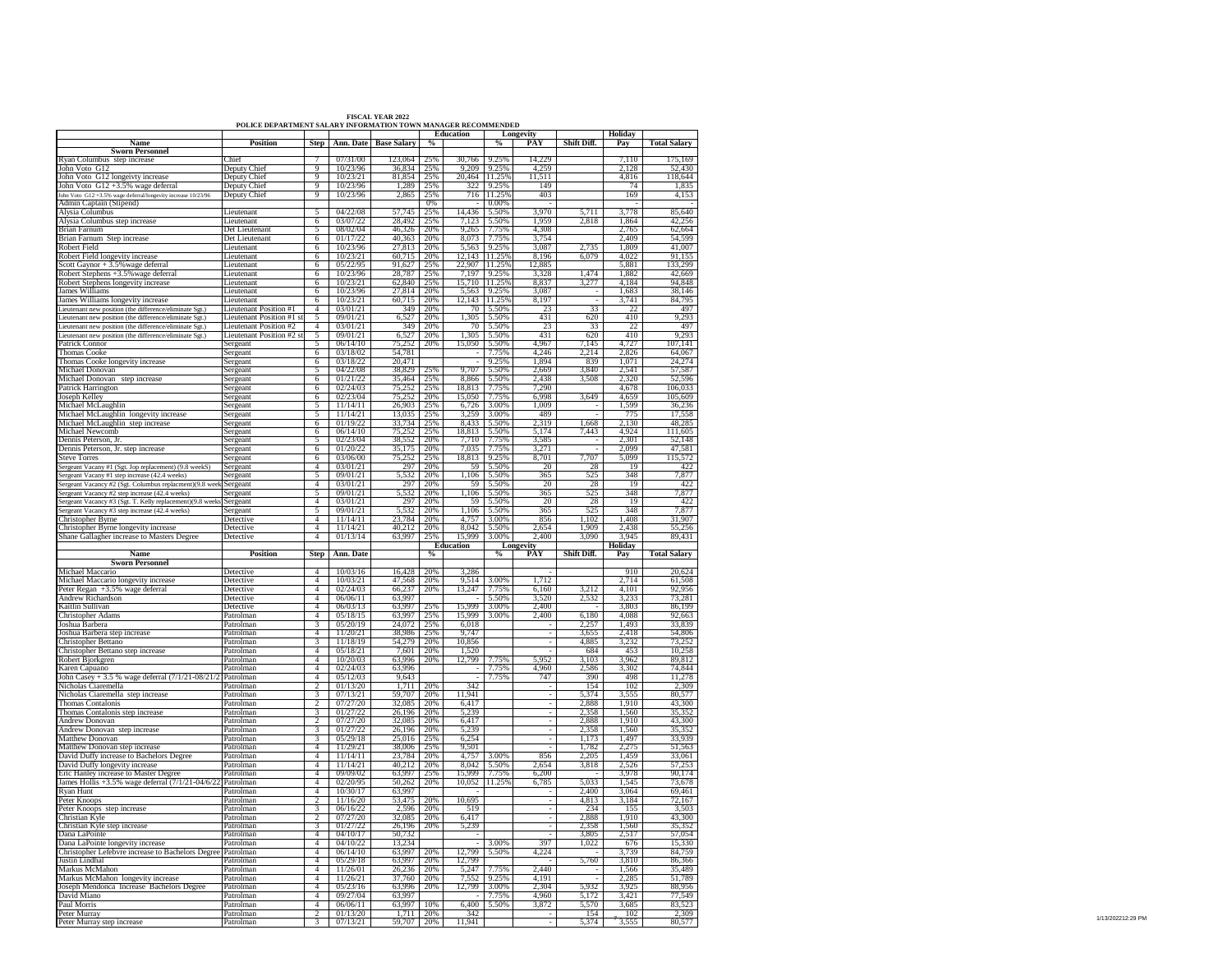|                                                                                                        |                                                               |                                  |                      | <b>FISCAL YEAR 2022</b>   |               |                  |                             |                                |                |                 |                         |
|--------------------------------------------------------------------------------------------------------|---------------------------------------------------------------|----------------------------------|----------------------|---------------------------|---------------|------------------|-----------------------------|--------------------------------|----------------|-----------------|-------------------------|
|                                                                                                        | POLICE DEPARTMENT SALARY INFORMATION TOWN MANAGER RECOMMENDED |                                  |                      |                           |               | Education        |                             |                                |                | Holiday         |                         |
| Name                                                                                                   | Position                                                      | <b>Step</b>                      |                      | Ann. Date   Base Salary   | $\%$          |                  | %                           | Longevity<br>PAY               | Shift Diff.    | Pay             | <b>Total Salary</b>     |
| <b>Sworn Personnel</b>                                                                                 |                                                               |                                  |                      |                           |               |                  |                             |                                |                |                 |                         |
| Ryan Columbus step increase                                                                            | <b>Thief</b>                                                  |                                  | 07/31/00             | 23.064                    | 25%           | 30.766           | 9.25%                       | 14,229                         |                | 7.110           | 175,169                 |
| John Voto G12                                                                                          | Deputy Chief                                                  | $\overline{q}$                   | 10/23/96             | 36,834 25%                |               |                  | 9.209 9.25%                 | 4.259                          |                | 2,128           | 52,430                  |
| John Voto G12 longeivty increase                                                                       | Deputy Chief                                                  | 9                                | 10/23/21             | 81,854 25%                |               |                  | 20,464 11.25%               | 11,511                         |                | 4,816           | 118,644                 |
| John Voto G12 +3.5% wage deferral                                                                      | Deputy Chief                                                  | 9                                | 10/23/96             | 1,289 25%                 |               |                  | 322 9.25%                   | 149                            |                |                 | 1,835                   |
| John Voto G12+3.5% wage deferral/longevity increase 10/23/96<br>Admin Captain (Stipend)                | Deputy Chief                                                  | -9                               | 10/23/96             | 2,865 25%                 | 0%            |                  | 716 11.25%<br>0.00%         | 403                            |                | 169             | 4,153                   |
| Alvsia Columbus                                                                                        | Lieutenant                                                    | $\overline{\phantom{a}}$         | 04/22/08             | 57,745                    | 75%           |                  | 14,436 5.50%                | 3.970                          | 5.711          | 3.778           | 85,640                  |
| Alysia Columbus step increase                                                                          | Lieutenant                                                    | 6                                | 03/07/22             | 28,492 25%                |               |                  | 7,123 5.50%                 | 1,959                          | 2,818          | 1,864           | 42,256                  |
| Brian Farnum                                                                                           | Det Lieutenant                                                | $\overline{5}$                   | 08/02/04             | 46,326 20%                |               |                  | 9,265 7.75%                 | 4,308                          |                | 2,765           | 62,664                  |
| Brian Farnum Step increase                                                                             | Det Lieutenant                                                | - 6                              | 01/17/22             | 40,363 20%                |               |                  | 8,073 7.75%                 | 3,754                          |                | 2,409           | 54,599                  |
| Robert Field                                                                                           | Lieutenant                                                    | 6                                | 10/23/96             | 27,813 20%                |               |                  | 5.563 9.25%                 | 3.087                          | 2,735          | 1,809           | 41,007                  |
| Robert Field longevity increase                                                                        | ieutenant                                                     | 6                                | 10/23/21             | 60.715                    | 20%           |                  | 12,143 11.25%               | 8.196                          | 6,079          | 4.022           | 91.155                  |
| Scott Gaynor + 3.5% wage deferral                                                                      | Lieutenant                                                    | 6                                | 05/22/95             | 91,627 25%                |               |                  | 22.907 11.25%               | 12,885                         |                | 5,881           | 133,299                 |
| Robert Stephens +3.5% wage deferral                                                                    | Lieutenant                                                    | -6                               | 10/23/96             | 28,787 25%                |               |                  | 7.197 9.25%                 | 3.328                          | 1.474          | 1.882           | 42.669                  |
| Robert Stephens longevity increase                                                                     | ieutenant                                                     | 6                                | 10/23/21             | 62840 25%                 |               |                  | 15.710 11.25%               | 8.837                          | 3,277          | 4,184           | 94.848                  |
| James Williams                                                                                         | ieutenant                                                     | $6\overline{6}$                  | 10/23/96             | 27,814 20%                |               |                  | 5,563 9.25%                 | 3,087                          |                | 1,683           | 38,146                  |
| James Williams longevity increase                                                                      | ieutenant                                                     | $6\overline{6}$                  | 10/23/21             | 60,715   20%              |               |                  | 12,143 11.25%               | 8,197                          |                | 3,741           | 84,795                  |
| Lieutenant new position (the difference/eliminate Sgt.)                                                | Lieutenant Position #1                                        | $\overline{4}$                   | 03/01/21             | 349 20%                   |               |                  | 70 5.50%                    | 23                             | 33             | $\overline{22}$ | 497                     |
| Lieutenant new position (the difference/eliminate Sgt.)                                                | Lieutenant Position #1 st                                     | $\overline{5}$                   | 09/01/21             | 6.527 20%                 |               |                  | 1.305 5.50%                 | 431                            | 620            | 410             | 9,293                   |
| Lieutenant new position (the difference/eliminate Sgt.)                                                | Lieutenant Position #2                                        | $\overline{4}$                   | 03/01/21             | 349 20%                   |               |                  | 70 5.50%                    | 23                             | 33             | 22              | 497                     |
| Lieutenant new position (the difference/eliminate Sgt.)                                                | Lieutenant Position #2 st                                     |                                  | $\frac{60001}{21}$   | 6,527 20%                 |               |                  | 1,305 5.50%                 | 431                            | 620            | 410             | 9,293                   |
| Patrick Connor                                                                                         | Sergeant                                                      | 5                                | 06/14/10             | 75,252                    | 20%           |                  | 15,050 5.50%                | 4,967                          | 7,145          | 4,727           | 107,141                 |
| Thomas Cooke                                                                                           | Sergeant                                                      | 6                                | 03/18/02             | 54,781                    |               |                  | 7.75%                       | 4,246                          | 2,214          | 2,826           | 64,067                  |
| Thomas Cooke longevity increase                                                                        | Sergeant                                                      | 6                                | 03/18/22             | 20,471                    |               |                  | $-9.25%$                    | 1.894                          | 839            | 1.071           |                         |
| Michael Donovan                                                                                        | Sergeant                                                      | -5                               | 04/22/08             | 38.829                    |               |                  | 9.707 5.50%                 | 2.669                          | 3.840          | 2.541           | $\frac{24,274}{57,587}$ |
| Michael Donovan step increase                                                                          | Sergeant                                                      |                                  | $6 \quad 01/21/22$   | 35,464 25%                |               |                  | 8,866 5.50%                 | 2,438                          | 3,508          | 2,320           | 52,596                  |
| Patrick Harrington                                                                                     | Sergeant                                                      | 6                                | 02/24/03             | 75,252                    | 25%           |                  | 18,813 7.75%                | 7,290                          |                | 4.678           | 106,033                 |
|                                                                                                        | Sergeant                                                      | 6                                | 02/23/04             | 75,252 20%                |               |                  | 15,050 7.75%                | 6.998                          | 3,649          | 4.659           | 105.609                 |
| Joseph Kelley<br>Michael McLaughlin                                                                    | Sergeant                                                      | 5                                | 11/14/11             | 26.903 25%                |               |                  | 6,726 3.00%                 | 1,009                          |                | 1,599           | 36,236                  |
| Michael McLaughlin longevity increase                                                                  | Sergeant                                                      |                                  | 11/14/2              | 13,035 25%                |               |                  | 3,259 3.00%                 | 489                            |                |                 | 17.558                  |
| Michael McLaughlin step increase                                                                       | Sergeant                                                      | 6                                | 01/19/22             | 33,734 25%                |               |                  | 8,433 5.50%                 | 2,319                          | 1,668          | 2,130           | 48,285                  |
| Michael Newcomb                                                                                        | Sergeant                                                      | - 6                              | 06/14/10             | 75.252 25%                |               |                  | 18,813 5.50%                | 5,174                          | 7,443          | 4.924           | 111,605                 |
| Dennis Peterson, Jr.                                                                                   | Sergeant                                                      | $\overline{5}$                   | 02/23/04             | 38,552 20%                |               |                  | 7.710 7.75%                 | 3.585                          |                | 2.301           | 52,148                  |
| Dennis Peterson, Jr. step increase                                                                     | Sergeant                                                      | 6                                | 01/20/22             | 35.175   20%              |               |                  | 7.035 7.75%                 | 3,271                          |                | 2.099           | 47.581                  |
| <b>Steve Torres</b>                                                                                    | Sergeant                                                      | 6                                | 03/06/00             | 75,252                    | 25%           |                  | 18,813 9.25%                | 8,701                          | 7,707          | 5,099           | 115,572                 |
|                                                                                                        | Sergeant                                                      | $\overline{4}$                   | 03/01/21             | 297 20%                   |               |                  | 59 5.50%                    | 20                             | 28             | <sup>19</sup>   | 422                     |
| Sergeant Vacany #1 (Sgt. Jop replacement) (9.8 weekS)<br>Sergeant Vacany #1 step increase (42.4 weeks) | Sergeant                                                      | 5                                | 09/01/21             | 5,532 20%                 |               |                  | 1.106 5.50%                 | 365                            | 525            | 348             | 7,877                   |
| Sergeant Vacancy #2 (Sgt. Columbus replacment)(9.8 week Sergeant                                       |                                                               | $\overline{4}$                   | 03/01/21             | 297 20%                   |               |                  | 59 5.50%                    | 20                             | 28             | 19              | 422                     |
| Sergeant Vacancy #2 step increase (42.4 weeks)                                                         | Sergeant                                                      | -5                               | 09/01/21             | 5,532 20%                 |               |                  | 1,106 5.50%                 | 365                            | 525            | 348             | 7,877                   |
| Sergeant Vacancy #3 (Sgt. T. Kelly replacement)(9.8 weeks Sergeant                                     |                                                               | $\overline{4}$                   | 03/01/2              | 297                       | 20%           |                  | 59 5.50%                    | 20                             | 28             | 19              | 422                     |
|                                                                                                        | Sergeant                                                      | 5 <sup>5</sup>                   | 09/01/21             |                           |               |                  | 1,106 5.50%                 | 365                            | 525            | 348             | 7,877                   |
|                                                                                                        |                                                               |                                  |                      |                           |               |                  |                             |                                |                |                 |                         |
|                                                                                                        |                                                               |                                  |                      | 5.532 20%                 |               |                  |                             |                                |                |                 |                         |
| Sergeant Vacancy #3 step increase (42.4 weeks)<br>Christopher Byrne                                    | <b>Detective</b>                                              | $\overline{4}$                   | 11/14/11             | 23,784 20%                |               |                  | 4.757 3.00%                 | 856<br>2.654                   | 1.102.         | 1.408           | 31.907                  |
| Christopher Byrne longevity increase                                                                   | Detective                                                     | $\overline{4}$                   | 11/14/21             | 40.212 20%                |               |                  | 8.042 5.50%                 |                                | 1.909          | 2.438           | 55,256                  |
| Shane Gallagher increase to Masters Degree                                                             | Detective                                                     | $\frac{4}{ }$                    | 01/13/14             | 63,997 25%                |               |                  | 15,999 3.00%                | 2,400                          | 3,090          | 3.945           | 89,431                  |
| Name                                                                                                   | Position                                                      |                                  | Step Ann. Date       |                           | $\frac{6}{6}$ | <b>Education</b> | $\%$                        | <b>Longevity</b><br><b>PAY</b> | Shift Diff.    | Holiday         | <b>Total Salary</b>     |
| <b>Sworn Personnel</b>                                                                                 |                                                               |                                  |                      |                           |               |                  |                             |                                |                | Pay             |                         |
| Michael Maccario                                                                                       | Detective                                                     | $\overline{4}$                   | 10/03/16             | 16,428 20%                |               | 3.286            |                             |                                |                | 910             | 20,624                  |
|                                                                                                        | Detective                                                     | $\overline{4}$                   | 10/03/21             |                           |               |                  |                             |                                |                |                 |                         |
| Michael Maccario longevity increase<br>Peter Regan +3.5% wage deferral                                 | Detective                                                     | $\overline{4}$                   | 02/24/03             | 47,568 20%<br>66,237      | 20%           |                  | 9,514 3.00%<br>13,247 7.75% | 1,712<br>6.160                 | 3,212          | 2,714<br>4,101  | 61,508<br>92,956        |
| <b>Andrew Richardson</b>                                                                               | Detective                                                     | $\overline{4}$                   | 06/06/11             | 63.997                    |               |                  | $-15.50%$                   | 3.520                          | 2,532          | 3.233           | 73,281                  |
|                                                                                                        | Detective                                                     |                                  | 06/03/13             | 63.997                    | 25%           |                  | 15.999 3.00%                |                                |                | 3.803           | 86.199                  |
| Kaitlin Sullivan                                                                                       | Patrolman                                                     | 4                                | 05/18/15             |                           |               |                  |                             | 2,400<br>2.400                 |                | 4.088           | 92.663                  |
| <b>Christopher Adams</b>                                                                               |                                                               | $\overline{4}$<br>$\overline{3}$ | 05/20/19             | 63,997                    | 25%           |                  | 15,999 3.00%                |                                | 6,180<br>2.257 |                 | 33.839                  |
| Joshua Barbera<br>Joshua Barbera step increase                                                         | Patrolman<br>Patrolman                                        | $\overline{4}$                   | 11/20/21             | 24,072 25%<br>38,986 25%  |               | 6,018<br>9.747   |                             |                                | 3,655          | 1,493<br>2,418  |                         |
|                                                                                                        |                                                               | $\overline{3}$                   |                      | 54,279 20%                |               | 10.856           |                             |                                | 4.885          |                 | 54,806<br>73.252        |
| Christopher Bettano                                                                                    | Patrolman<br>Patrolman                                        |                                  | 11/18/19             |                           |               |                  |                             |                                |                | 3,232<br>453    |                         |
| Christopher Bettano step increase                                                                      |                                                               | $\overline{4}$<br>$\overline{4}$ | 05/18/21             | 7,601 20%                 |               | 1,520            | 7.75%                       | 5,952                          | 684<br>3.103   | 3.962           | 10,258<br>89.812        |
| Robert Bjorkgren                                                                                       | Patrolman<br>Patrolman                                        | 4                                | 10/20/03<br>02/24/03 | 63,996 20%<br>63,996      |               | 12,799           | 7.75%                       | 4,960                          | 2,586          | 3,302           | 74,844                  |
| Karen Capuano                                                                                          |                                                               | $\overline{4}$                   | 05/12/03             | 9.643                     |               |                  | 7.75%                       | 747                            | 390            | 498             | 11.278                  |
| John Casey + 3.5 % wage deferral (7/1/21-08/21/2) Patrolman                                            |                                                               | $\overline{\phantom{a}}$         | 01/13/20             | 1.711 2.0%                |               | 342              |                             |                                | 154            | 102             | 2.309                   |
| Nicholas Ciaremella                                                                                    | Patrolman<br>Patrolman                                        |                                  |                      |                           |               |                  |                             |                                |                |                 |                         |
| Nicholas Ciaremella step increase                                                                      |                                                               | $\frac{1}{3}$                    | 07/13/21             | 59,707   20%              |               | 11,941           |                             |                                | 5,374<br>2.888 | 3,555           | 80,577<br>43,300        |
| Thomas Contalonis                                                                                      | Patrolman<br>Patrolman                                        |                                  | 07/27/20             | 32,085                    | 20%           | 6,417            |                             |                                |                | 1,910<br>1.560  |                         |
| Thomas Contalonis step increase<br>Andrew Donovan                                                      | Patrolman                                                     | $\overline{\mathbf{3}}$          | 01/27/22<br>07/27/20 | 26,196 20%<br>32.085 2.0% |               | 5,239            |                             |                                | 2,358<br>2.888 | 1.910           | 35,352<br>43,300        |
|                                                                                                        |                                                               | $\overline{\mathcal{E}}$         | 01/27/22             | 26.196 20%                |               | 6,417<br>5.239   |                             |                                | 2.358          |                 | 35,352                  |
| Andrew Donovan step increase                                                                           | Patrolman<br>Patrolman                                        | $\overline{3}$                   | 05/29/18             | 25,016 25%                |               | 6,254            |                             |                                |                | 1,560           | 33,939                  |
| Matthew Donovan                                                                                        |                                                               |                                  |                      | 38,006 25%                |               |                  |                             |                                | 1,173<br>1.782 | 1,497           |                         |
| Matthew Donovan step increase                                                                          | Patrolman<br>Patrolman                                        | $\overline{4}$<br>$\overline{4}$ | 11/29/21<br>11/14/11 | 23,784 20%                |               | 9,501            | 4,757 3.00%                 | 856                            | 2,205          | 2,275<br>1,459  | 51,563<br>33,061        |
| David Duffy increase to Bachelors Degree                                                               | Patrolman                                                     | $-4$                             | 11/14/21             | 40.212 20%                |               |                  | 8.042 5.50%                 | 2.654                          |                | 2,526           | 57,253                  |
| David Duffy longevity increase                                                                         | Patrolman                                                     | $\overline{4}$                   | 09/09/02             | 63,997                    | 25%           | 15,999           | 7.75%                       | 6,200                          | 3,818          | 3.978           | 90,174                  |
| Eric Hanley increase to Master Degree<br>James Hollis +3.5% wage deferral $(7/1/21 - 04/6/22)$         | Patrolman                                                     | $\overline{4}$                   | 02/20/95             | 50,262 20%                |               |                  | 10,052 11.25%               | 6,785                          | 5.033          | 1,545           | 73,678                  |
| Rvan Hunt                                                                                              | Patrolman                                                     | $\overline{4}$                   | 10/30/17             | 63.997                    |               |                  |                             |                                | 2.400          | 3.064           | 69.461                  |
| Peter Knoops                                                                                           | Patrolman                                                     | $\frac{1}{2}$                    | 11/16/20             | 53.475                    | 20%           | 10,695           |                             |                                | 4,813          | 3.184           | 72,167                  |
| Peter Knoops step increase                                                                             | Patrolman                                                     | $\overline{3}$                   | 06/16/22             | 2,596 20%                 |               | 519              |                             |                                | 234            | 155             | 3,503                   |
| Christian Kyle                                                                                         | Patrolman                                                     |                                  | 07/27/20             | 32,085 20%                |               | 6,417            |                             |                                | 2.888          | 1,910           | 43,300                  |
| Christian Kyle step increase                                                                           | Patrolman                                                     | $3^{\circ}$                      | 01/27/22             | 26,196 20%                |               | 5,239            |                             |                                | 2,358          | 1,560           | 35,352                  |
|                                                                                                        | Patrolman                                                     | $\overline{4}$                   | 04/10/17             | 50,732                    |               |                  |                             |                                | 3,805          | 2.517           | 57,054                  |
| Dana LaPointe<br>Dana LaPointe longevity increase                                                      | Patrolman                                                     | $\overline{4}$                   | 04/10/22             | 13.234                    |               |                  | 3.00%                       | 397                            | 1,022          | 676             | 15.330                  |
| Christopher Lefebvre increase to Bachelors Degree Patrolman                                            |                                                               | $\overline{4}$                   | 06/14/10             | 63,997                    | 20%           |                  | 12,799 5.50%                | 4,224                          |                | 3,739           | 84,759                  |
| Justin Lindhal                                                                                         | Patrolman                                                     | $\overline{4}$                   | 05/29/18             | 63,997                    | 20%           | 12,799           |                             |                                | 5,760          | 3,810           | 86,366                  |
| Markus McMahon                                                                                         | Patrolman                                                     |                                  | $4$ 11/26/01         | 26,236 20%                |               | 5,247            | 7.75%                       | 2.440                          |                | 1,566           | 35,489                  |
| Markus McMahon longevity increase                                                                      | Patrolman                                                     | $\overline{4}$                   | 11/26/21             | 37.760 20%                |               |                  | 7,552 9.25%                 | 4.191                          |                | 2.285           | 51.789                  |
| Joseph Mendonca Increase Bachelors Degree                                                              | Patrolman                                                     | $\overline{4}$                   | 05/23/16             | 63.996                    | 20%           |                  | 12,799 3.00%                | 2.304                          | 5.932          | 3.925           | 88.956                  |
| David Miano                                                                                            | Patrolman                                                     | $\overline{4}$                   | 09/27/04             | 63.997                    |               |                  | 7.75%                       | 4,960                          | 5,172          | 3,421           | 77,549                  |
| Paul Morris                                                                                            | Patrolman                                                     | $\overline{4}$                   | 06/06/11             | 63,997                    | 10%           |                  | 6,400 5.50%                 | 3,872                          | 5.570          | 3,685           | 83,523                  |
| Peter Murray<br>Peter Murray step increase                                                             | Patrolman<br>Patrolman                                        | $\overline{2}$<br>$\overline{3}$ | 01/13/20<br>07/13/21 | 1,711 20%<br>59,707 20%   |               | 342<br>11.941    |                             |                                | 154<br>5.374   | 102<br>3,555    | 2.309<br>80,577         |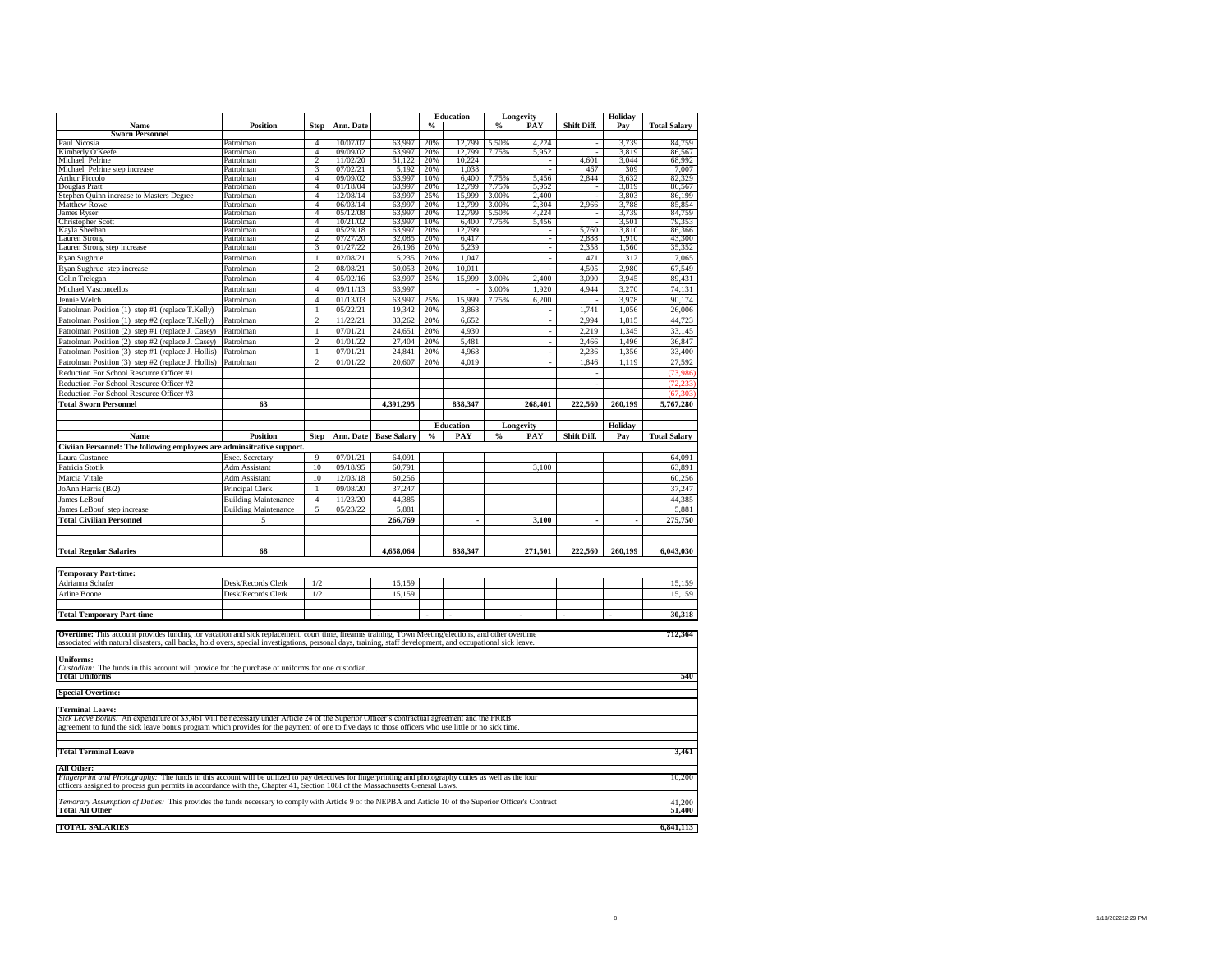|                                                                                                                                                                                                                                                                                                                    |                             |                                  |                      |                    |                | <b>Education</b> |                    | Longevity       |             | Holiday        |                     |
|--------------------------------------------------------------------------------------------------------------------------------------------------------------------------------------------------------------------------------------------------------------------------------------------------------------------|-----------------------------|----------------------------------|----------------------|--------------------|----------------|------------------|--------------------|-----------------|-------------|----------------|---------------------|
| Name                                                                                                                                                                                                                                                                                                               | <b>Position</b>             | <b>Step</b>                      | Ann. Date            |                    | $\%$           |                  | $\%$               | PA <sub>1</sub> | Shift Diff. | Pay            | <b>Total Salary</b> |
| <b>Sworn Personnel</b><br>Paul Nicosia                                                                                                                                                                                                                                                                             | Patrolman                   | $\overline{4}$                   | 10/07/07             | 63,997             | 20%            | 12,799           | 5.50%              | 4,224           |             | 3,739          | 84,759              |
| Kimberly O'Keefe                                                                                                                                                                                                                                                                                                   | Patrolman                   | $\overline{4}$                   | 09/09/02             | 63,997             | 20%            | 12,799           | 7.75%              | 5,952           |             | 3,819          | 86,567              |
| Michael Pelrine                                                                                                                                                                                                                                                                                                    | Patrolman                   | $\overline{2}$                   | 11/02/20             | 51,122             | 20%            | 10,224           |                    |                 | 4.601       | 3.044          | 68,992              |
| Michael Pelrine step increase                                                                                                                                                                                                                                                                                      | Patrolman                   | 3                                | 07/02/21             | 5,192              | 20%            | 1,038            |                    |                 | 467         | 309            | 7,007               |
| <b>Arthur Piccolo</b><br>Douglas Pratt                                                                                                                                                                                                                                                                             | Patrolman<br>Patrolman      | $\overline{4}$<br>$\overline{4}$ | 09/09/02<br>01/18/04 | 63,997<br>63,997   | 10%<br>20%     | 6,400<br>12,799  | 7.75%<br>7.75%     | 5,456<br>5,952  | 2,844       | 3,632<br>3,819 | 82,329<br>86,567    |
| Stephen Quinn increase to Masters Degree                                                                                                                                                                                                                                                                           | Patrolman                   | $\overline{4}$                   | 12/08/14             | 63,997             | 25%            | 15,999           | 3.00%              | 2,400           |             | 3,803          | 86,199              |
| Stephen Quinn                                                                                                                                                                                                                                                                                                      | Patrolman                   | $\overline{4}$                   | 06/03/14             | 63,997             | 20%            | 12,799           | 3.00%              | 2,304           | 2,966       | 3,788          | 85,854              |
| James Ryser                                                                                                                                                                                                                                                                                                        | Patrolman                   | $\overline{4}$                   | 05/12/08             | 63.997             | 20%            | 12,799           | 5.50%              | 4.224           |             | 3.739          | 84.759              |
| Christopher Scott                                                                                                                                                                                                                                                                                                  | Patrolman<br>Patrolman      | $\overline{4}$<br>$\overline{4}$ | 10/21/02<br>05/29/18 | 63,997<br>63,997   | 10%<br>20%     | 6,400<br>12,799  | 7.75%              | 5,456           | 5,760       | 3,501<br>3,810 | 79,353<br>86,366    |
| Kayla Sheehan<br><b>Lauren Strong</b>                                                                                                                                                                                                                                                                              | Patrolman                   | $\overline{\mathcal{L}}$         | 07/27/20             | 32,085             | 20%            | 6,417            |                    |                 | 2,888       | 1,910          | 43,300              |
| Lauren Strong step increase                                                                                                                                                                                                                                                                                        | Patrolman                   | $\overline{\mathbf{3}}$          | 01/27/22             | 26,196             | 20%            | 5,239            |                    | ÷               | 2,358       | 1,560          | 35,352              |
| Ryan Sughrue                                                                                                                                                                                                                                                                                                       | Patrolman                   | $\,1$                            | 02/08/21             | 5,235              | 20%            | 1,047            |                    |                 | 471         | 312            | 7,065               |
| Ryan Sughrue step increase                                                                                                                                                                                                                                                                                         | Patrolman                   | $\overline{c}$                   | 08/08/21             | 50,053             | 20%            | 10.011           |                    |                 | 4.505       | 2.980          | 67,549              |
| Colin Trelegan                                                                                                                                                                                                                                                                                                     | Patrolman                   | $\overline{4}$                   | 05/02/16             | 63,997             | 25%            | 15,999           | 3.00%              | 2,400           | 3,090       | 3,945          | 89,431              |
| Michael Vasconcellos                                                                                                                                                                                                                                                                                               | Patrolman                   | $\overline{4}$                   | 09/11/13             | 63,997             |                |                  | 3.00%              | 1.920           | 4,944       | 3,270          | 74,131              |
| Jennie Welch                                                                                                                                                                                                                                                                                                       | Patrolman                   | $\overline{4}$                   | 01/13/03             | 63,997             | 25%            | 15,999           | 7.75%              | 6,200           |             | 3,978          | 90,174              |
| Patrolman Position (1) step #1 (replace T.Kelly)                                                                                                                                                                                                                                                                   | Patrolman                   | $\,1$                            | 05/22/21             | 19,342             | 20%            | 3,868            |                    |                 | 1,741       | 1,056          | 26,006              |
| Patrolman Position (1) step #2 (replace T.Kelly)                                                                                                                                                                                                                                                                   | Patrolman                   | $\,2$                            | 11/22/21             | 33,262             | 20%            | 6,652            |                    |                 | 2,994       | 1,815          | 44,723              |
| Patrolman Position (2) step #1 (replace J. Casey)                                                                                                                                                                                                                                                                  | Patrolman                   | $\mathbf{1}$                     | 07/01/21             | 24,651             | 20%            | 4,930            |                    |                 | 2,219       | 1,345          | 33,145              |
| Patrolman Position (2) step #2 (replace J. Casey)                                                                                                                                                                                                                                                                  | Patrolman                   | $\overline{c}$                   | 01/01/22             | 27,404             | 20%            | 5,481            |                    |                 | 2,466       | 1,496          | 36,847              |
| Patrolman Position (3) step #1 (replace J. Hollis)                                                                                                                                                                                                                                                                 | Patrolman                   | $\,1$                            | 07/01/21             | 24,841             | 20%            | 4,968            |                    |                 | 2,236       | 1,356          | 33,400              |
| Patrolman Position (3) step #2 (replace J. Hollis)                                                                                                                                                                                                                                                                 | Patrolman                   | $\overline{a}$                   | 01/01/22             | 20,607             | 20%            | 4,019            |                    |                 | 1.846       | 1,119          | 27,592              |
| Reduction For School Resource Officer #1                                                                                                                                                                                                                                                                           |                             |                                  |                      |                    |                |                  |                    |                 |             |                | (73,986)            |
| Reduction For School Resource Officer #2                                                                                                                                                                                                                                                                           |                             |                                  |                      |                    |                |                  |                    |                 | J.          |                | (72, 233)           |
| Reduction For School Resource Officer #3                                                                                                                                                                                                                                                                           |                             |                                  |                      |                    |                |                  |                    |                 |             |                | (67, 303)           |
| <b>Total Sworn Personnel</b>                                                                                                                                                                                                                                                                                       | 63                          |                                  |                      | 4,391,295          |                | 838,347          |                    | 268,401         | 222,560     | 260,199        | 5,767,280           |
|                                                                                                                                                                                                                                                                                                                    |                             |                                  |                      |                    |                |                  |                    |                 |             |                |                     |
|                                                                                                                                                                                                                                                                                                                    |                             |                                  |                      |                    |                | <b>Education</b> |                    | Longevity       |             | Holiday        |                     |
| Name                                                                                                                                                                                                                                                                                                               | <b>Position</b>             | <b>Step</b>                      | Ann. Date            | <b>Base Salary</b> | $\%$           | PAY              | $\frac{0}{\alpha}$ | PAY             | Shift Diff. | Pay            | <b>Total Salary</b> |
| Civiian Personnel: The following employees are adminsitrative support.                                                                                                                                                                                                                                             |                             |                                  |                      |                    |                |                  |                    |                 |             |                |                     |
| Laura Custance                                                                                                                                                                                                                                                                                                     | Exec. Secretary             | 9                                | 07/01/21             | 64,091             |                |                  |                    |                 |             |                | 64,091              |
| Patricia Stotik                                                                                                                                                                                                                                                                                                    | Adm Assistant               | 10                               | 09/18/95             | 60,791             |                |                  |                    | 3,100           |             |                | 63,891              |
| Marcia Vitale                                                                                                                                                                                                                                                                                                      | Adm Assistant               | 10                               | 12/03/18             | 60,256             |                |                  |                    |                 |             |                | 60,256              |
| JoAnn Harris (B/2)                                                                                                                                                                                                                                                                                                 | Principal Clerk             | $\mathbf{I}$                     | 09/08/20             | 37,247             |                |                  |                    |                 |             |                | 37,247              |
| James LeBouf                                                                                                                                                                                                                                                                                                       | <b>Building Maintenance</b> | $\overline{4}$                   | 11/23/20             | 44,385             |                |                  |                    |                 |             |                | 44,385              |
| James LeBouf step increase                                                                                                                                                                                                                                                                                         | <b>Building Maintenance</b> | 5                                | 05/23/22             | 5,881              |                |                  |                    |                 |             |                | 5,881               |
| <b>Total Civilian Personnel</b>                                                                                                                                                                                                                                                                                    | 5                           |                                  |                      | 266,769            |                |                  |                    | 3,100           |             |                | 275,750             |
|                                                                                                                                                                                                                                                                                                                    |                             |                                  |                      |                    |                |                  |                    |                 |             |                |                     |
|                                                                                                                                                                                                                                                                                                                    |                             |                                  |                      |                    |                |                  |                    |                 |             |                |                     |
| <b>Total Regular Salaries</b>                                                                                                                                                                                                                                                                                      | 68                          |                                  |                      | 4,658,064          |                | 838,347          |                    | 271,501         | 222,560     | 260,199        | 6,043,030           |
|                                                                                                                                                                                                                                                                                                                    |                             |                                  |                      |                    |                |                  |                    |                 |             |                |                     |
| <b>Temporary Part-time:</b>                                                                                                                                                                                                                                                                                        |                             |                                  |                      |                    |                |                  |                    |                 |             |                |                     |
| Adrianna Schafer                                                                                                                                                                                                                                                                                                   | Desk/Records Clerk          | 1/2                              |                      | 15,159             |                |                  |                    |                 |             |                | 15,159              |
| Arline Boone                                                                                                                                                                                                                                                                                                       | Desk/Records Clerk          | 1/2                              |                      | 15,159             |                |                  |                    |                 |             |                | 15,159              |
|                                                                                                                                                                                                                                                                                                                    |                             |                                  |                      |                    |                |                  |                    |                 |             |                |                     |
| <b>Total Temporary Part-time</b>                                                                                                                                                                                                                                                                                   |                             |                                  |                      | ÷                  | $\blacksquare$ |                  |                    |                 |             |                | 30,318              |
|                                                                                                                                                                                                                                                                                                                    |                             |                                  |                      |                    |                |                  |                    |                 |             |                | 712,364             |
| Overtime: This account provides funding for vacation and sick replacement, court time, firearms training, Town Meeting/elections, and other overtime<br>associated with natural disasters, call backs, hold overs, special investigations, personal days, training, staff development, and occupational sick leave |                             |                                  |                      |                    |                |                  |                    |                 |             |                |                     |
|                                                                                                                                                                                                                                                                                                                    |                             |                                  |                      |                    |                |                  |                    |                 |             |                |                     |
| Uniforms:<br>Custodian: The funds in this account will provide for the purchase of uniforms for one custodian.                                                                                                                                                                                                     |                             |                                  |                      |                    |                |                  |                    |                 |             |                |                     |
|                                                                                                                                                                                                                                                                                                                    |                             |                                  |                      |                    |                |                  |                    |                 |             |                | 540                 |
| <b>Total Uniforms</b>                                                                                                                                                                                                                                                                                              |                             |                                  |                      |                    |                |                  |                    |                 |             |                |                     |
| <b>Special Overtime:</b>                                                                                                                                                                                                                                                                                           |                             |                                  |                      |                    |                |                  |                    |                 |             |                |                     |
|                                                                                                                                                                                                                                                                                                                    |                             |                                  |                      |                    |                |                  |                    |                 |             |                |                     |
| <b>Terminal Leave:</b><br>Sick Leave Bonus: An expenditure of \$3,461 will be necessary under Article 24 of the Superior Officer's contractual agreement and the PRRB                                                                                                                                              |                             |                                  |                      |                    |                |                  |                    |                 |             |                |                     |
| agreement to fund the sick leave bonus program which provides for the payment of one to five days to those officers who use little or no sick time                                                                                                                                                                 |                             |                                  |                      |                    |                |                  |                    |                 |             |                |                     |
|                                                                                                                                                                                                                                                                                                                    |                             |                                  |                      |                    |                |                  |                    |                 |             |                |                     |
|                                                                                                                                                                                                                                                                                                                    |                             |                                  |                      |                    |                |                  |                    |                 |             |                |                     |
| <b>Total Terminal Leave</b>                                                                                                                                                                                                                                                                                        |                             |                                  |                      |                    |                |                  |                    |                 |             |                | 3,461               |
| All Other:                                                                                                                                                                                                                                                                                                         |                             |                                  |                      |                    |                |                  |                    |                 |             |                |                     |
| Fingerprint and Photography: The funds in this account will be utilized to pay detectives for fingerprinting and photography duties as well as the four                                                                                                                                                            |                             |                                  |                      |                    |                |                  |                    |                 |             |                | 10,200              |
| officers assigned to process gun permits in accordance with the, Chapter 41, Section 108I of the Massachusetts General Laws                                                                                                                                                                                        |                             |                                  |                      |                    |                |                  |                    |                 |             |                |                     |
| Temorary Assumption of Duties: This provides the funds necessary to comply with Article 9 of the NEPBA and Article 10 of the Superior Officer's Contract                                                                                                                                                           |                             |                                  |                      |                    |                |                  |                    |                 |             |                | 41,200              |
| <b>Total All Other</b>                                                                                                                                                                                                                                                                                             |                             |                                  |                      |                    |                |                  |                    |                 |             |                | 51,400              |
|                                                                                                                                                                                                                                                                                                                    |                             |                                  |                      |                    |                |                  |                    |                 |             |                |                     |
| <b>TOTAL SALARIES</b>                                                                                                                                                                                                                                                                                              |                             |                                  |                      |                    |                |                  |                    |                 |             |                | 6,841,113           |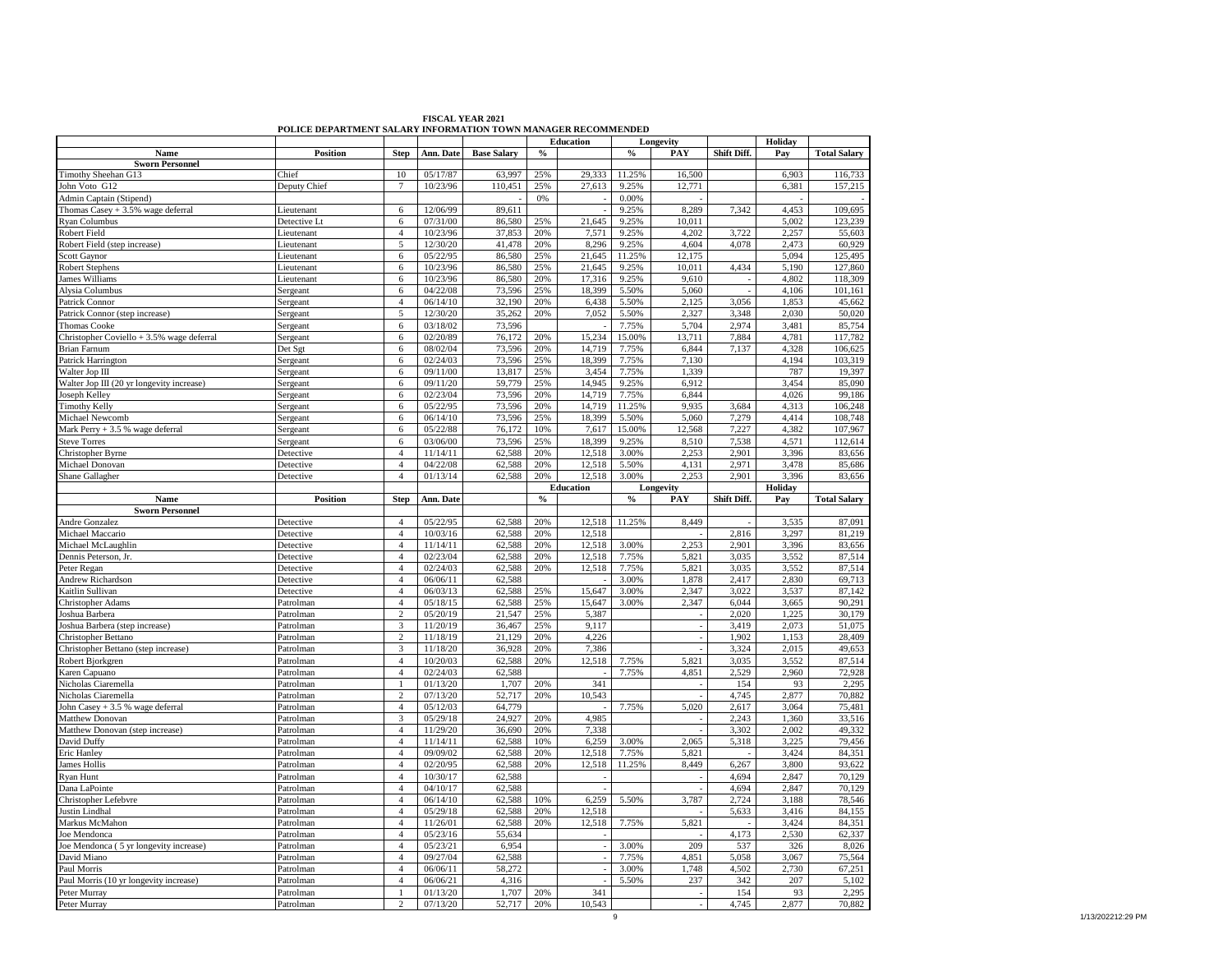|                                           | POLICE DEPARTMENT SALARY INFORMATION TOWN MANAGER RECOMMENDED |                |           |                    |                                         |                  |        |           |             |             |                     |
|-------------------------------------------|---------------------------------------------------------------|----------------|-----------|--------------------|-----------------------------------------|------------------|--------|-----------|-------------|-------------|---------------------|
|                                           |                                                               |                |           |                    |                                         | <b>Education</b> |        | Longevity |             | Holiday     |                     |
| Name                                      | <b>Position</b>                                               | <b>Step</b>    | Ann. Date | <b>Base Salary</b> | $\boldsymbol{\theta}/_{\boldsymbol{0}}$ |                  | $\%$   | PAY       | Shift Diff. | Pay         | <b>Total Salary</b> |
| <b>Sworn Personnel</b>                    |                                                               |                |           |                    |                                         |                  |        |           |             |             |                     |
| Timothy Sheehan G13                       | Chief                                                         | 10             | 05/17/87  | 63,997             | 25%                                     | 29,333           | 11.25% | 16,500    |             | 6,903       | 116,733             |
| John Voto G12                             | Deputy Chief                                                  | $\overline{7}$ | 10/23/96  | 110,451            | 25%                                     | 27,613           | 9.25%  | 12,771    |             | 6,381       | 157,215             |
| Admin Captain (Stipend)                   |                                                               |                |           |                    | 0%                                      |                  | 0.00%  |           |             |             |                     |
| Thomas $Casey + 3.5%$ wage deferral       | Lieutenant                                                    | 6              | 12/06/99  | 89,611             |                                         |                  | 9.25%  | 8,289     | 7,342       | 4,453       | 109,695             |
| Ryan Columbus                             | Detective Lt                                                  | 6              | 07/31/00  | 86,580             | 25%                                     | 21,645           | 9.25%  | 10,011    |             | 5,002       | 123,239             |
| Robert Field                              | Lieutenant                                                    | $\overline{4}$ | 10/23/96  | 37,853             | 20%                                     | 7,571            | 9.25%  | 4,202     | 3,722       | 2,257       | 55,603              |
| Robert Field (step increase)              | Lieutenant                                                    | 5              | 12/30/20  | 41,478             | 20%                                     | 8,296            | 9.25%  | 4,604     | 4,078       | 2,473       | 60,929              |
| <b>Scott Gaynor</b>                       | Lieutenant                                                    | 6              | 05/22/95  | 86,580             | 25%                                     | 21,645           | 11.25% | 12,175    |             | 5.094       | 125,495             |
|                                           |                                                               | 6              | 10/23/96  | 86,580             | 25%                                     | 21,645           | 9.25%  | 10,011    | 4,434       | 5,190       | 127,860             |
| Robert Stephens                           | Lieutenant                                                    |                |           |                    |                                         |                  |        |           |             |             |                     |
| <b>James Williams</b>                     | Lieutenant                                                    | 6              | 10/23/96  | 86,580             | 20%                                     | 17,316           | 9.25%  | 9,610     |             | 4,802       | 118,309             |
| Alysia Columbus                           | Sergeant                                                      | 6              | 04/22/08  | 73,596             | 25%                                     | 18,399           | 5.50%  | 5,060     |             | 4,106       | 101,161             |
| Patrick Connor                            | Sergeant                                                      | $\overline{4}$ | 06/14/10  | 32.190             | 20%                                     | 6.438            | 5.50%  | 2,125     | 3.056       | 1,853       | 45,662              |
| Patrick Connor (step increase)            | Sergeant                                                      | 5              | 12/30/20  | 35,262             | 20%                                     | 7,052            | 5.50%  | 2,327     | 3,348       | 2.030       | 50,020              |
| <b>Thomas Cooke</b>                       | Sergeant                                                      | 6              | 03/18/02  | 73,596             |                                         |                  | 7.75%  | 5,704     | 2.974       | 3,481       | 85,754              |
| Christopher Coviello + 3.5% wage deferral | Sergeant                                                      | 6              | 02/20/89  | 76,172             | 20%                                     | 15,234           | 15.00% | 13,711    | 7,884       | 4,781       | 117,782             |
| <b>Brian Farnum</b>                       | Det Sgt                                                       | 6              | 08/02/04  | 73,596             | 20%                                     | 14,719           | 7.75%  | 6,844     | 7.137       | 4,328       | 106,625             |
| Patrick Harrington                        | Sergeant                                                      | 6              | 02/24/03  | 73,596             | 25%                                     | 18,399           | 7.75%  | 7,130     |             | 4,194       | 103,319             |
| Walter Jop III                            | Sergeant                                                      | 6              | 09/11/00  | 13,817             | 25%                                     | 3,454            | 7.75%  | 1,339     |             | 787         | 19,397              |
| Walter Jop III (20 yr longevity increase) | Sergeant                                                      | 6              | 09/11/20  | 59,779             | 25%                                     | 14,945           | 9.25%  | 6,912     |             | 3,454       | 85,090              |
| Joseph Kelley                             | Sergeant                                                      | 6              | 02/23/04  | 73,596             | 20%                                     | 14,719           | 7.75%  | 6,844     |             | 4,026       | 99,186              |
|                                           |                                                               |                |           |                    |                                         |                  |        |           |             |             |                     |
| <b>Timothy Kelly</b>                      | Sergeant                                                      | 6              | 05/22/95  | 73,596             | 20%                                     | 14,719           | 11.25% | 9,935     | 3,684       | 4,313       | 106,248             |
| Michael Newcomb                           | Sergeant                                                      | 6              | 06/14/10  | 73,596             | 25%                                     | 18,399           | 5.50%  | 5,060     | 7,279       | 4,414       | 108,748             |
| Mark Perry + 3.5 % wage deferral          | Sergeant                                                      | 6              | 05/22/88  | 76,172             | 10%                                     | 7,617            | 15.00% | 12,568    | 7,227       | 4,382       | 107,967             |
| <b>Steve Torres</b>                       | Sergeant                                                      | 6              | 03/06/00  | 73,596             | 25%                                     | 18,399           | 9.25%  | 8,510     | 7,538       | 4,571       | 112,614             |
| Christopher Byrne                         | Detective                                                     | $\overline{4}$ | 11/14/11  | 62,588             | 20%                                     | 12,518           | 3.00%  | 2,253     | 2,901       | 3,396       | 83,656              |
| Michael Donovan                           | Detective                                                     | $\overline{4}$ | 04/22/08  | 62,588             | 20%                                     | 12,518           | 5.50%  | 4,131     | 2.971       | 3,478       | 85,686              |
| Shane Gallagher                           | Detective                                                     | $\overline{4}$ | 01/13/14  | 62,588             | 20%                                     | 12,518           | 3.00%  | 2,253     | 2.901       | 3,396       | 83,656              |
|                                           |                                                               |                |           |                    |                                         | <b>Education</b> |        | Longevity |             | Holiday     |                     |
| Name                                      | <b>Position</b>                                               | <b>Step</b>    | Ann. Date |                    | $\boldsymbol{\theta}/_{\boldsymbol{0}}$ |                  | $\%$   | PAY       | Shift Diff. | Pay         | <b>Total Salary</b> |
| <b>Sworn Personnel</b>                    |                                                               |                |           |                    |                                         |                  |        |           |             |             |                     |
| Andre Gonzalez                            | Detective                                                     | $\overline{4}$ | 05/22/95  | 62,588             | 20%                                     | 12,518           | 11.25% | 8,449     |             | 3,535       | 87,091              |
| Michael Maccario                          | Detective                                                     | $\overline{4}$ | 10/03/16  | 62,588             | 20%                                     | 12.518           |        |           | 2.816       | 3.297       | 81,219              |
| Michael McLaughlin                        | Detective                                                     | $\overline{4}$ | 11/14/11  | 62,588             | 20%                                     | 12,518           | 3.00%  | 2,253     | 2,901       | 3,396       | 83,656              |
|                                           |                                                               | $\overline{4}$ | 02/23/04  | 62,588             | 20%                                     | 12,518           | 7.75%  | 5,821     | 3,035       |             |                     |
|                                           |                                                               |                |           |                    |                                         |                  |        |           |             |             |                     |
| Dennis Peterson, Jr.                      | Detective                                                     |                |           |                    |                                         |                  |        |           |             | 3,552       | 87,514              |
| Peter Regan                               | Detective                                                     | $\overline{4}$ | 02/24/03  | 62.588             | 20%                                     | 12.518           | 7.75%  | 5.821     | 3.035       | 3.552       | 87,514              |
| Andrew Richardson                         | Detective                                                     | $\overline{4}$ | 06/06/11  | 62,588             |                                         |                  | 3.00%  | 1,878     | 2,417       | 2,830       | 69,713              |
| Kaitlin Sullivan                          | Detective                                                     | $\overline{4}$ | 06/03/13  | 62,588             | 25%                                     | 15,647           | 3.00%  | 2,347     | 3,022       | 3,537       | 87,142              |
| Christopher Adams                         | Patrolman                                                     | $\overline{4}$ | 05/18/15  | 62,588             | 25%                                     | 15,647           | 3.00%  | 2,347     | 6,044       | 3,665       | 90,291              |
| Joshua Barbera                            | Patrolman                                                     | $\mathfrak{2}$ | 05/20/19  | 21,547             | 25%                                     | 5,387            |        |           | 2,020       | 1,225       | 30,179              |
| Joshua Barbera (step increase)            | Patrolman                                                     | 3              | 11/20/19  | 36,467             | 25%                                     | 9,117            |        |           | 3,419       | 2,073       | 51,075              |
| Christopher Bettano                       | Patrolman                                                     | $\overline{c}$ | 11/18/19  | 21,129             | 20%                                     | 4,226            |        |           | 1,902       | 1,153       | 28,409              |
|                                           |                                                               |                |           |                    |                                         |                  |        |           |             |             |                     |
| Christopher Bettano (step increase)       | Patrolman                                                     | $\overline{3}$ | 11/18/20  | 36,928             | 20%                                     | 7,386            |        |           | 3,324       | 2,015       | 49,653              |
| Robert Bjorkgren                          | Patrolman                                                     | $\overline{4}$ | 10/20/03  | 62,588             | 20%                                     | 12,518           | 7.75%  | 5,821     | 3,035       | 3,552       | 87,514              |
| Karen Capuano                             | Patrolman                                                     | $\overline{4}$ | 02/24/03  | 62.588             |                                         |                  | 7.75%  | 4.851     | 2.529       | 2.960       | 72,928              |
| Nicholas Ciaremella                       | Patrolman                                                     |                | 01/13/20  | 1,707              | 20%                                     | 341              |        |           | 154         | 93          | 2,295               |
| Nicholas Ciaremella                       | Patrolman                                                     | $\mathbf{2}$   | 07/13/20  | 52,717             | 20%                                     | 10,543           |        |           | 4,745       | 2,877       | 70,882              |
| John Casey + 3.5 % wage deferral          | Patrolman                                                     | $\overline{4}$ | 05/12/03  | 64,779             |                                         |                  | 7.75%  | 5,020     | 2,617       | 3,064       | 75,481              |
| Matthew Donovan                           | Patrolman                                                     | 3              | 05/29/18  | 24,927             | 20%                                     | 4.985            |        |           | 2,243       | 1,360       | 33,516              |
| Matthew Donovan (step increase)           | Patrolman                                                     | $\overline{4}$ | 11/29/20  | 36,690             | 20%                                     | 7,338            |        |           | 3.302       | 2.002       | 49,332              |
| David Duffy                               | Patrolman                                                     | $\overline{4}$ | 11/14/11  | 62,588             | 10%                                     | 6,259            | 3.00%  | 2.065     | 5,318       | 3,225       | 79,456              |
| Eric Hanley                               | Patrolman                                                     | $\overline{4}$ | 09/09/02  | 62,588             | 20%                                     | 12,518           | 7.75%  | 5,821     |             | 3,424       | 84,351              |
| James Hollis                              | Patrolman                                                     | $\overline{4}$ | 02/20/95  | 62,588             | 20%                                     | 12,518           | 11.25% | 8,449     | 6,267       | 3,800       | 93,622              |
|                                           | Patrolman                                                     | $\overline{4}$ | 10/30/17  | 62,588             |                                         |                  |        |           | 4,694       | 2,847       | 70,129              |
| Ryan Hunt                                 |                                                               |                |           |                    |                                         |                  |        |           |             |             |                     |
| Dana LaPointe                             | Patrolman                                                     | $\overline{4}$ | 04/10/17  | 62,588             |                                         |                  |        |           | 4,694       | 2,847       | 70,129              |
| Christopher Lefebvre                      | Patrolman                                                     | $\overline{4}$ | 06/14/10  | 62,588             | 10%                                     | 6,259            | 5.50%  | 3,787     | 2,724       | 3,188       | 78,546              |
| Justin Lindhal                            | Patrolman                                                     | $\overline{4}$ | 05/29/18  | 62,588             | 20%                                     | 12,518           |        |           | 5,633       | 3,416       | 84,155              |
| Markus McMahon                            | Patrolman                                                     | $\overline{4}$ | 11/26/01  | 62,588             | 20%                                     | 12,518           | 7.75%  | 5,821     |             | 3,424       | 84,351              |
| Joe Mendonca                              | Patrolman                                                     | $\overline{4}$ | 05/23/16  | 55,634             |                                         |                  |        |           | 4,173       | 2,530       | 62,337              |
| Joe Mendonca (5 yr longevity increase)    | Patrolman                                                     | $\overline{4}$ | 05/23/21  | 6,954              |                                         |                  | 3.00%  | 209       | 537         | 326         | 8,026               |
| David Miano                               | Patrolman                                                     | $\overline{4}$ | 09/27/04  | 62,588             |                                         |                  | 7.75%  | 4,851     | 5,058       | 3.067       | 75,564              |
| Paul Morris                               | Patrolman                                                     | $\overline{4}$ | 06/06/11  | 58,272             |                                         |                  | 3.00%  | 1,748     | 4,502       | 2,730       | 67,251              |
| Paul Morris (10 yr longevity increase)    | Patrolman                                                     | $\overline{4}$ | 06/06/21  | 4,316              |                                         |                  | 5.50%  | 237       | 342         | 207         | 5,102               |
| Peter Murray                              | Patrolman                                                     |                | 01/13/20  | 1,707              | 20%                                     | 341              |        |           | 154         | 93<br>2,877 | 2,295<br>70,882     |

**FISCAL YEAR 2021 POLICE DEPARTMENT SALARY INFORMATION TOWN MANAGER RECOMMENDED**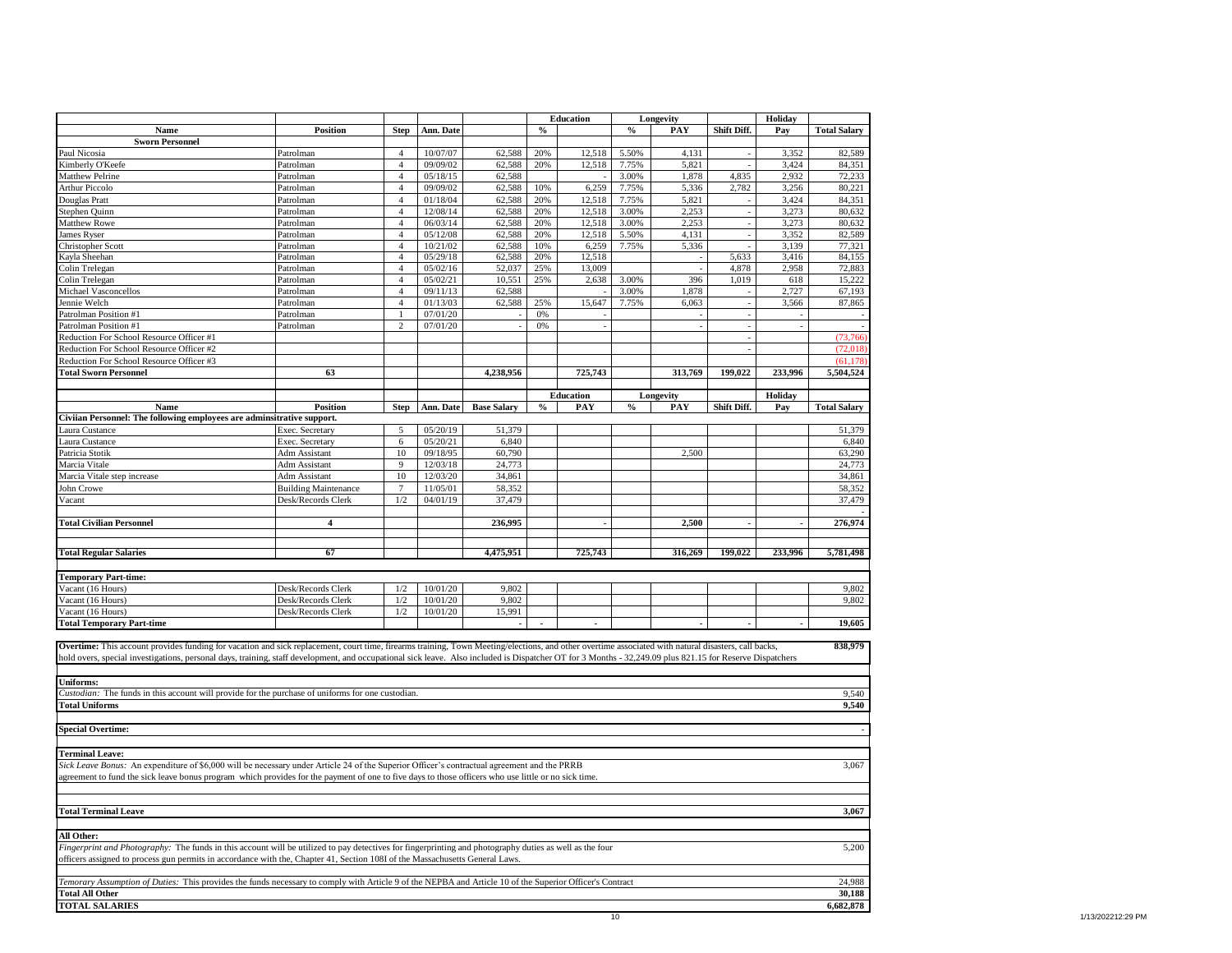|                                                                                                                                                                                                          |                             |                |           |                    |               | <b>Education</b>         |               | Longevity                |             | Holiday |                     |
|----------------------------------------------------------------------------------------------------------------------------------------------------------------------------------------------------------|-----------------------------|----------------|-----------|--------------------|---------------|--------------------------|---------------|--------------------------|-------------|---------|---------------------|
| Name                                                                                                                                                                                                     | <b>Position</b>             | <b>Step</b>    | Ann. Date |                    | $\frac{6}{6}$ |                          | $\frac{0}{0}$ | PAY                      | Shift Diff. | Pay     | <b>Total Salary</b> |
| <b>Sworn Personnel</b>                                                                                                                                                                                   |                             |                |           |                    |               |                          |               |                          |             |         |                     |
| Paul Nicosia                                                                                                                                                                                             | Patrolman                   | $\overline{4}$ | 10/07/07  | 62,588             | 20%           | 12,518                   | 5.50%         | 4,131                    |             | 3,352   | 82,589              |
| Kimberly O'Keefe                                                                                                                                                                                         | Patrolman                   | $\overline{4}$ | 09/09/02  | 62,588             | 20%           | 12,518                   | 7.75%         | 5,821                    |             | 3,424   | 84,351              |
| Matthew Pelrine                                                                                                                                                                                          | Patrolman                   | $\overline{4}$ | 05/18/15  | 62,588             |               |                          | 3.00%         | 1,878                    | 4,835       | 2,932   | 72,233              |
| <b>Arthur Piccolo</b>                                                                                                                                                                                    | Patrolman                   | $\overline{4}$ | 09/09/02  | 62,588             | 10%           | 6,259                    | 7.75%         | 5,336                    | 2,782       | 3,256   | 80,221              |
| Douglas Pratt                                                                                                                                                                                            | Patrolman                   | $\overline{4}$ | 01/18/04  | 62,588             | 20%           | 12.518                   | 7.75%         | 5.821                    |             | 3.424   | 84,351              |
| Stephen Quinn                                                                                                                                                                                            | Patrolman                   | $\overline{4}$ | 12/08/14  | 62,588             | 20%           | 12,518                   | 3.00%         | 2,253                    |             | 3,273   | 80,632              |
| Matthew Rowe                                                                                                                                                                                             | Patrolman                   | $\overline{4}$ | 06/03/14  | 62,588             | 20%           | 12,518                   | 3.00%         | 2,253                    |             | 3,273   | 80,632              |
| <b>James Ryser</b>                                                                                                                                                                                       | Patrolman                   | $\overline{4}$ | 05/12/08  | 62,588             | 20%           | 12,518                   | 5.50%         | 4,131                    |             | 3,352   | 82,589              |
| Christopher Scott                                                                                                                                                                                        | Patrolman                   | $\overline{4}$ | 10/21/02  | 62,588             | 10%           | 6,259                    | 7.75%         | 5,336                    |             | 3,139   | 77,321              |
| Kayla Sheehan                                                                                                                                                                                            | Patrolman                   | $\overline{4}$ | 05/29/18  | 62,588             | 20%           | 12,518                   |               | $\overline{\phantom{a}}$ | 5,633       | 3,416   | 84,155              |
| Colin Trelegan                                                                                                                                                                                           | Patrolman                   | $\overline{4}$ | 05/02/16  | 52,037             | 25%           | 13,009                   |               |                          | 4,878       | 2,958   | 72,883              |
| Colin Trelegan                                                                                                                                                                                           | Patrolman                   | $\overline{4}$ | 05/02/21  | 10,551             | 25%           | 2,638                    | 3.00%         | 396                      | 1,019       | 618     | 15,222              |
| Michael Vasconcellos                                                                                                                                                                                     | Patrolman                   | $\overline{4}$ | 09/11/13  | 62,588             |               |                          | 3.00%         | 1,878                    |             | 2,727   | 67,193              |
| Jennie Welch                                                                                                                                                                                             | Patrolman                   | $\overline{4}$ | 01/13/03  | 62,588             | 25%           | 15,647                   | 7.75%         | 6,063                    |             | 3,566   | 87,865              |
| Patrolman Position #1                                                                                                                                                                                    | Patrolman                   | $\mathbf{1}$   | 07/01/20  |                    | 0%            |                          |               |                          |             |         |                     |
| Patrolman Position #1                                                                                                                                                                                    | Patrolman                   | $\overline{c}$ | 07/01/20  |                    | 0%            |                          |               |                          |             |         |                     |
| Reduction For School Resource Officer #1                                                                                                                                                                 |                             |                |           |                    |               |                          |               |                          |             |         | (73, 766)           |
| Reduction For School Resource Officer #2                                                                                                                                                                 |                             |                |           |                    |               |                          |               |                          |             |         | (72,018)            |
| Reduction For School Resource Officer #3                                                                                                                                                                 |                             |                |           |                    |               |                          |               |                          |             |         | (61.178)            |
| <b>Total Sworn Personnel</b>                                                                                                                                                                             | 63                          |                |           | 4,238,956          |               | 725,743                  |               | 313,769                  | 199,022     | 233,996 | 5,504,524           |
|                                                                                                                                                                                                          |                             |                |           |                    |               |                          |               |                          |             |         |                     |
|                                                                                                                                                                                                          |                             |                |           |                    |               | <b>Education</b>         |               | Longevity                |             | Holiday |                     |
| Name                                                                                                                                                                                                     | <b>Position</b>             | <b>Step</b>    | Ann. Date | <b>Base Salary</b> | $\%$          | PAY                      | $\%$          | PAY                      | Shift Diff. | Pay     | <b>Total Salary</b> |
| Civiian Personnel: The following employees are adminsitrative support.                                                                                                                                   |                             |                |           |                    |               |                          |               |                          |             |         |                     |
| aura Custance                                                                                                                                                                                            | Exec. Secretary             | 5              | 05/20/19  | 51,379             |               |                          |               |                          |             |         | 51,379              |
| aura Custance                                                                                                                                                                                            | Exec. Secretary             | 6              | 05/20/21  | 6,840              |               |                          |               |                          |             |         | 6,840               |
| Patricia Stotik                                                                                                                                                                                          | Adm Assistant               | 10             | 09/18/95  | 60,790             |               |                          |               | 2,500                    |             |         | 63,290              |
| Marcia Vitale                                                                                                                                                                                            | Adm Assistant               | 9              | 12/03/18  | 24,773             |               |                          |               |                          |             |         | 24,773              |
| Marcia Vitale step increase                                                                                                                                                                              | Adm Assistant               | 10             | 12/03/20  | 34,861             |               |                          |               |                          |             |         | 34,861              |
| John Crowe                                                                                                                                                                                               | <b>Building Maintenance</b> | $\overline{7}$ | 11/05/01  | 58,352             |               |                          |               |                          |             |         | 58,352              |
| Vacant                                                                                                                                                                                                   | Desk/Records Clerk          | 1/2            | 04/01/19  | 37,479             |               |                          |               |                          |             |         | 37,479              |
|                                                                                                                                                                                                          |                             |                |           |                    |               |                          |               |                          |             |         |                     |
| <b>Total Civilian Personnel</b>                                                                                                                                                                          | $\overline{\mathbf{4}}$     |                |           | 236,995            |               |                          |               | 2,500                    |             |         | 276,974             |
|                                                                                                                                                                                                          |                             |                |           |                    |               |                          |               |                          |             |         |                     |
|                                                                                                                                                                                                          |                             |                |           |                    |               |                          |               |                          |             |         |                     |
| <b>Total Regular Salaries</b>                                                                                                                                                                            | 67                          |                |           | 4,475,951          |               | 725,743                  |               | 316,269                  | 199,022     | 233,996 | 5,781,498           |
|                                                                                                                                                                                                          |                             |                |           |                    |               |                          |               |                          |             |         |                     |
| <b>Temporary Part-time:</b>                                                                                                                                                                              |                             |                |           |                    |               |                          |               |                          |             |         |                     |
| Vacant (16 Hours)                                                                                                                                                                                        | Desk/Records Clerk          | 1/2            | 10/01/20  | 9.802              |               |                          |               |                          |             |         | 9,802               |
| Vacant (16 Hours)                                                                                                                                                                                        | Desk/Records Clerk          | 1/2            | 10/01/20  | 9,802              |               |                          |               |                          |             |         | 9,802               |
| Vacant (16 Hours)                                                                                                                                                                                        | Desk/Records Clerk          | $1/2\,$        | 10/01/20  | 15,991             |               |                          |               |                          |             |         |                     |
| <b>Total Temporary Part-time</b>                                                                                                                                                                         |                             |                |           | $\blacksquare$     |               | $\overline{\phantom{a}}$ |               |                          |             |         | 19,605              |
|                                                                                                                                                                                                          |                             |                |           |                    |               |                          |               |                          |             |         |                     |
| Overtime: This account provides funding for vacation and sick replacement, court time, firearms training, Town Meeting/elections, and other overtime associated with natural disasters, call backs,      |                             |                |           |                    |               |                          |               |                          |             |         | 838,979             |
| hold overs, special investigations, personal days, training, staff development, and occupational sick leave. Also included is Dispatcher OT for 3 Months - 32,249.09 plus 821.15 for Reserve Dispatchers |                             |                |           |                    |               |                          |               |                          |             |         |                     |
|                                                                                                                                                                                                          |                             |                |           |                    |               |                          |               |                          |             |         |                     |
| <b>Uniforms:</b>                                                                                                                                                                                         |                             |                |           |                    |               |                          |               |                          |             |         |                     |
| Custodian: The funds in this account will provide for the purchase of uniforms for one custodian.                                                                                                        |                             |                |           |                    |               |                          |               |                          |             |         | 9,540               |
| <b>Total Uniforms</b>                                                                                                                                                                                    |                             |                |           |                    |               |                          |               |                          |             |         | 9,540               |
|                                                                                                                                                                                                          |                             |                |           |                    |               |                          |               |                          |             |         |                     |
| <b>Special Overtime:</b>                                                                                                                                                                                 |                             |                |           |                    |               |                          |               |                          |             |         |                     |
|                                                                                                                                                                                                          |                             |                |           |                    |               |                          |               |                          |             |         |                     |
| <b>Terminal Leave:</b>                                                                                                                                                                                   |                             |                |           |                    |               |                          |               |                          |             |         |                     |
| Sick Leave Bonus: An expenditure of \$6,000 will be necessary under Article 24 of the Superior Officer's contractual agreement and the PRRB                                                              |                             |                |           |                    |               |                          |               |                          |             |         | 3,067               |
|                                                                                                                                                                                                          |                             |                |           |                    |               |                          |               |                          |             |         |                     |
| agreement to fund the sick leave bonus program which provides for the payment of one to five days to those officers who use little or no sick time.                                                      |                             |                |           |                    |               |                          |               |                          |             |         |                     |
|                                                                                                                                                                                                          |                             |                |           |                    |               |                          |               |                          |             |         |                     |
|                                                                                                                                                                                                          |                             |                |           |                    |               |                          |               |                          |             |         | 3,067               |
| <b>Total Terminal Leave</b>                                                                                                                                                                              |                             |                |           |                    |               |                          |               |                          |             |         |                     |
|                                                                                                                                                                                                          |                             |                |           |                    |               |                          |               |                          |             |         |                     |
| All Other:                                                                                                                                                                                               |                             |                |           |                    |               |                          |               |                          |             |         |                     |
| Fingerprint and Photography: The funds in this account will be utilized to pay detectives for fingerprinting and photography duties as well as the four                                                  |                             |                |           |                    |               |                          |               |                          |             |         | 5,200               |
| officers assigned to process gun permits in accordance with the, Chapter 41, Section 108I of the Massachusetts General Laws.                                                                             |                             |                |           |                    |               |                          |               |                          |             |         |                     |
|                                                                                                                                                                                                          |                             |                |           |                    |               |                          |               |                          |             |         |                     |
| Temorary Assumption of Duties: This provides the funds necessary to comply with Article 9 of the NEPBA and Article 10 of the Superior Officer's Contract                                                 |                             |                |           |                    |               |                          |               |                          |             |         | 24,988              |
| <b>Total All Other</b>                                                                                                                                                                                   |                             |                |           |                    |               |                          |               |                          |             |         | 30,188              |
| <b>TOTAL SALARIES</b>                                                                                                                                                                                    |                             |                |           |                    |               |                          |               |                          |             |         | 6,682,878           |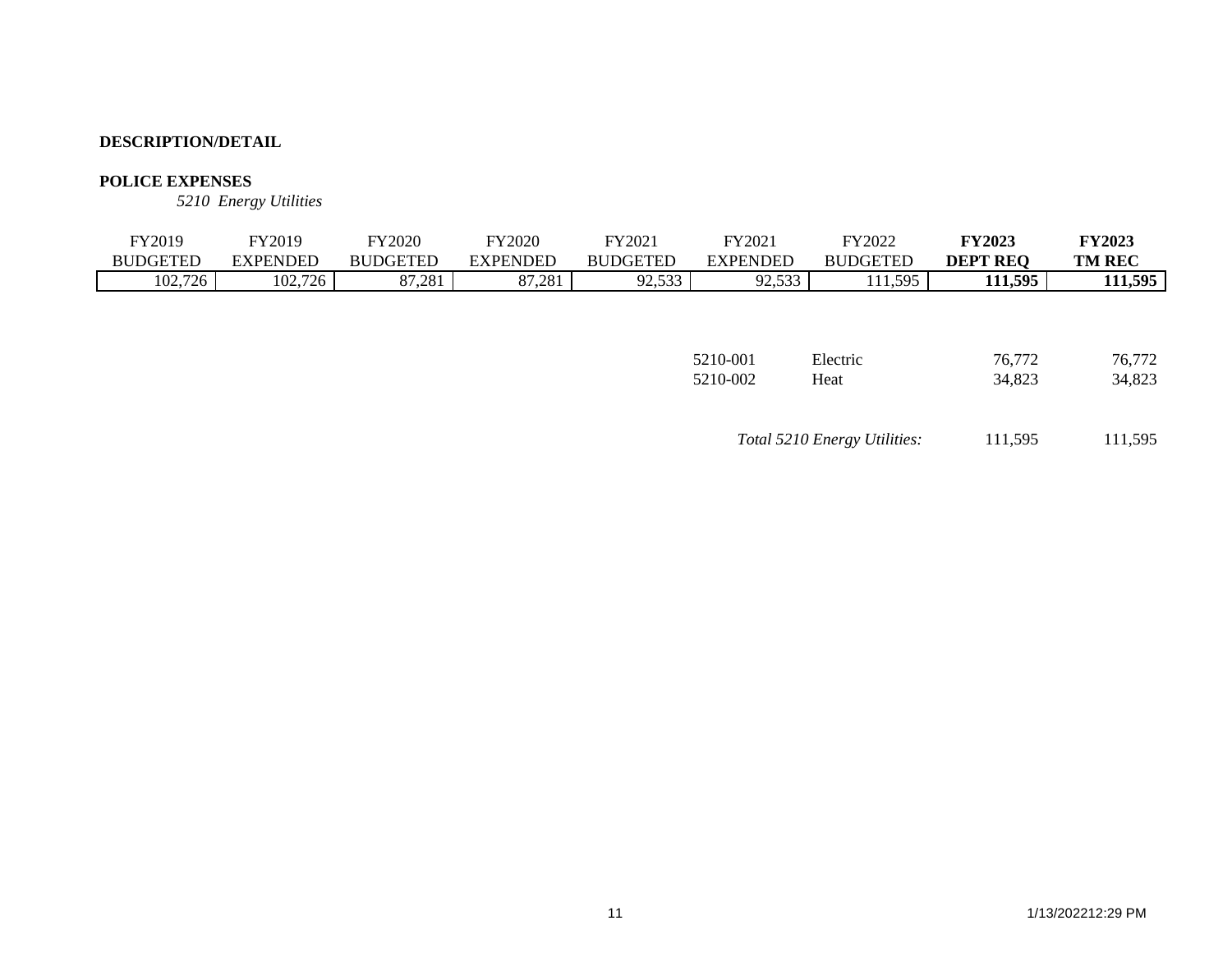## **POLICE EXPENSES**

*5210 Energy Utilities*

| FY2019          | FY2019          | <b>FY2020</b>   | <b>FY2020</b>   | FY2021          | FY2021          | FY2022          | <b>FY2023</b>   | <b>FY2023</b> |
|-----------------|-----------------|-----------------|-----------------|-----------------|-----------------|-----------------|-----------------|---------------|
| <b>BUDGETED</b> | <b>EXPENDED</b> | <b>BUDGETED</b> | <b>EXPENDED</b> | <b>BUDGETED</b> | <b>EXPENDED</b> | <b>BUDGETED</b> | <b>DEPT REQ</b> | <b>TM REC</b> |
| 102,726         | 102,726         | 87,281          | 87,281          | 92,533          | 92,533          | 111,595         | 111,595         | 111,595       |
|                 |                 |                 |                 |                 |                 |                 |                 |               |
|                 |                 |                 |                 |                 |                 |                 |                 |               |
|                 |                 |                 |                 |                 |                 |                 |                 |               |
|                 |                 |                 |                 |                 | 5210-001        | Electric        | 76,772          | 76.772        |

| Total 5210 Energy Utilities: | 111,595 | 111,595 |
|------------------------------|---------|---------|
|                              |         |         |

5210-002 Heat 34,823 34,823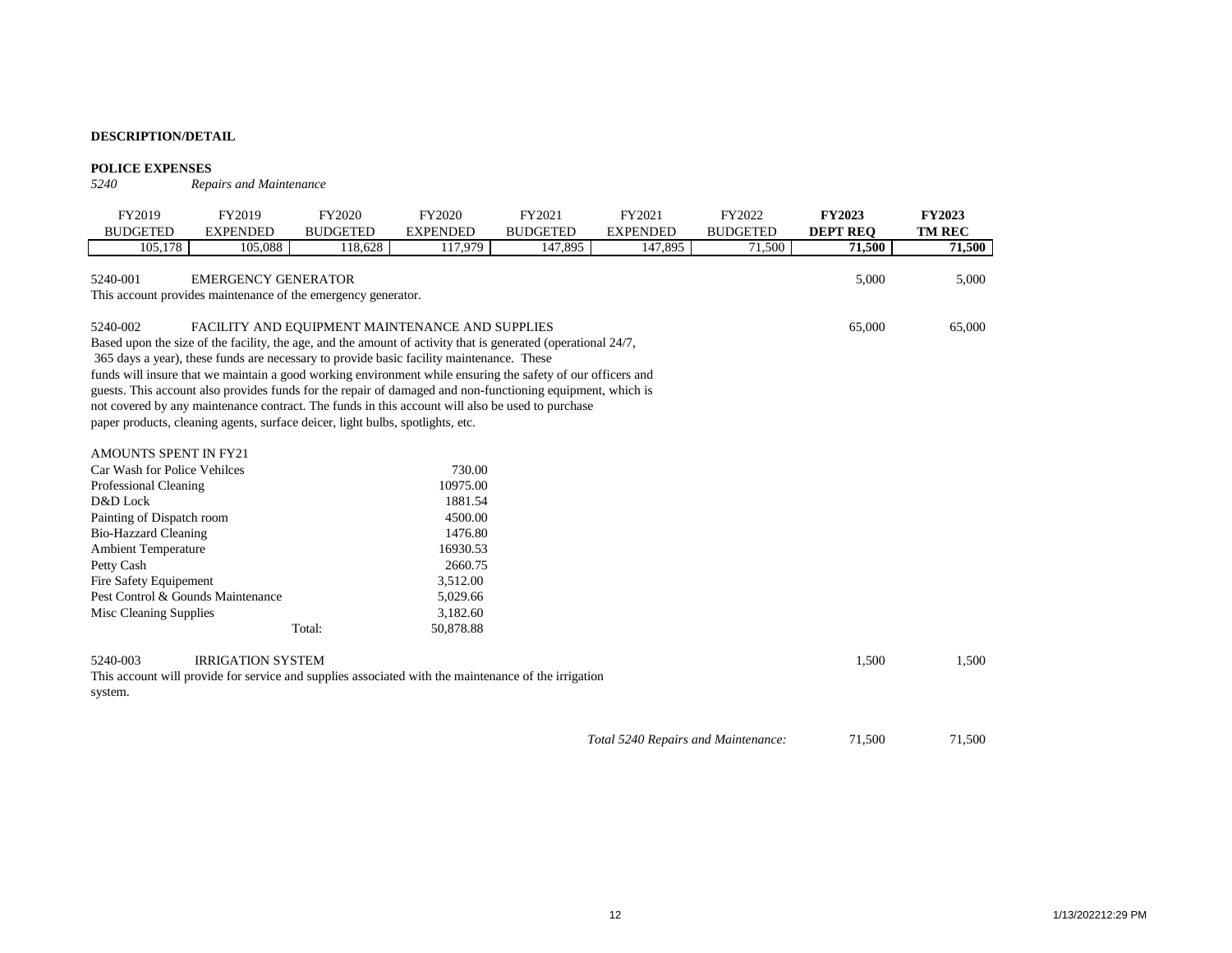# **POLICE EXPENSES**<br>5240 Repo

 $R$ *epairs and Maintenance* 

| FY2019<br><b>BUDGETED</b>         | FY2019<br><b>EXPENDED</b>                                                                                     | <b>FY2020</b><br><b>BUDGETED</b> | FY2020<br><b>EXPENDED</b> | FY2021<br><b>BUDGETED</b> | FY2021<br><b>EXPENDED</b>           | FY2022<br><b>BUDGETED</b> | <b>FY2023</b><br><b>DEPT REO</b> | <b>FY2023</b><br><b>TM REC</b> |
|-----------------------------------|---------------------------------------------------------------------------------------------------------------|----------------------------------|---------------------------|---------------------------|-------------------------------------|---------------------------|----------------------------------|--------------------------------|
| 105,178                           | 105,088                                                                                                       | 118,628                          | 117,979                   | 147,895                   | 147,895                             | 71,500                    | 71,500                           | 71,500                         |
|                                   |                                                                                                               |                                  |                           |                           |                                     |                           |                                  |                                |
| 5240-001                          | <b>EMERGENCY GENERATOR</b><br>This account provides maintenance of the emergency generator.                   |                                  |                           |                           |                                     |                           | 5,000                            | 5,000                          |
|                                   |                                                                                                               |                                  |                           |                           |                                     |                           |                                  |                                |
| 5240-002                          | FACILITY AND EQUIPMENT MAINTENANCE AND SUPPLIES                                                               |                                  |                           |                           |                                     |                           | 65,000                           | 65,000                         |
|                                   | Based upon the size of the facility, the age, and the amount of activity that is generated (operational 24/7, |                                  |                           |                           |                                     |                           |                                  |                                |
|                                   | 365 days a year), these funds are necessary to provide basic facility maintenance. These                      |                                  |                           |                           |                                     |                           |                                  |                                |
|                                   | funds will insure that we maintain a good working environment while ensuring the safety of our officers and   |                                  |                           |                           |                                     |                           |                                  |                                |
|                                   | guests. This account also provides funds for the repair of damaged and non-functioning equipment, which is    |                                  |                           |                           |                                     |                           |                                  |                                |
|                                   | not covered by any maintenance contract. The funds in this account will also be used to purchase              |                                  |                           |                           |                                     |                           |                                  |                                |
|                                   | paper products, cleaning agents, surface deicer, light bulbs, spotlights, etc.                                |                                  |                           |                           |                                     |                           |                                  |                                |
|                                   |                                                                                                               |                                  |                           |                           |                                     |                           |                                  |                                |
| <b>AMOUNTS SPENT IN FY21</b>      |                                                                                                               |                                  |                           |                           |                                     |                           |                                  |                                |
| Car Wash for Police Vehilces      |                                                                                                               |                                  | 730.00                    |                           |                                     |                           |                                  |                                |
| Professional Cleaning             |                                                                                                               |                                  | 10975.00                  |                           |                                     |                           |                                  |                                |
| D&D Lock                          |                                                                                                               |                                  | 1881.54                   |                           |                                     |                           |                                  |                                |
| Painting of Dispatch room         |                                                                                                               |                                  | 4500.00                   |                           |                                     |                           |                                  |                                |
| <b>Bio-Hazzard Cleaning</b>       |                                                                                                               |                                  | 1476.80                   |                           |                                     |                           |                                  |                                |
| Ambient Temperature               |                                                                                                               |                                  | 16930.53                  |                           |                                     |                           |                                  |                                |
| Petty Cash                        |                                                                                                               |                                  | 2660.75                   |                           |                                     |                           |                                  |                                |
| Fire Safety Equipement            |                                                                                                               |                                  | 3,512.00                  |                           |                                     |                           |                                  |                                |
| Pest Control & Gounds Maintenance |                                                                                                               |                                  | 5,029.66                  |                           |                                     |                           |                                  |                                |
| Misc Cleaning Supplies            |                                                                                                               |                                  | 3,182.60                  |                           |                                     |                           |                                  |                                |
|                                   |                                                                                                               | Total:                           | 50,878.88                 |                           |                                     |                           |                                  |                                |
|                                   |                                                                                                               |                                  |                           |                           |                                     |                           |                                  |                                |
| 5240-003                          | <b>IRRIGATION SYSTEM</b>                                                                                      |                                  |                           |                           |                                     |                           | 1,500                            | 1,500                          |
|                                   | This account will provide for service and supplies associated with the maintenance of the irrigation          |                                  |                           |                           |                                     |                           |                                  |                                |
| system.                           |                                                                                                               |                                  |                           |                           |                                     |                           |                                  |                                |
|                                   |                                                                                                               |                                  |                           |                           |                                     |                           |                                  |                                |
|                                   |                                                                                                               |                                  |                           |                           | Total 5240 Repairs and Maintenance: |                           | 71,500                           | 71,500                         |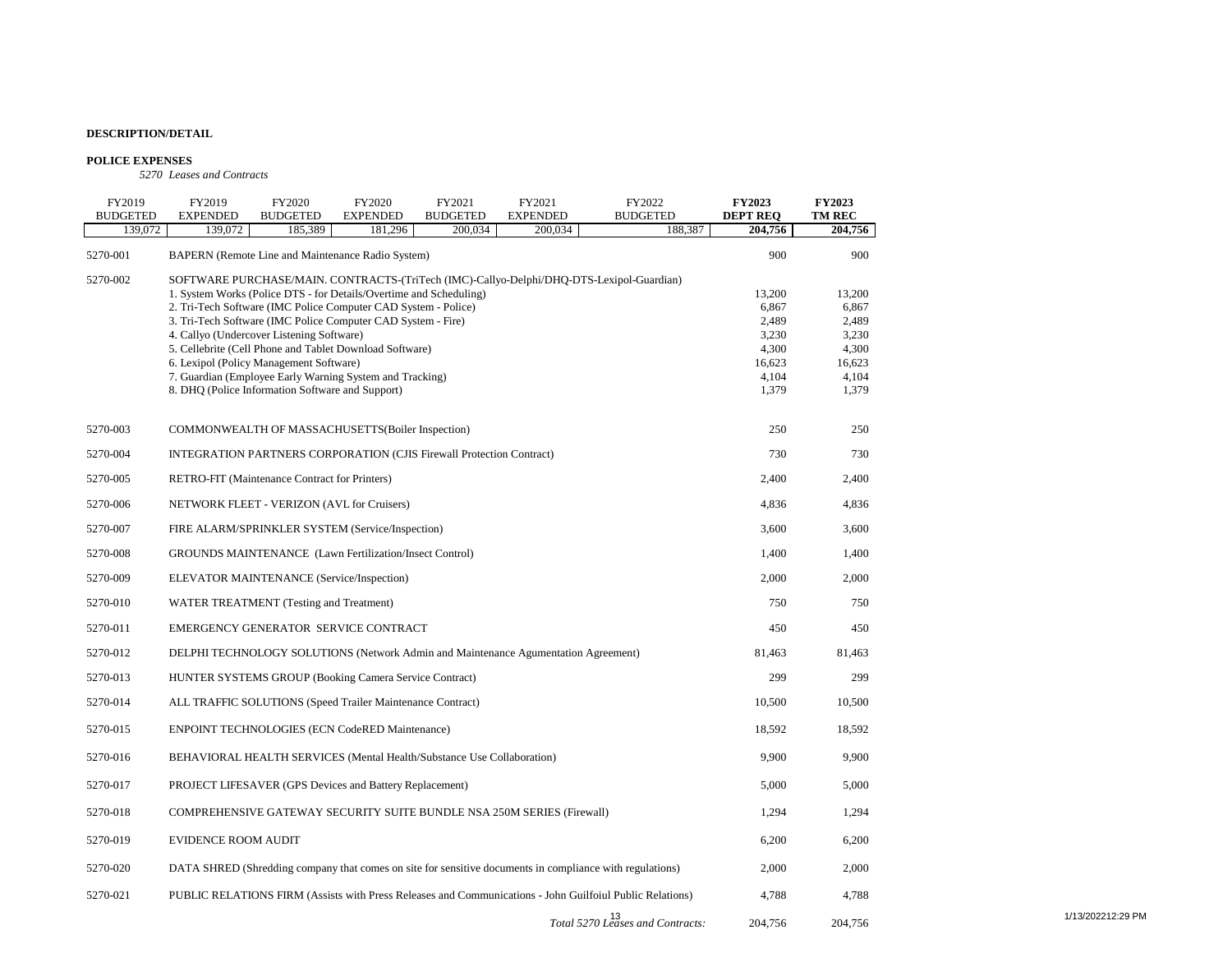#### **POLICE EXPENSES**

*5270 Leases and Contracts*

| FY2019<br><b>BUDGETED</b> | FY2019<br><b>EXPENDED</b>                        | FY2020<br><b>BUDGETED</b> | FY2020<br><b>EXPENDED</b>                                                   | FY2021<br><b>BUDGETED</b> | FY2021<br><b>EXPENDED</b>                                                                                | FY2022<br><b>BUDGETED</b>                                                                                | <b>FY2023</b><br><b>DEPT REQ</b> | <b>FY2023</b><br>TM REC |
|---------------------------|--------------------------------------------------|---------------------------|-----------------------------------------------------------------------------|---------------------------|----------------------------------------------------------------------------------------------------------|----------------------------------------------------------------------------------------------------------|----------------------------------|-------------------------|
| 139,072                   | 139,072                                          | 185,389                   | 181,296                                                                     | 200,034                   | 200,034                                                                                                  | 188,387                                                                                                  | 204,756                          | 204,756                 |
| 5270-001                  |                                                  |                           | BAPERN (Remote Line and Maintenance Radio System)                           |                           |                                                                                                          |                                                                                                          | 900                              | 900                     |
| 5270-002                  |                                                  |                           |                                                                             |                           |                                                                                                          | SOFTWARE PURCHASE/MAIN. CONTRACTS-(TriTech (IMC)-Callyo-Delphi/DHQ-DTS-Lexipol-Guardian)                 |                                  |                         |
|                           |                                                  |                           | 1. System Works (Police DTS - for Details/Overtime and Scheduling)          |                           |                                                                                                          |                                                                                                          | 13,200                           | 13,200                  |
|                           |                                                  |                           | 2. Tri-Tech Software (IMC Police Computer CAD System - Police)              |                           |                                                                                                          |                                                                                                          | 6,867                            | 6,867                   |
|                           |                                                  |                           | 3. Tri-Tech Software (IMC Police Computer CAD System - Fire)                |                           |                                                                                                          |                                                                                                          | 2,489                            | 2,489                   |
|                           | 4. Callyo (Undercover Listening Software)        |                           |                                                                             |                           |                                                                                                          |                                                                                                          | 3,230                            | 3,230                   |
|                           |                                                  |                           | 5. Cellebrite (Cell Phone and Tablet Download Software)                     |                           |                                                                                                          |                                                                                                          | 4,300                            | 4,300                   |
|                           | 6. Lexipol (Policy Management Software)          |                           |                                                                             |                           |                                                                                                          |                                                                                                          | 16,623                           | 16,623                  |
|                           |                                                  |                           | 7. Guardian (Employee Early Warning System and Tracking)                    |                           |                                                                                                          |                                                                                                          | 4,104                            | 4,104                   |
|                           | 8. DHQ (Police Information Software and Support) |                           |                                                                             |                           |                                                                                                          |                                                                                                          | 1,379                            | 1,379                   |
| 5270-003                  |                                                  |                           | COMMONWEALTH OF MASSACHUSETTS(Boiler Inspection)                            |                           |                                                                                                          |                                                                                                          | 250                              | 250                     |
| 5270-004                  |                                                  |                           | <b>INTEGRATION PARTNERS CORPORATION (CJIS Firewall Protection Contract)</b> |                           |                                                                                                          |                                                                                                          | 730                              | 730                     |
| 5270-005                  | RETRO-FIT (Maintenance Contract for Printers)    |                           |                                                                             |                           |                                                                                                          |                                                                                                          | 2,400                            | 2,400                   |
| 5270-006                  | NETWORK FLEET - VERIZON (AVL for Cruisers)       |                           |                                                                             |                           |                                                                                                          |                                                                                                          | 4,836                            | 4,836                   |
| 5270-007                  |                                                  |                           | FIRE ALARM/SPRINKLER SYSTEM (Service/Inspection)                            |                           |                                                                                                          |                                                                                                          | 3,600                            | 3,600                   |
| 5270-008                  |                                                  |                           | <b>GROUNDS MAINTENANCE</b> (Lawn Fertilization/Insect Control)              |                           |                                                                                                          |                                                                                                          | 1,400                            | 1,400                   |
| 5270-009                  | ELEVATOR MAINTENANCE (Service/Inspection)        |                           |                                                                             |                           |                                                                                                          |                                                                                                          | 2,000                            | 2,000                   |
| 5270-010                  | WATER TREATMENT (Testing and Treatment)          |                           |                                                                             |                           |                                                                                                          |                                                                                                          | 750                              | 750                     |
| 5270-011                  |                                                  |                           | EMERGENCY GENERATOR SERVICE CONTRACT                                        |                           |                                                                                                          |                                                                                                          | 450                              | 450                     |
| 5270-012                  |                                                  |                           |                                                                             |                           | DELPHI TECHNOLOGY SOLUTIONS (Network Admin and Maintenance Agumentation Agreement)                       |                                                                                                          | 81,463                           | 81,463                  |
| 5270-013                  |                                                  |                           | HUNTER SYSTEMS GROUP (Booking Camera Service Contract)                      |                           |                                                                                                          |                                                                                                          | 299                              | 299                     |
| 5270-014                  |                                                  |                           | ALL TRAFFIC SOLUTIONS (Speed Trailer Maintenance Contract)                  |                           |                                                                                                          |                                                                                                          | 10.500                           | 10,500                  |
| 5270-015                  |                                                  |                           | <b>ENPOINT TECHNOLOGIES (ECN CodeRED Maintenance)</b>                       |                           |                                                                                                          |                                                                                                          | 18,592                           | 18,592                  |
| 5270-016                  |                                                  |                           | BEHAVIORAL HEALTH SERVICES (Mental Health/Substance Use Collaboration)      |                           |                                                                                                          |                                                                                                          | 9,900                            | 9,900                   |
| 5270-017                  |                                                  |                           | PROJECT LIFESAVER (GPS Devices and Battery Replacement)                     |                           |                                                                                                          |                                                                                                          | 5,000                            | 5,000                   |
| 5270-018                  |                                                  |                           |                                                                             |                           | COMPREHENSIVE GATEWAY SECURITY SUITE BUNDLE NSA 250M SERIES (Firewall)                                   |                                                                                                          | 1,294                            | 1,294                   |
| 5270-019                  | <b>EVIDENCE ROOM AUDIT</b>                       |                           |                                                                             |                           |                                                                                                          |                                                                                                          | 6,200                            | 6,200                   |
| 5270-020                  |                                                  |                           |                                                                             |                           | DATA SHRED (Shredding company that comes on site for sensitive documents in compliance with regulations) |                                                                                                          | 2,000                            | 2,000                   |
| 5270-021                  |                                                  |                           |                                                                             |                           |                                                                                                          | PUBLIC RELATIONS FIRM (Assists with Press Releases and Communications - John Guilfoiul Public Relations) | 4,788                            | 4,788                   |
|                           |                                                  |                           |                                                                             |                           |                                                                                                          | Total 5270 Leases and Contracts:                                                                         | 204,756                          | 204,756                 |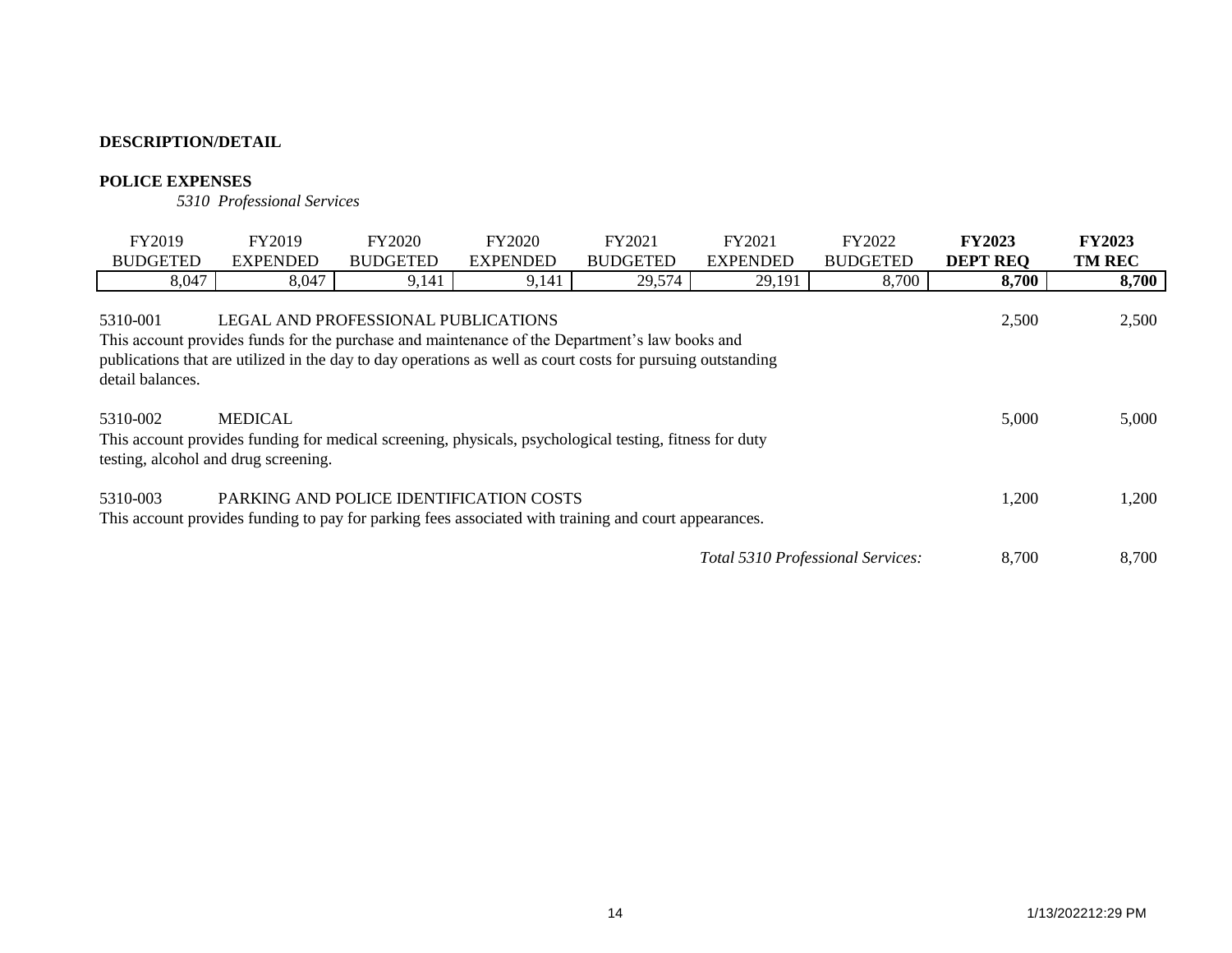# **POLICE EXPENSES**

*5310 Professional Services*

| FY2019                       | FY2019                                                                                                                                                                                                                                               | FY2020          | FY2020          | FY2021          | FY2021                            | FY2022          | <b>FY2023</b>   | <b>FY2023</b> |
|------------------------------|------------------------------------------------------------------------------------------------------------------------------------------------------------------------------------------------------------------------------------------------------|-----------------|-----------------|-----------------|-----------------------------------|-----------------|-----------------|---------------|
| <b>BUDGETED</b>              | <b>EXPENDED</b>                                                                                                                                                                                                                                      | <b>BUDGETED</b> | <b>EXPENDED</b> | <b>BUDGETED</b> | <b>EXPENDED</b>                   | <b>BUDGETED</b> | <b>DEPT REO</b> | <b>TM REC</b> |
| 8,047                        | 8,047                                                                                                                                                                                                                                                | 9,141           | 9,141           | 29,574          | 29,191                            | 8,700           | 8,700           | 8,700         |
| 5310-001<br>detail balances. | LEGAL AND PROFESSIONAL PUBLICATIONS<br>This account provides funds for the purchase and maintenance of the Department's law books and<br>publications that are utilized in the day to day operations as well as court costs for pursuing outstanding |                 |                 |                 |                                   |                 | 2,500           | 2,500         |
| 5310-002                     | <b>MEDICAL</b><br>This account provides funding for medical screening, physicals, psychological testing, fitness for duty<br>testing, alcohol and drug screening.                                                                                    |                 |                 |                 |                                   |                 | 5,000           | 5,000         |
| 5310-003                     | PARKING AND POLICE IDENTIFICATION COSTS<br>This account provides funding to pay for parking fees associated with training and court appearances.                                                                                                     |                 |                 |                 |                                   |                 | 1,200           | 1,200         |
|                              |                                                                                                                                                                                                                                                      |                 |                 |                 | Total 5310 Professional Services: |                 | 8,700           | 8,700         |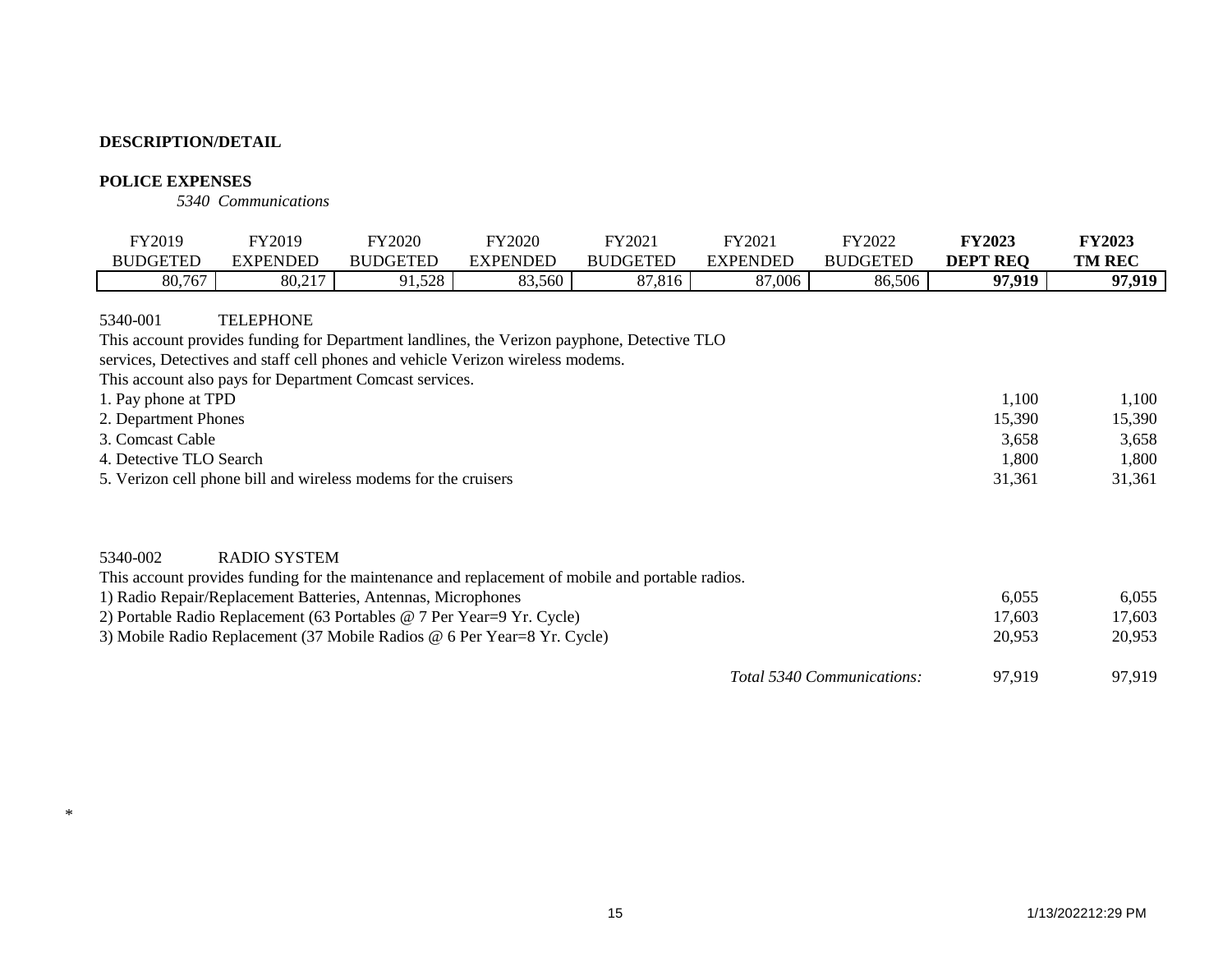# **POLICE EXPENSES**

\*

*5340 Communications*

| FY2019                                                                                                 | FY2019                                                                                                                                                                                                                                                                                                                                      | <b>FY2020</b>   | <b>FY2020</b>   | FY2021          | FY2021          | FY2022                     | <b>FY2023</b>                               | <b>FY2023</b>                               |
|--------------------------------------------------------------------------------------------------------|---------------------------------------------------------------------------------------------------------------------------------------------------------------------------------------------------------------------------------------------------------------------------------------------------------------------------------------------|-----------------|-----------------|-----------------|-----------------|----------------------------|---------------------------------------------|---------------------------------------------|
| <b>BUDGETED</b>                                                                                        | <b>EXPENDED</b>                                                                                                                                                                                                                                                                                                                             | <b>BUDGETED</b> | <b>EXPENDED</b> | <b>BUDGETED</b> | <b>EXPENDED</b> | <b>BUDGETED</b>            | <b>DEPT REQ</b>                             | <b>TM REC</b>                               |
| 80,767                                                                                                 | 80,217                                                                                                                                                                                                                                                                                                                                      | 91,528          | 83,560          | 87,816          | 87,006          | 86,506                     | 97,919                                      | 97,919                                      |
| 5340-001<br>1. Pay phone at TPD<br>2. Department Phones<br>3. Comcast Cable<br>4. Detective TLO Search | <b>TELEPHONE</b><br>This account provides funding for Department landlines, the Verizon payphone, Detective TLO<br>services, Detectives and staff cell phones and vehicle Verizon wireless modems.<br>This account also pays for Department Comcast services.<br>5. Verizon cell phone bill and wireless modems for the cruisers            |                 |                 |                 |                 |                            | 1,100<br>15,390<br>3,658<br>1,800<br>31,361 | 1,100<br>15,390<br>3,658<br>1,800<br>31,361 |
| 5340-002                                                                                               | <b>RADIO SYSTEM</b><br>This account provides funding for the maintenance and replacement of mobile and portable radios.<br>1) Radio Repair/Replacement Batteries, Antennas, Microphones<br>2) Portable Radio Replacement (63 Portables @ 7 Per Year=9 Yr. Cycle)<br>3) Mobile Radio Replacement (37 Mobile Radios @ 6 Per Year=8 Yr. Cycle) |                 |                 |                 |                 |                            | 6,055<br>17,603<br>20,953                   | 6,055<br>17,603<br>20,953                   |
|                                                                                                        |                                                                                                                                                                                                                                                                                                                                             |                 |                 |                 |                 | Total 5340 Communications: | 97,919                                      | 97,919                                      |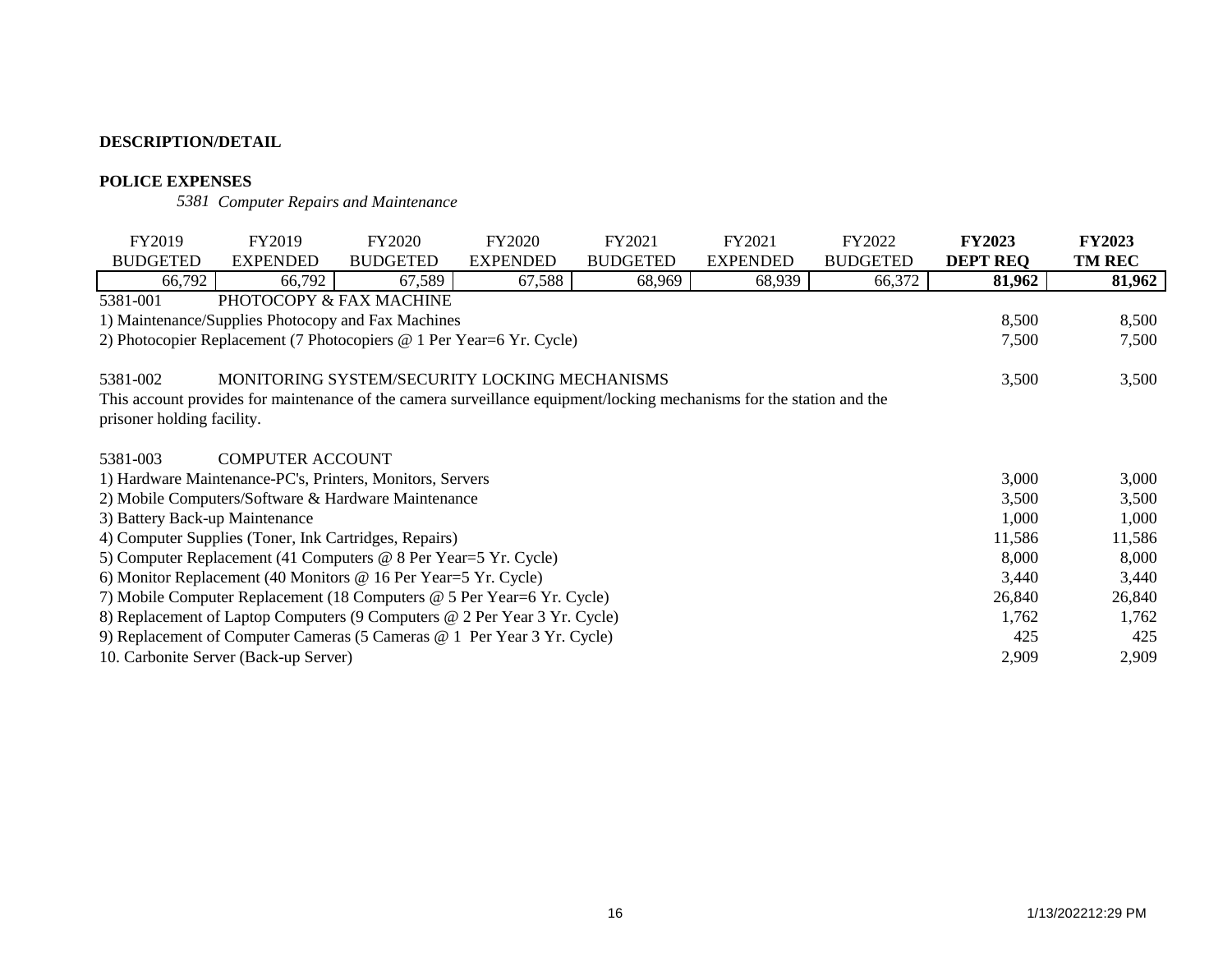# **POLICE EXPENSES**

*5381 Computer Repairs and Maintenance*

| FY2019                                                                  | FY2019                                                                                                                | <b>FY2020</b>   | <b>FY2020</b>   | FY2021          | FY2021          | FY2022          | <b>FY2023</b>   | <b>FY2023</b> |
|-------------------------------------------------------------------------|-----------------------------------------------------------------------------------------------------------------------|-----------------|-----------------|-----------------|-----------------|-----------------|-----------------|---------------|
| <b>BUDGETED</b>                                                         | <b>EXPENDED</b>                                                                                                       | <b>BUDGETED</b> | <b>EXPENDED</b> | <b>BUDGETED</b> | <b>EXPENDED</b> | <b>BUDGETED</b> | <b>DEPT REQ</b> | <b>TM REC</b> |
| 66,792                                                                  | 66,792                                                                                                                | 67,589          | 67,588          | 68,969          | 68,939          | 66,372          | 81,962          | 81,962        |
| 5381-001                                                                | PHOTOCOPY & FAX MACHINE                                                                                               |                 |                 |                 |                 |                 |                 |               |
|                                                                         | 1) Maintenance/Supplies Photocopy and Fax Machines                                                                    |                 |                 |                 |                 |                 | 8,500           | 8,500         |
|                                                                         | 2) Photocopier Replacement (7 Photocopiers @ 1 Per Year=6 Yr. Cycle)                                                  |                 |                 |                 |                 |                 | 7,500           | 7,500         |
|                                                                         |                                                                                                                       |                 |                 |                 |                 |                 |                 |               |
| 5381-002                                                                | MONITORING SYSTEM/SECURITY LOCKING MECHANISMS                                                                         |                 |                 |                 |                 |                 | 3,500           | 3,500         |
|                                                                         | This account provides for maintenance of the camera surveillance equipment/locking mechanisms for the station and the |                 |                 |                 |                 |                 |                 |               |
| prisoner holding facility.                                              |                                                                                                                       |                 |                 |                 |                 |                 |                 |               |
|                                                                         |                                                                                                                       |                 |                 |                 |                 |                 |                 |               |
| 5381-003                                                                | <b>COMPUTER ACCOUNT</b>                                                                                               |                 |                 |                 |                 |                 |                 |               |
|                                                                         | 1) Hardware Maintenance-PC's, Printers, Monitors, Servers                                                             |                 |                 |                 |                 |                 | 3,000           | 3,000         |
|                                                                         | 2) Mobile Computers/Software & Hardware Maintenance                                                                   |                 |                 |                 |                 |                 | 3,500           | 3,500         |
| 3) Battery Back-up Maintenance                                          |                                                                                                                       |                 |                 |                 |                 |                 | 1,000           | 1,000         |
|                                                                         | 4) Computer Supplies (Toner, Ink Cartridges, Repairs)                                                                 |                 |                 |                 |                 |                 | 11,586          | 11,586        |
|                                                                         | 5) Computer Replacement (41 Computers @ 8 Per Year=5 Yr. Cycle)                                                       |                 |                 |                 |                 |                 | 8,000           | 8,000         |
|                                                                         | 6) Monitor Replacement (40 Monitors @ 16 Per Year=5 Yr. Cycle)                                                        |                 |                 |                 |                 |                 | 3,440           | 3,440         |
|                                                                         | 7) Mobile Computer Replacement (18 Computers @ 5 Per Year=6 Yr. Cycle)                                                |                 |                 |                 |                 |                 | 26,840          | 26,840        |
|                                                                         | 8) Replacement of Laptop Computers (9 Computers @ 2 Per Year 3 Yr. Cycle)                                             |                 |                 |                 |                 |                 | 1,762           | 1,762         |
| 9) Replacement of Computer Cameras (5 Cameras @ 1 Per Year 3 Yr. Cycle) |                                                                                                                       | 425             | 425             |                 |                 |                 |                 |               |
|                                                                         | 10. Carbonite Server (Back-up Server)                                                                                 |                 |                 |                 |                 |                 | 2,909           | 2,909         |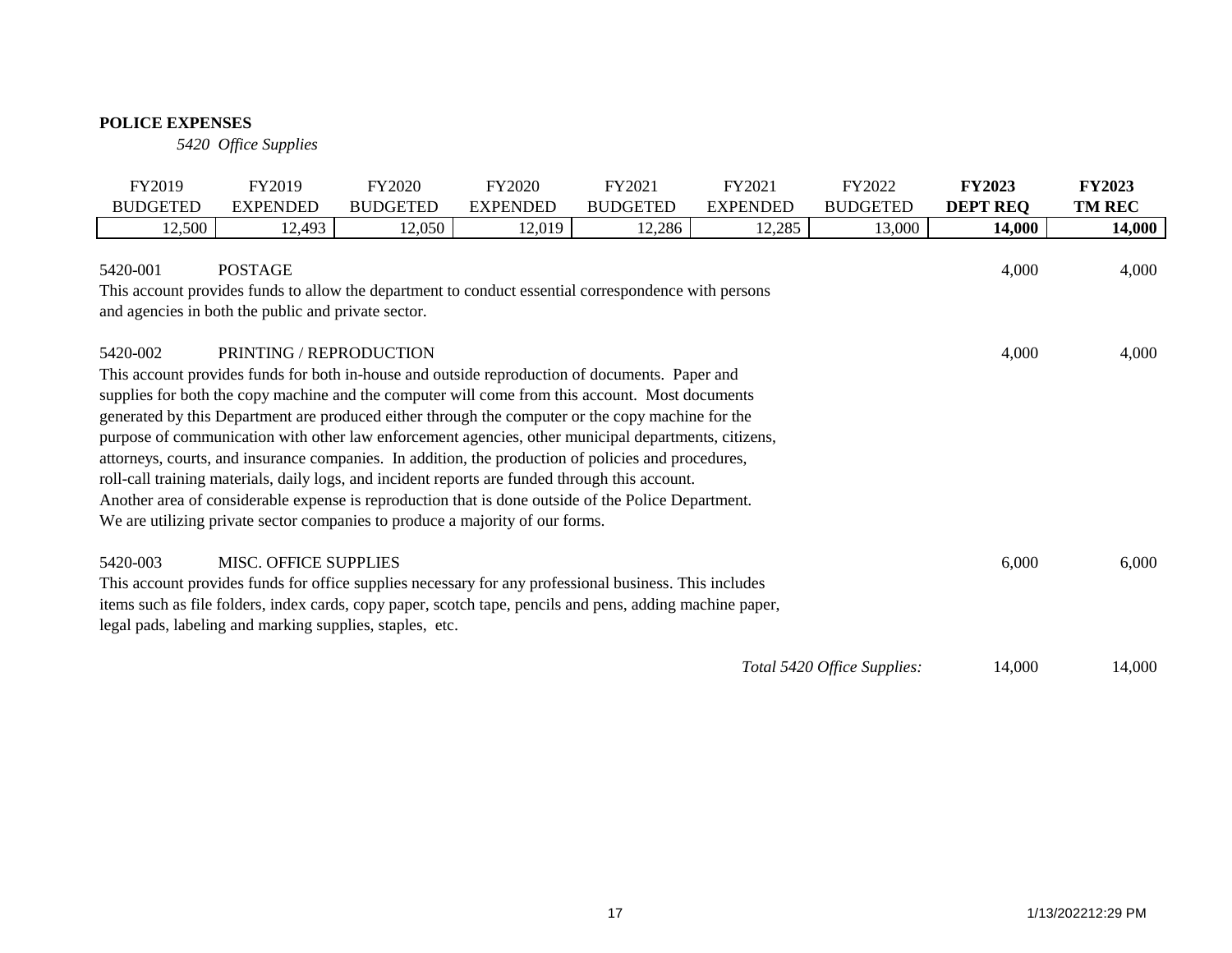# **POLICE EXPENSES**

*5420 Office Supplies*

| FY2019          | FY2019                                                                | FY2020                                                                                                                                                                                                                                                                                                                                                                                                                                                                                                                                                                                                                                                                                                                                                                                                           | FY2020          | FY2021          | FY2021          | FY2022                      | <b>FY2023</b>   | <b>FY2023</b> |
|-----------------|-----------------------------------------------------------------------|------------------------------------------------------------------------------------------------------------------------------------------------------------------------------------------------------------------------------------------------------------------------------------------------------------------------------------------------------------------------------------------------------------------------------------------------------------------------------------------------------------------------------------------------------------------------------------------------------------------------------------------------------------------------------------------------------------------------------------------------------------------------------------------------------------------|-----------------|-----------------|-----------------|-----------------------------|-----------------|---------------|
| <b>BUDGETED</b> | <b>EXPENDED</b>                                                       | <b>BUDGETED</b>                                                                                                                                                                                                                                                                                                                                                                                                                                                                                                                                                                                                                                                                                                                                                                                                  | <b>EXPENDED</b> | <b>BUDGETED</b> | <b>EXPENDED</b> | <b>BUDGETED</b>             | <b>DEPT REQ</b> | <b>TM REC</b> |
| 12,500          | 12,493                                                                | 12,050                                                                                                                                                                                                                                                                                                                                                                                                                                                                                                                                                                                                                                                                                                                                                                                                           | 12,019          | 12,286          | 12,285          | 13,000                      | 14,000          | 14,000        |
| 5420-001        | <b>POSTAGE</b><br>and agencies in both the public and private sector. | This account provides funds to allow the department to conduct essential correspondence with persons                                                                                                                                                                                                                                                                                                                                                                                                                                                                                                                                                                                                                                                                                                             |                 |                 |                 |                             | 4,000           | 4,000         |
| 5420-002        | <b>PRINTING / REPRODUCTION</b>                                        | This account provides funds for both in-house and outside reproduction of documents. Paper and<br>supplies for both the copy machine and the computer will come from this account. Most documents<br>generated by this Department are produced either through the computer or the copy machine for the<br>purpose of communication with other law enforcement agencies, other municipal departments, citizens,<br>attorneys, courts, and insurance companies. In addition, the production of policies and procedures,<br>roll-call training materials, daily logs, and incident reports are funded through this account.<br>Another area of considerable expense is reproduction that is done outside of the Police Department.<br>We are utilizing private sector companies to produce a majority of our forms. |                 |                 |                 |                             | 4,000           | 4,000         |
| 5420-003        | <b>MISC. OFFICE SUPPLIES</b>                                          | This account provides funds for office supplies necessary for any professional business. This includes<br>items such as file folders, index cards, copy paper, scotch tape, pencils and pens, adding machine paper,<br>legal pads, labeling and marking supplies, staples, etc.                                                                                                                                                                                                                                                                                                                                                                                                                                                                                                                                  |                 |                 |                 |                             | 6,000           | 6,000         |
|                 |                                                                       |                                                                                                                                                                                                                                                                                                                                                                                                                                                                                                                                                                                                                                                                                                                                                                                                                  |                 |                 |                 | Total 5420 Office Supplies: | 14,000          | 14,000        |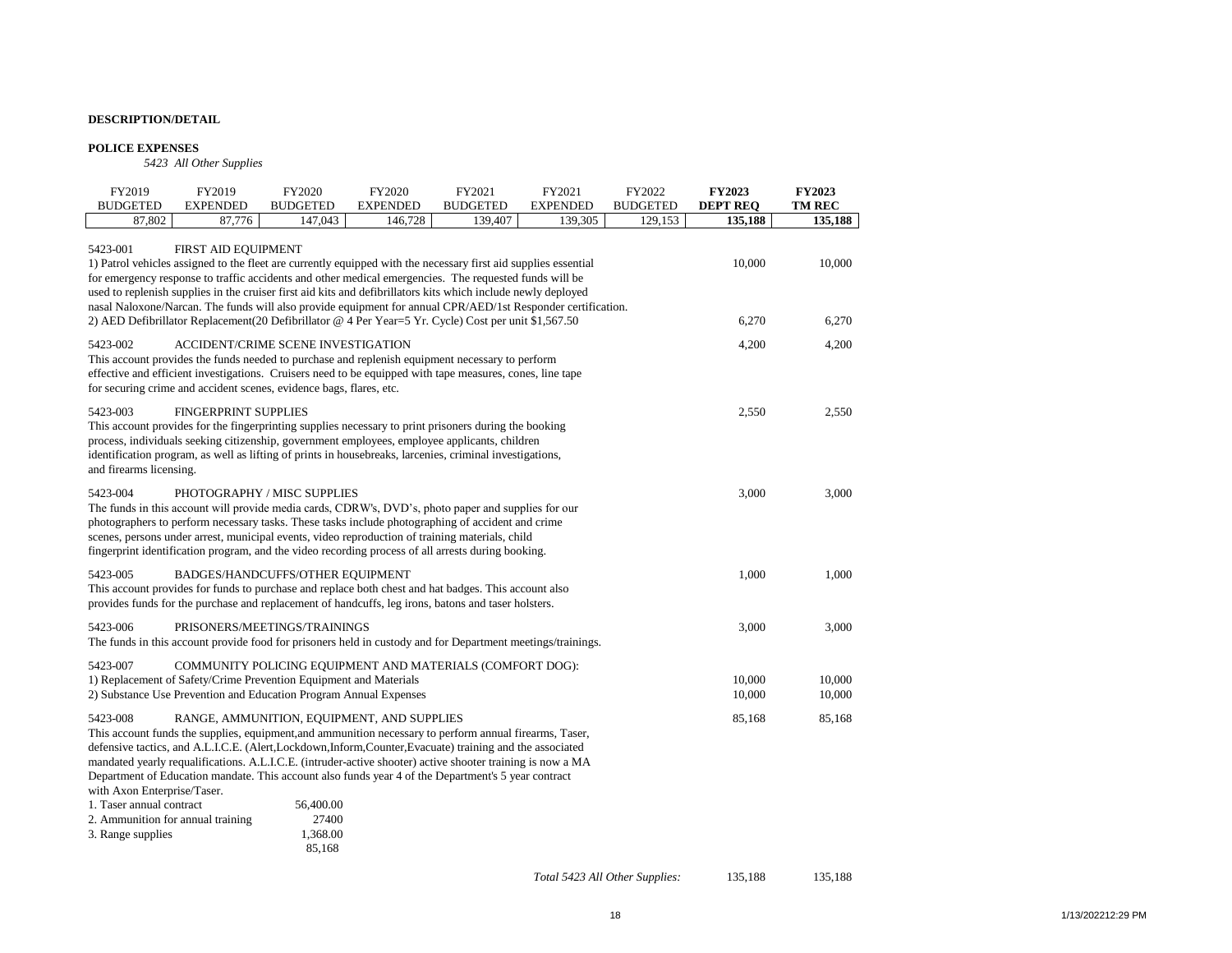#### **POLICE EXPENSES**

*5423 All Other Supplies*

| FY2019<br><b>BUDGETED</b>                                                                                   | FY2019<br><b>EXPENDED</b>                                                                                                                                                                                                                                                                                                                                                                                                                                                                                                                                                                 | FY2020<br><b>BUDGETED</b> | FY2020<br><b>EXPENDED</b> | FY2021<br><b>BUDGETED</b> | FY2021<br><b>EXPENDED</b> | FY2022<br><b>BUDGETED</b> | <b>FY2023</b><br><b>DEPT REO</b> | <b>FY2023</b><br><b>TM REC</b> |
|-------------------------------------------------------------------------------------------------------------|-------------------------------------------------------------------------------------------------------------------------------------------------------------------------------------------------------------------------------------------------------------------------------------------------------------------------------------------------------------------------------------------------------------------------------------------------------------------------------------------------------------------------------------------------------------------------------------------|---------------------------|---------------------------|---------------------------|---------------------------|---------------------------|----------------------------------|--------------------------------|
| 87,802                                                                                                      | 87,776                                                                                                                                                                                                                                                                                                                                                                                                                                                                                                                                                                                    | 147,043                   | 146,728                   | 139,407                   | 139,305                   | 129,153                   | 135,188                          | 135,188                        |
| 5423-001                                                                                                    | FIRST AID EQUIPMENT<br>1) Patrol vehicles assigned to the fleet are currently equipped with the necessary first aid supplies essential<br>for emergency response to traffic accidents and other medical emergencies. The requested funds will be<br>used to replenish supplies in the cruiser first aid kits and defibrillators kits which include newly deployed<br>nasal Naloxone/Narcan. The funds will also provide equipment for annual CPR/AED/1st Responder certification.<br>2) AED Defibrillator Replacement(20 Defibrillator @ 4 Per Year=5 Yr. Cycle) Cost per unit \$1,567.50 |                           |                           |                           |                           |                           | 10,000<br>6,270                  | 10,000<br>6,270                |
| 5423-002<br>This account provides the funds needed to purchase and replenish equipment necessary to perform | ACCIDENT/CRIME SCENE INVESTIGATION<br>effective and efficient investigations. Cruisers need to be equipped with tape measures, cones, line tape<br>for securing crime and accident scenes, evidence bags, flares, etc.                                                                                                                                                                                                                                                                                                                                                                    |                           |                           |                           |                           |                           | 4,200                            | 4,200                          |
| 5423-003<br>and firearms licensing.                                                                         | <b>FINGERPRINT SUPPLIES</b><br>This account provides for the fingerprinting supplies necessary to print prisoners during the booking<br>process, individuals seeking citizenship, government employees, employee applicants, children<br>identification program, as well as lifting of prints in housebreaks, larcenies, criminal investigations,                                                                                                                                                                                                                                         |                           |                           |                           |                           |                           | 2,550                            | 2,550                          |
| 5423-004<br>scenes, persons under arrest, municipal events, video reproduction of training materials, child | PHOTOGRAPHY / MISC SUPPLIES<br>The funds in this account will provide media cards, CDRW's, DVD's, photo paper and supplies for our<br>photographers to perform necessary tasks. These tasks include photographing of accident and crime<br>fingerprint identification program, and the video recording process of all arrests during booking.                                                                                                                                                                                                                                             |                           |                           |                           |                           |                           | 3,000                            | 3,000                          |
| 5423-005                                                                                                    | BADGES/HANDCUFFS/OTHER EQUIPMENT<br>This account provides for funds to purchase and replace both chest and hat badges. This account also<br>provides funds for the purchase and replacement of handcuffs, leg irons, batons and taser holsters.                                                                                                                                                                                                                                                                                                                                           |                           |                           |                           |                           |                           | 1,000                            | 1,000                          |
| 5423-006                                                                                                    | PRISONERS/MEETINGS/TRAININGS<br>The funds in this account provide food for prisoners held in custody and for Department meetings/trainings.                                                                                                                                                                                                                                                                                                                                                                                                                                               |                           |                           |                           |                           |                           | 3,000                            | 3,000                          |
| 5423-007<br>2) Substance Use Prevention and Education Program Annual Expenses                               | COMMUNITY POLICING EQUIPMENT AND MATERIALS (COMFORT DOG):<br>1) Replacement of Safety/Crime Prevention Equipment and Materials                                                                                                                                                                                                                                                                                                                                                                                                                                                            |                           |                           |                           |                           |                           | 10,000<br>10,000                 | 10,000<br>10,000               |
| 5423-008<br>with Axon Enterprise/Taser.<br>1. Taser annual contract                                         | RANGE, AMMUNITION, EQUIPMENT, AND SUPPLIES<br>This account funds the supplies, equipment, and ammunition necessary to perform annual firearms, Taser,<br>defensive tactics, and A.L.I.C.E. (Alert,Lockdown,Inform,Counter,Evacuate) training and the associated<br>mandated yearly requalifications. A.L.I.C.E. (intruder-active shooter) active shooter training is now a MA<br>Department of Education mandate. This account also funds year 4 of the Department's 5 year contract                                                                                                      | 56,400.00                 |                           |                           |                           |                           | 85,168                           | 85,168                         |

| 1. 1 asci alihasi comtact         | JU, TUU, UU |
|-----------------------------------|-------------|
| 2. Ammunition for annual training | 27400       |
| 3. Range supplies                 | 1.368.00    |
|                                   | 85.168      |

*Total 5423 All Other Supplies:* 135,188 135,188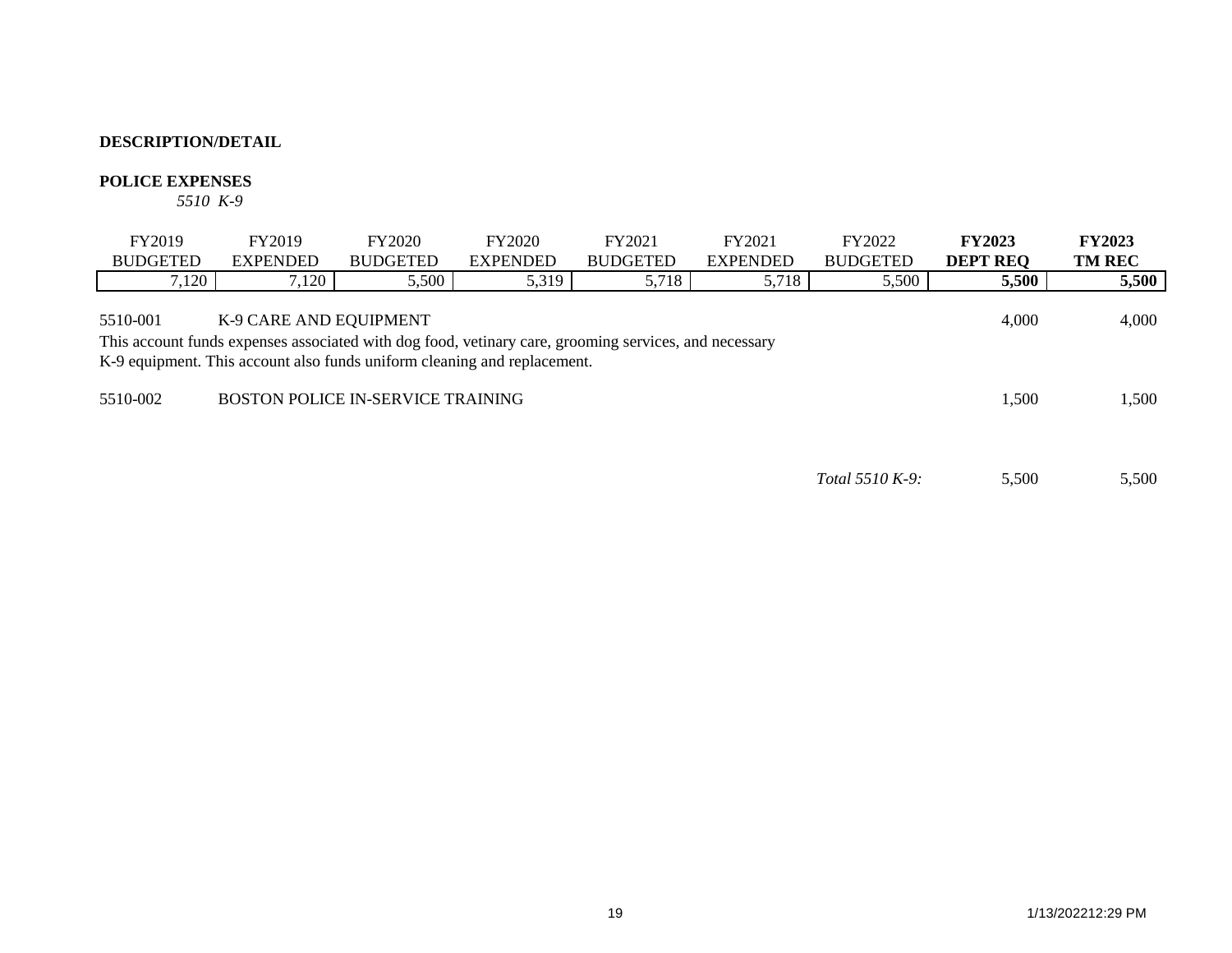## **POLICE EXPENSES**

*5510 K-9*

| FY2019          | FY2019                                                                                                                                                                                                      | FY2020                                   | FY2020          | FY2021          | FY2021          | FY2022                 | <b>FY2023</b>   | <b>FY2023</b> |
|-----------------|-------------------------------------------------------------------------------------------------------------------------------------------------------------------------------------------------------------|------------------------------------------|-----------------|-----------------|-----------------|------------------------|-----------------|---------------|
| <b>BUDGETED</b> | <b>EXPENDED</b>                                                                                                                                                                                             | <b>BUDGETED</b>                          | <b>EXPENDED</b> | <b>BUDGETED</b> | <b>EXPENDED</b> | <b>BUDGETED</b>        | <b>DEPT REO</b> | <b>TM REC</b> |
| 7,120           | 7,120                                                                                                                                                                                                       | 5,500                                    | 5,319           | 5,718           | 5,718           | 5,500                  | 5,500           | 5,500         |
| 5510-001        | K-9 CARE AND EQUIPMENT<br>This account funds expenses associated with dog food, vetinary care, grooming services, and necessary<br>K-9 equipment. This account also funds uniform cleaning and replacement. |                                          |                 |                 |                 |                        | 4.000           | 4,000         |
| 5510-002        |                                                                                                                                                                                                             | <b>BOSTON POLICE IN-SERVICE TRAINING</b> |                 |                 |                 |                        | 1,500           | 1,500         |
|                 |                                                                                                                                                                                                             |                                          |                 |                 |                 | <i>Total</i> 5510 K-9: | 5,500           | 5,500         |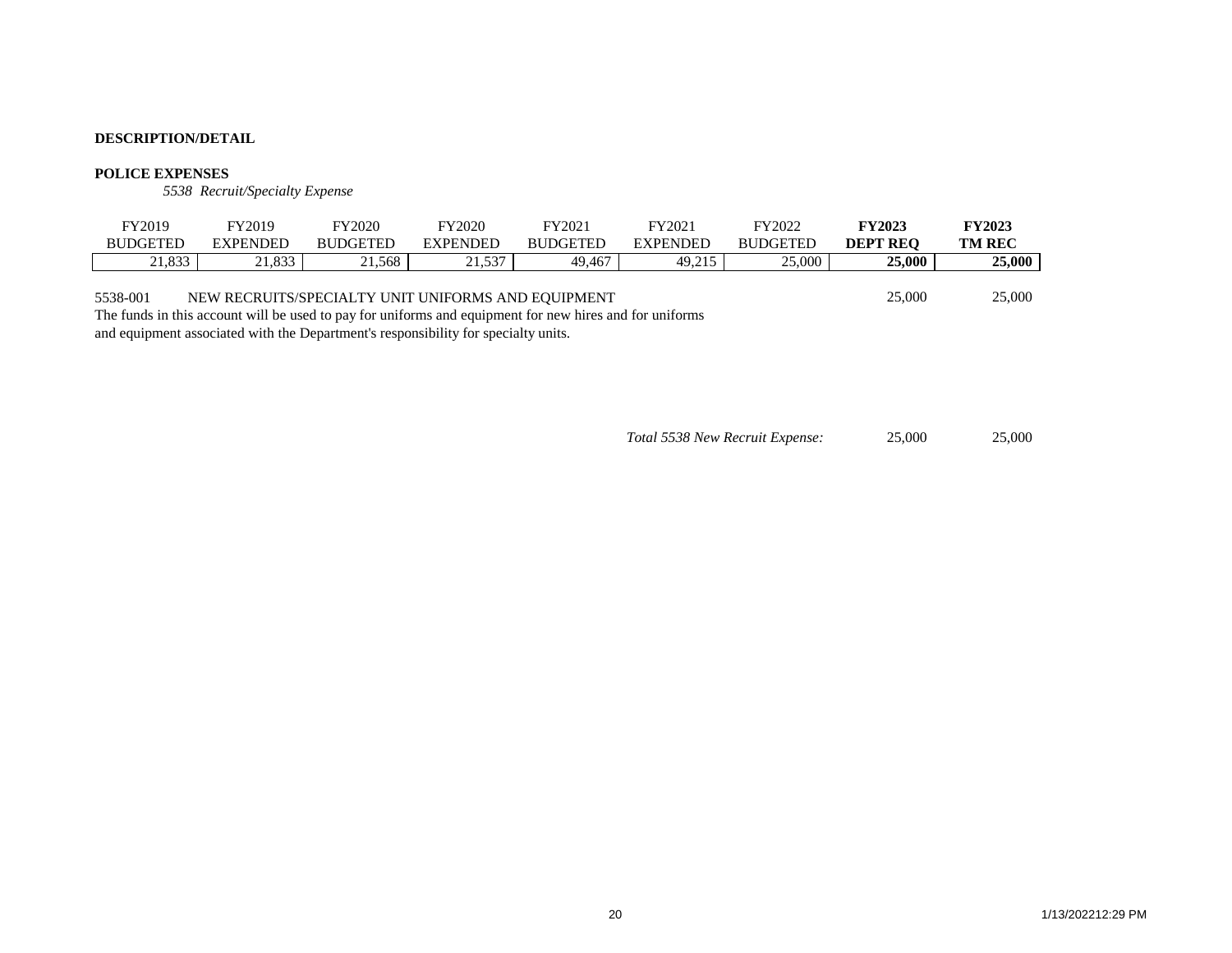#### **POLICE EXPENSES**

*5538 Recruit/Specialty Expense*

| FY2019                                                                                                              | FY2019          | FY2020                                             | FY2020          | FY2021          | FY2021          | FY2022          | <b>FY2023</b>   | <b>FY2023</b> |
|---------------------------------------------------------------------------------------------------------------------|-----------------|----------------------------------------------------|-----------------|-----------------|-----------------|-----------------|-----------------|---------------|
| <b>BUDGETED</b>                                                                                                     | <b>EXPENDED</b> | <b>BUDGETED</b>                                    | <b>EXPENDED</b> | <b>BUDGETED</b> | <b>EXPENDED</b> | <b>BUDGETED</b> | <b>DEPT REO</b> | <b>TM REC</b> |
| 21,833                                                                                                              | 21.833          | 21.568                                             | 21.537          | 49.467          | 49.215          | 25,000          | <b>25,000</b>   | 25,000        |
| 5538-001<br>The funds in this account will be used to pay for uniforms and equipment for new hires and for uniforms |                 | NEW RECRUITS/SPECIALTY UNIT UNIFORMS AND EQUIPMENT |                 |                 |                 |                 | 25,000          | 25,000        |

and equipment associated with the Department's responsibility for specialty units.

*Total 5538 New Recruit Expense:* 25,000 25,000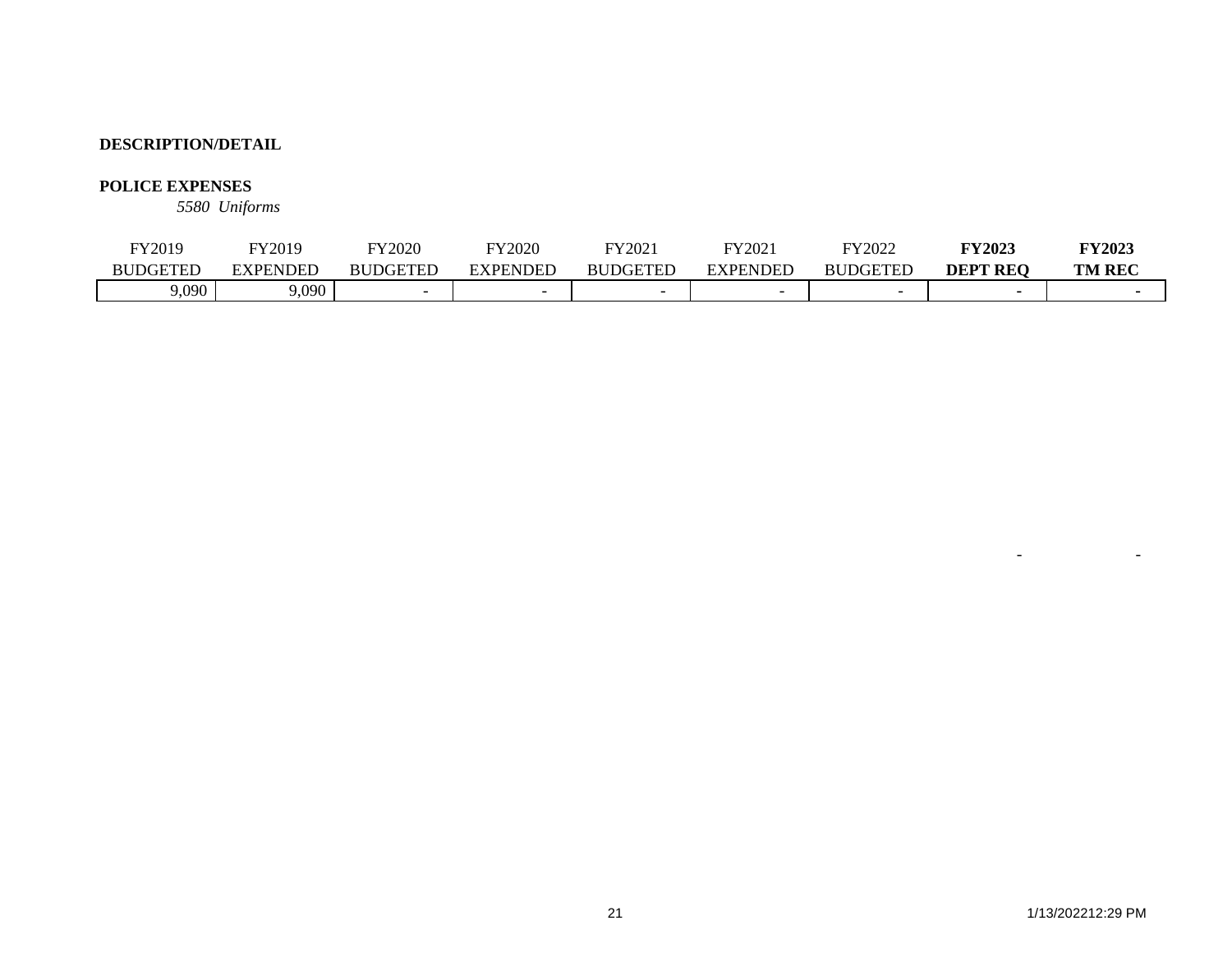## **POLICE EXPENSES**

*5580 Uniforms*

| FY2019          | TY2019   | FY2020          | TY2020          | FY2021          | FY202 <sup>*</sup> | FY2022          | <b>FY2023</b>   | <b>FY2023</b> |
|-----------------|----------|-----------------|-----------------|-----------------|--------------------|-----------------|-----------------|---------------|
| <b>BUDGETED</b> | EXPENDED | <b>BUDGETED</b> | <b>EXPENDED</b> | <b>BUDGETED</b> | <b>EXPENDED</b>    | <b>BUDGETED</b> | <b>DEPT REO</b> | <b>TM REC</b> |
| 9,090           | 9,090    |                 |                 |                 |                    | -               |                 |               |

- -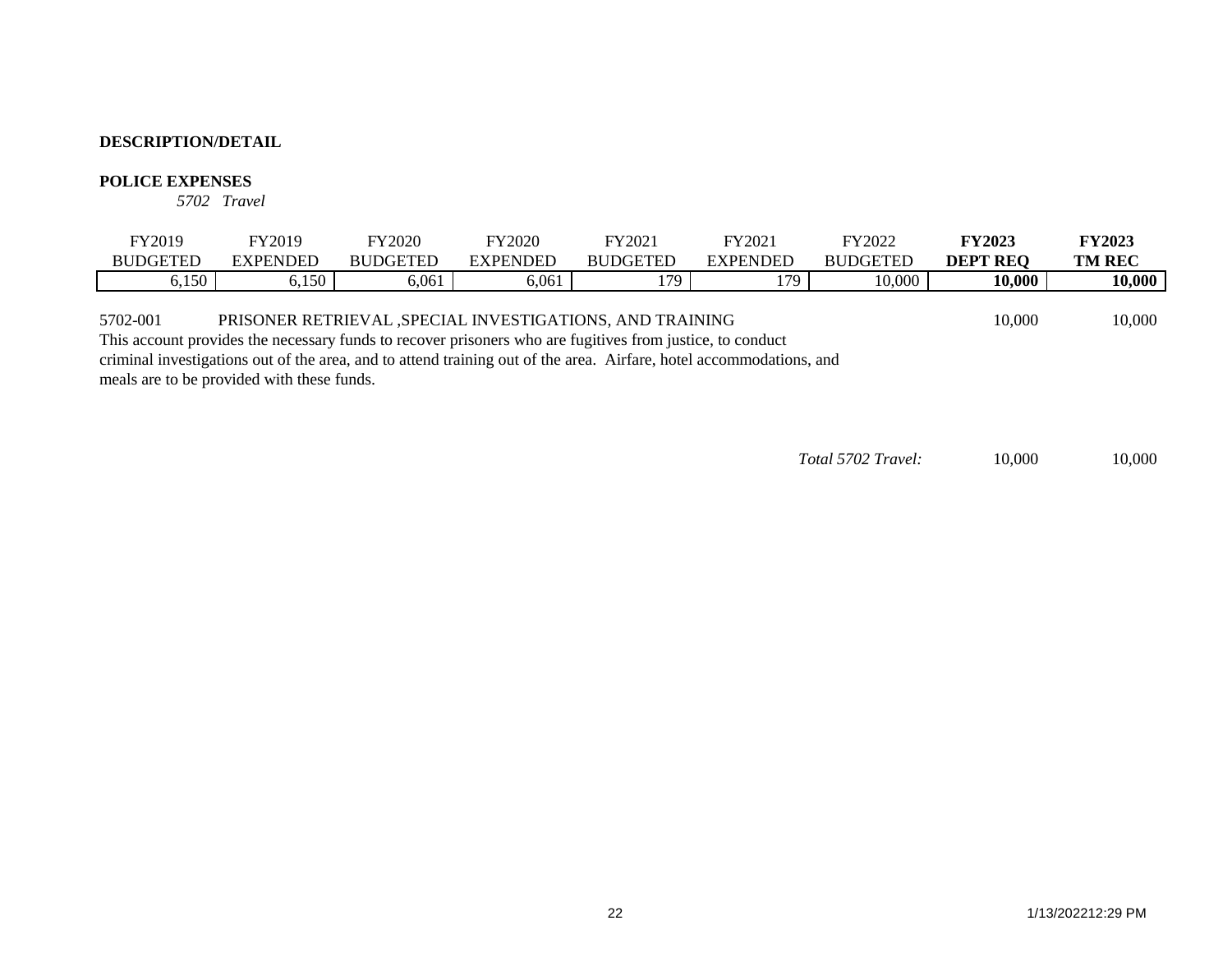#### **POLICE EXPENSES**

*5702 Travel*

| FY2019          | FY2019   | Y2020           | TY2020          | FY2021          | FY2021   | FY2022          | <b>FY2023</b>   | <b>FY2023</b> |
|-----------------|----------|-----------------|-----------------|-----------------|----------|-----------------|-----------------|---------------|
| <b>BUDGETED</b> | EXPENDED | <b>BUDGETED</b> | <b>EXPENDED</b> | <b>BUDGETED</b> | EXPENDED | <b>BUDGETED</b> | <b>DEPT REO</b> | <b>TM REC</b> |
| 6,150           | 6,150    | 5,061           | 6,061           | 179             | 170      | 10,000          | 10,000          | 10,000        |
|                 |          |                 |                 |                 |          |                 |                 |               |

5702-001 PRISONER RETRIEVAL ,SPECIAL INVESTIGATIONS, AND TRAINING 10,000 10,000 10,000

This account provides the necessary funds to recover prisoners who are fugitives from justice, to conduct criminal investigations out of the area, and to attend training out of the area. Airfare, hotel accommodations, and meals are to be provided with these funds.

*Total 5702 Travel:* 10,000 10,000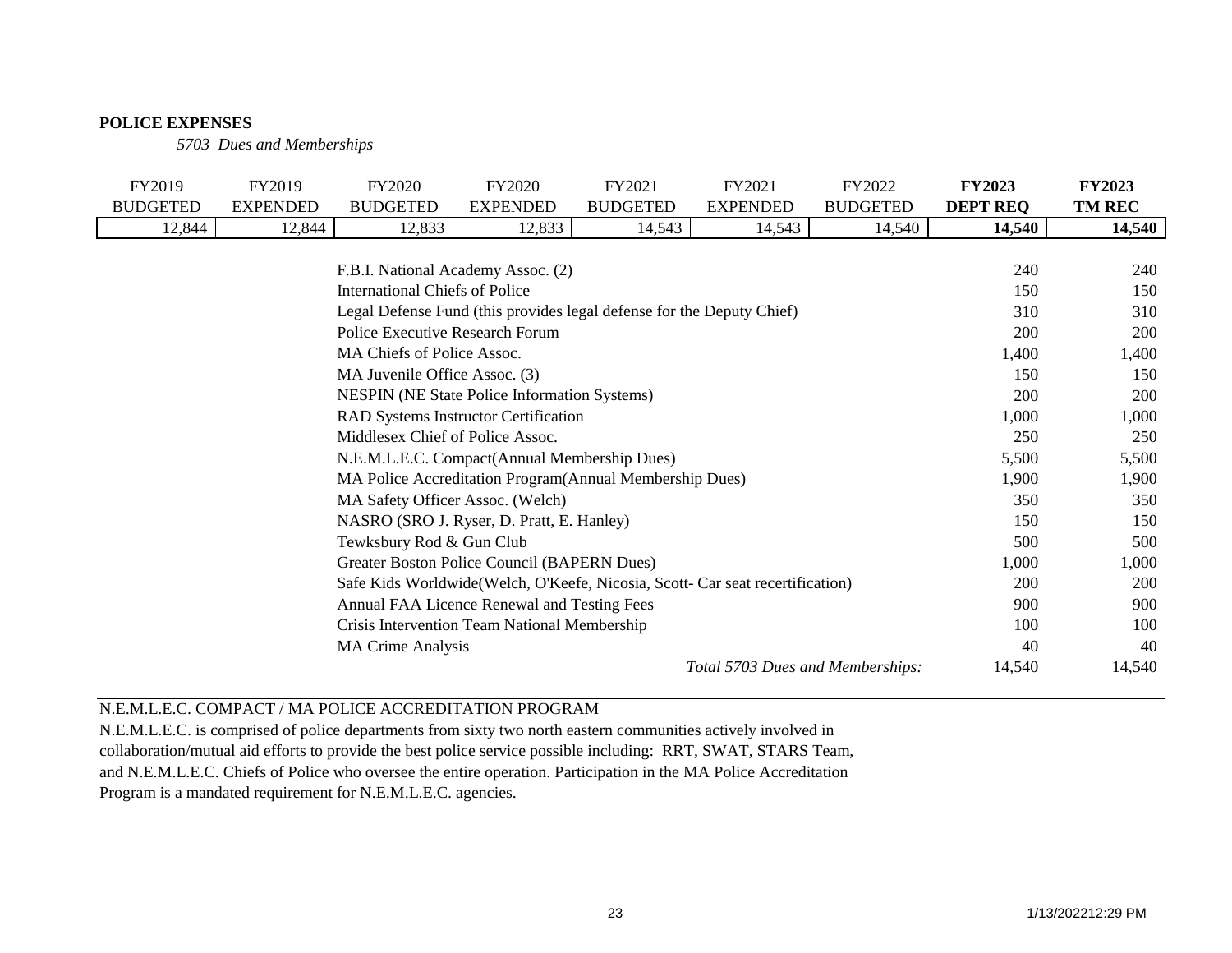#### **POLICE EXPENSES**

*5703 Dues and Memberships*

| FY2019                                                                         | FY2019          | <b>FY2020</b>   | FY2020          | FY2021          | FY2021                           | FY2022          | <b>FY2023</b>   | <b>FY2023</b> |
|--------------------------------------------------------------------------------|-----------------|-----------------|-----------------|-----------------|----------------------------------|-----------------|-----------------|---------------|
| <b>BUDGETED</b>                                                                | <b>EXPENDED</b> | <b>BUDGETED</b> | <b>EXPENDED</b> | <b>BUDGETED</b> | <b>EXPENDED</b>                  | <b>BUDGETED</b> | <b>DEPT REQ</b> | <b>TM REC</b> |
| 12,844                                                                         | 12,844          | 12,833          | 12,833          | 14,543          | 14,543                           | 14,540          | 14,540          | 14,540        |
|                                                                                |                 |                 |                 |                 |                                  |                 |                 |               |
| F.B.I. National Academy Assoc. (2)                                             |                 |                 |                 |                 |                                  |                 |                 | 240           |
| International Chiefs of Police                                                 |                 |                 |                 |                 |                                  |                 |                 | 150           |
| Legal Defense Fund (this provides legal defense for the Deputy Chief)          |                 |                 |                 |                 |                                  |                 | 310             | 310           |
| Police Executive Research Forum                                                |                 |                 |                 |                 |                                  |                 | 200             | 200           |
| MA Chiefs of Police Assoc.                                                     |                 |                 |                 |                 |                                  |                 | 1,400           | 1,400         |
| MA Juvenile Office Assoc. (3)                                                  |                 |                 |                 |                 |                                  |                 |                 | 150           |
| <b>NESPIN</b> (NE State Police Information Systems)                            |                 |                 |                 |                 |                                  |                 |                 | <b>200</b>    |
| <b>RAD Systems Instructor Certification</b>                                    |                 |                 |                 |                 |                                  |                 | 1,000           | 1,000         |
| Middlesex Chief of Police Assoc.                                               |                 |                 |                 |                 |                                  |                 | 250             | 250           |
| N.E.M.L.E.C. Compact(Annual Membership Dues)                                   |                 |                 |                 |                 |                                  |                 |                 | 5,500         |
| MA Police Accreditation Program (Annual Membership Dues)                       |                 |                 |                 |                 |                                  |                 | 1,900           | 1,900         |
| MA Safety Officer Assoc. (Welch)                                               |                 |                 |                 |                 |                                  |                 | 350             | 350           |
| NASRO (SRO J. Ryser, D. Pratt, E. Hanley)                                      |                 |                 |                 |                 |                                  |                 | 150             | 150           |
| Tewksbury Rod & Gun Club                                                       |                 |                 |                 |                 |                                  |                 | 500             | 500           |
| Greater Boston Police Council (BAPERN Dues)                                    |                 |                 |                 |                 |                                  |                 |                 | 1,000         |
| Safe Kids Worldwide (Welch, O'Keefe, Nicosia, Scott- Car seat recertification) |                 |                 |                 |                 |                                  |                 | 200             | 200           |
| Annual FAA Licence Renewal and Testing Fees                                    |                 |                 |                 |                 |                                  |                 | 900             | 900           |
| Crisis Intervention Team National Membership                                   |                 |                 |                 |                 |                                  |                 |                 | 100           |
| <b>MA Crime Analysis</b>                                                       |                 |                 |                 |                 |                                  |                 |                 | 40            |
|                                                                                |                 |                 |                 |                 | Total 5703 Dues and Memberships: |                 | 14,540          | 14,540        |

# N.E.M.L.E.C. COMPACT / MA POLICE ACCREDITATION PROGRAM

N.E.M.L.E.C. is comprised of police departments from sixty two north eastern communities actively involved in

collaboration/mutual aid efforts to provide the best police service possible including: RRT, SWAT, STARS Team,

and N.E.M.L.E.C. Chiefs of Police who oversee the entire operation. Participation in the MA Police Accreditation

Program is a mandated requirement for N.E.M.L.E.C. agencies.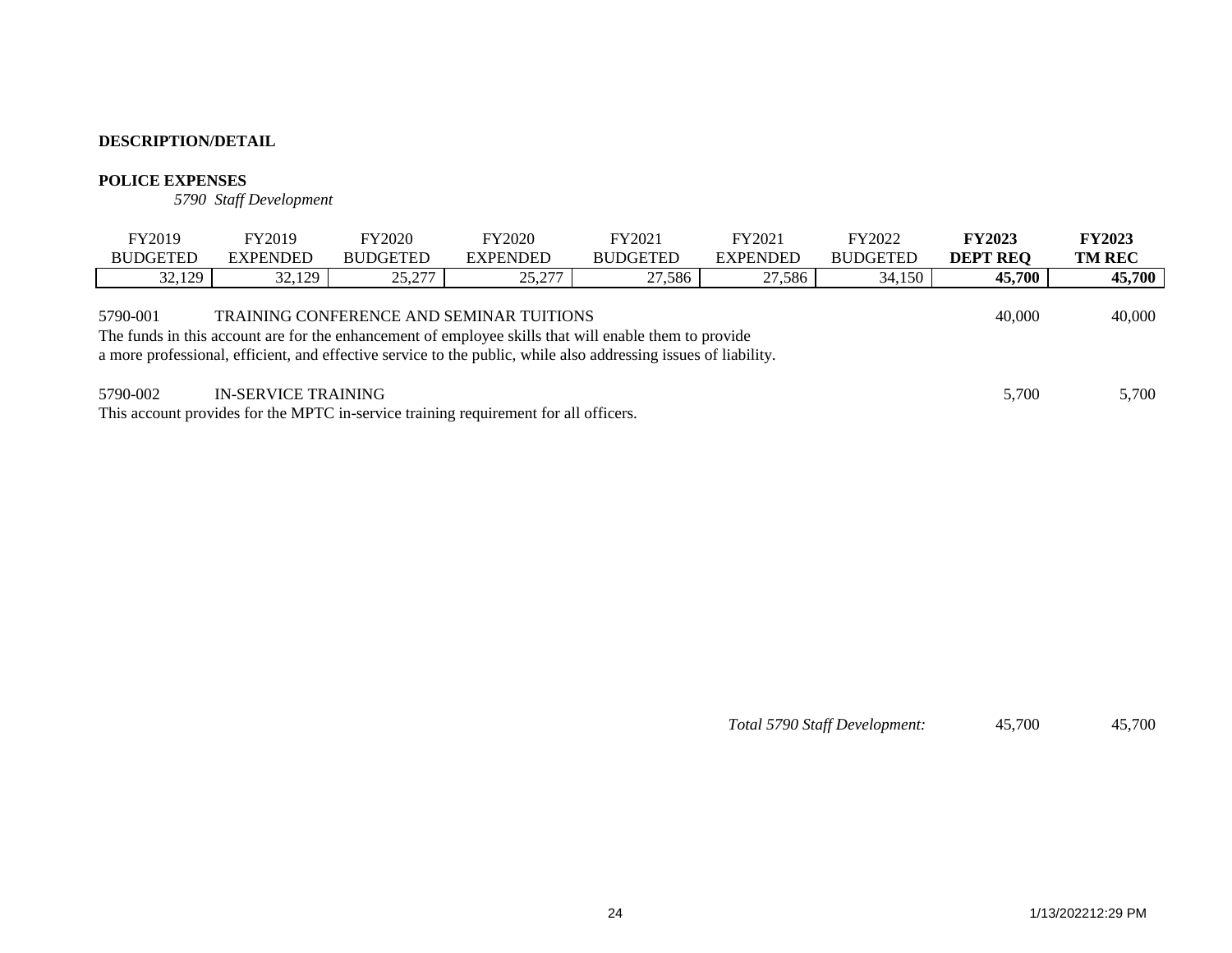#### **POLICE EXPENSES**

*5790 Staff Development*

| FY2019                                                                                                                                                                                                                                                                                            | FY2019          | <b>FY2020</b>   | <b>FY2020</b>   | FY2021          | FY2021          | FY2022          | <b>FY2023</b>   | <b>FY2023</b> |  |
|---------------------------------------------------------------------------------------------------------------------------------------------------------------------------------------------------------------------------------------------------------------------------------------------------|-----------------|-----------------|-----------------|-----------------|-----------------|-----------------|-----------------|---------------|--|
| <b>BUDGETED</b>                                                                                                                                                                                                                                                                                   | <b>EXPENDED</b> | <b>BUDGETED</b> | <b>EXPENDED</b> | <b>BUDGETED</b> | <b>EXPENDED</b> | <b>BUDGETED</b> | <b>DEPT REQ</b> | <b>TM REC</b> |  |
| 32,129                                                                                                                                                                                                                                                                                            | 32,129          | 25,277          | 25,277          | 27,586          | 27,586          | 34,150          | 45,700          | 45,700        |  |
| 40,000<br><b>TRAINING CONFERENCE AND SEMINAR TUITIONS</b><br>5790-001<br>The funds in this account are for the enhancement of employee skills that will enable them to provide<br>a more professional, efficient, and effective service to the public, while also addressing issues of liability. |                 |                 |                 |                 |                 |                 |                 |               |  |
| <b>IN-SERVICE TRAINING</b><br>5790-002<br>This account provides for the MPTC in-service training requirement for all officers.                                                                                                                                                                    |                 |                 |                 |                 |                 |                 |                 | 5,700         |  |

*Total 5790 Staff Development:* 45,700 45,700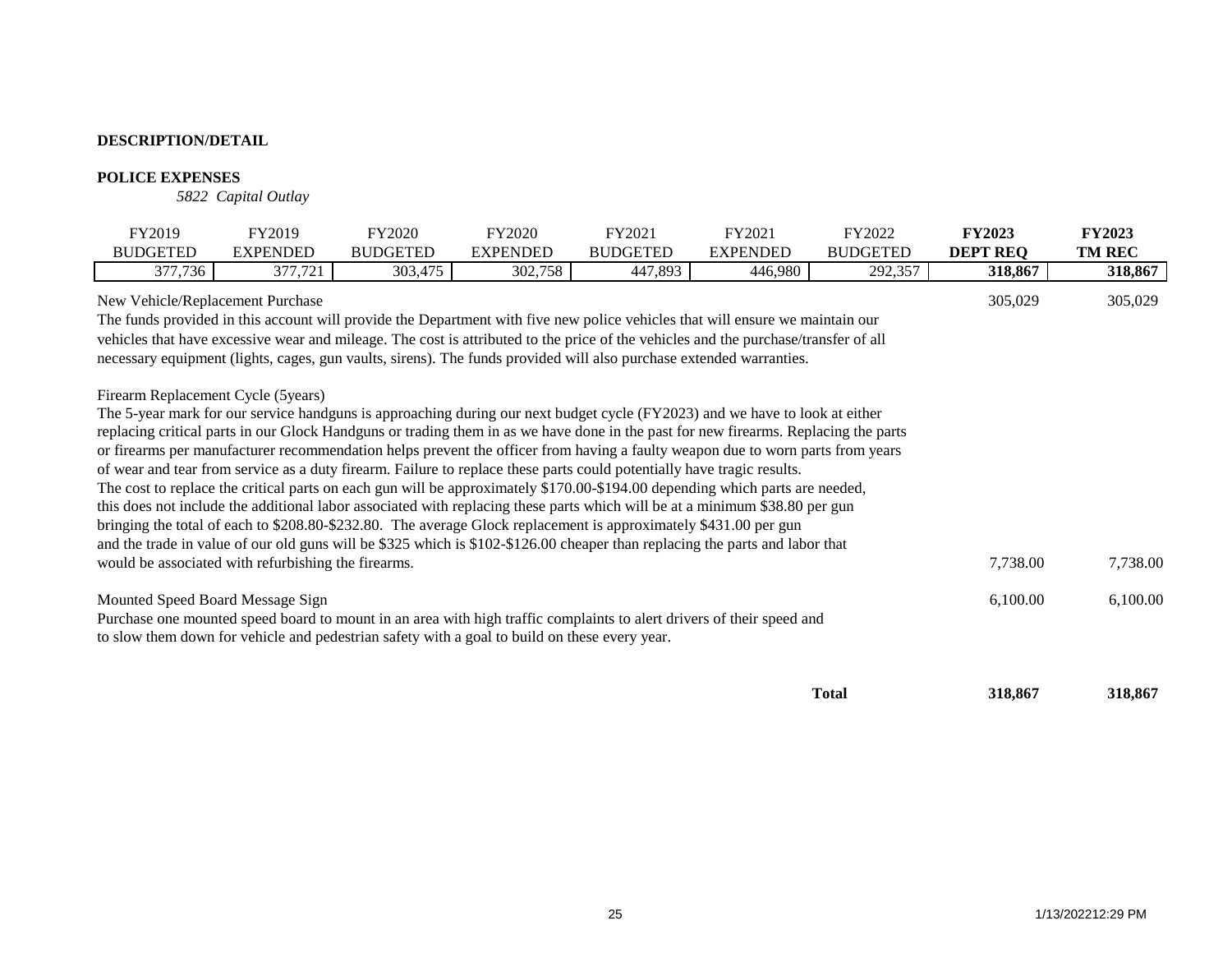#### **POLICE EXPENSES**

*5822 Capital Outlay*

| FY2019                                                                                                                                                                                                                                                     | FY2019          | FY2020                                                                                                                                                                                                                                                                                                                                                                                                                                                                                                                                                                                                                                                                                                                                                                                                                                                                                                                                                                                                                                            | FY2020          | FY2021          | FY2021          | FY2022          | <b>FY2023</b>   | <b>FY2023</b> |
|------------------------------------------------------------------------------------------------------------------------------------------------------------------------------------------------------------------------------------------------------------|-----------------|---------------------------------------------------------------------------------------------------------------------------------------------------------------------------------------------------------------------------------------------------------------------------------------------------------------------------------------------------------------------------------------------------------------------------------------------------------------------------------------------------------------------------------------------------------------------------------------------------------------------------------------------------------------------------------------------------------------------------------------------------------------------------------------------------------------------------------------------------------------------------------------------------------------------------------------------------------------------------------------------------------------------------------------------------|-----------------|-----------------|-----------------|-----------------|-----------------|---------------|
| <b>BUDGETED</b>                                                                                                                                                                                                                                            | <b>EXPENDED</b> | <b>BUDGETED</b>                                                                                                                                                                                                                                                                                                                                                                                                                                                                                                                                                                                                                                                                                                                                                                                                                                                                                                                                                                                                                                   | <b>EXPENDED</b> | <b>BUDGETED</b> | <b>EXPENDED</b> | <b>BUDGETED</b> | <b>DEPT REQ</b> | <b>TM REC</b> |
| 377,736                                                                                                                                                                                                                                                    | 377,721         | 303,475                                                                                                                                                                                                                                                                                                                                                                                                                                                                                                                                                                                                                                                                                                                                                                                                                                                                                                                                                                                                                                           | 302,758         | 447,893         | 446,980         | 292,357         | 318,867         | 318,867       |
| New Vehicle/Replacement Purchase                                                                                                                                                                                                                           |                 | The funds provided in this account will provide the Department with five new police vehicles that will ensure we maintain our<br>vehicles that have excessive wear and mileage. The cost is attributed to the price of the vehicles and the purchase/transfer of all<br>necessary equipment (lights, cages, gun vaults, sirens). The funds provided will also purchase extended warranties.                                                                                                                                                                                                                                                                                                                                                                                                                                                                                                                                                                                                                                                       |                 |                 |                 |                 | 305,029         | 305,029       |
| Firearm Replacement Cycle (5years)                                                                                                                                                                                                                         |                 | The 5-year mark for our service handguns is approaching during our next budget cycle (FY2023) and we have to look at either<br>replacing critical parts in our Glock Handguns or trading them in as we have done in the past for new firearms. Replacing the parts<br>or firearms per manufacturer recommendation helps prevent the officer from having a faulty weapon due to worn parts from years<br>of wear and tear from service as a duty firearm. Failure to replace these parts could potentially have tragic results.<br>The cost to replace the critical parts on each gun will be approximately \$170.00-\$194.00 depending which parts are needed,<br>this does not include the additional labor associated with replacing these parts which will be at a minimum \$38.80 per gun<br>bringing the total of each to \$208.80-\$232.80. The average Glock replacement is approximately \$431.00 per gun<br>and the trade in value of our old guns will be \$325 which is \$102-\$126.00 cheaper than replacing the parts and labor that |                 |                 |                 |                 |                 |               |
| would be associated with refurbishing the firearms.                                                                                                                                                                                                        |                 |                                                                                                                                                                                                                                                                                                                                                                                                                                                                                                                                                                                                                                                                                                                                                                                                                                                                                                                                                                                                                                                   |                 |                 |                 |                 | 7,738.00        | 7,738.00      |
| Mounted Speed Board Message Sign<br>Purchase one mounted speed board to mount in an area with high traffic complaints to alert drivers of their speed and<br>to slow them down for vehicle and pedestrian safety with a goal to build on these every year. |                 |                                                                                                                                                                                                                                                                                                                                                                                                                                                                                                                                                                                                                                                                                                                                                                                                                                                                                                                                                                                                                                                   |                 |                 |                 |                 | 6,100.00        | 6,100.00      |
|                                                                                                                                                                                                                                                            |                 |                                                                                                                                                                                                                                                                                                                                                                                                                                                                                                                                                                                                                                                                                                                                                                                                                                                                                                                                                                                                                                                   |                 |                 |                 | <b>Total</b>    | 318,867         | 318,867       |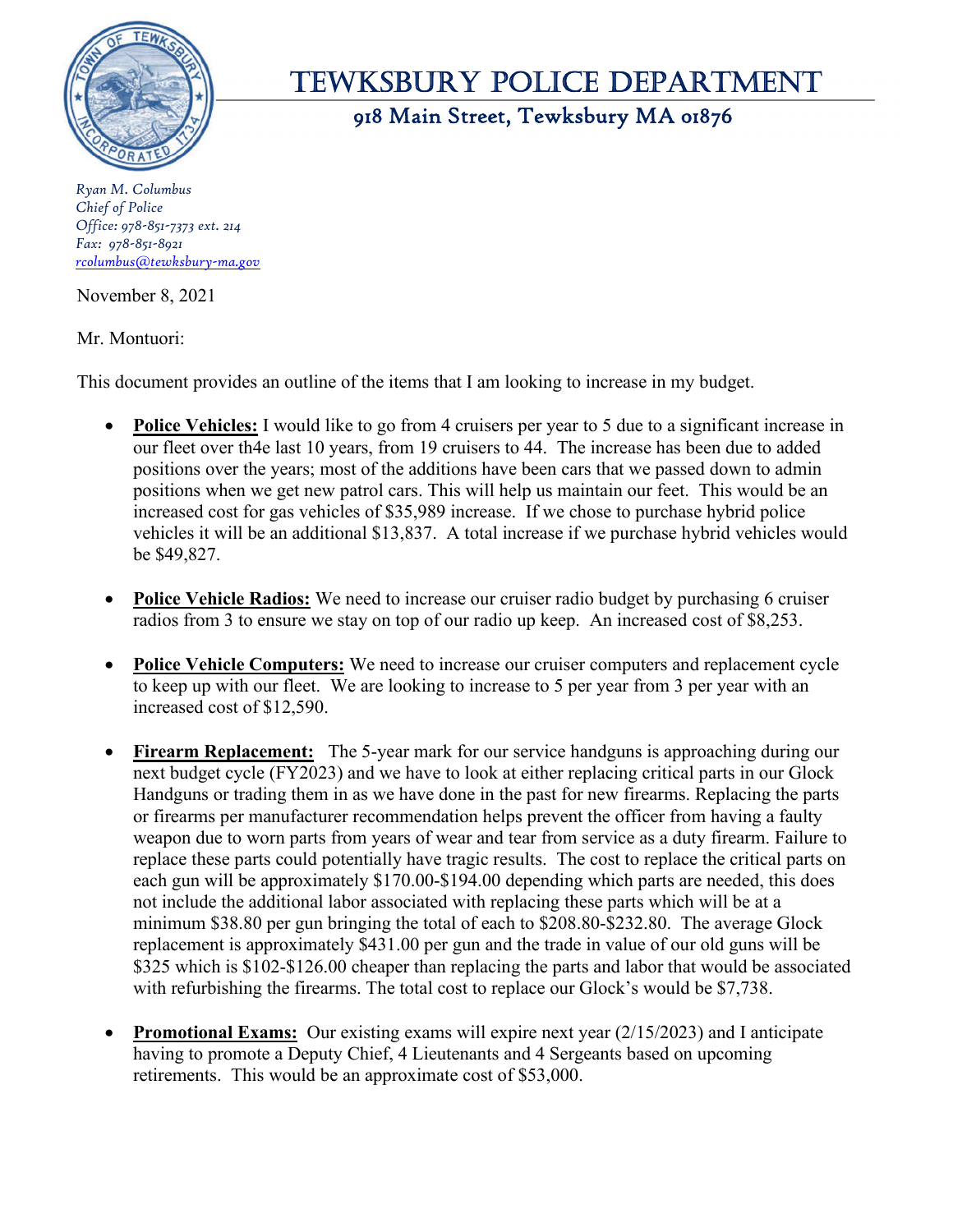

# Tewksbury Police DeParTmenT

918 Main Street, Tewksbury MA 01876

*Ryan M. Columbus Chief of Police Office: 978-851-7373 ext. 214 Fax: 978-851-8921 rcolumbus@tewksbury-ma.gov*

November 8, 2021

Mr. Montuori:

This document provides an outline of the items that I am looking to increase in my budget.

- **Police Vehicles:** I would like to go from 4 cruisers per year to 5 due to a significant increase in our fleet over th4e last 10 years, from 19 cruisers to 44. The increase has been due to added positions over the years; most of the additions have been cars that we passed down to admin positions when we get new patrol cars. This will help us maintain our feet. This would be an increased cost for gas vehicles of \$35,989 increase. If we chose to purchase hybrid police vehicles it will be an additional \$13,837. A total increase if we purchase hybrid vehicles would be \$49,827.
- **Police Vehicle Radios:** We need to increase our cruiser radio budget by purchasing 6 cruiser radios from 3 to ensure we stay on top of our radio up keep. An increased cost of \$8,253.
- **Police Vehicle Computers:** We need to increase our cruiser computers and replacement cycle to keep up with our fleet. We are looking to increase to 5 per year from 3 per year with an increased cost of \$12,590.
- **Firearm Replacement:** The 5-year mark for our service handguns is approaching during our next budget cycle (FY2023) and we have to look at either replacing critical parts in our Glock Handguns or trading them in as we have done in the past for new firearms. Replacing the parts or firearms per manufacturer recommendation helps prevent the officer from having a faulty weapon due to worn parts from years of wear and tear from service as a duty firearm. Failure to replace these parts could potentially have tragic results. The cost to replace the critical parts on each gun will be approximately \$170.00-\$194.00 depending which parts are needed, this does not include the additional labor associated with replacing these parts which will be at a minimum \$38.80 per gun bringing the total of each to \$208.80-\$232.80. The average Glock replacement is approximately \$431.00 per gun and the trade in value of our old guns will be \$325 which is \$102-\$126.00 cheaper than replacing the parts and labor that would be associated with refurbishing the firearms. The total cost to replace our Glock's would be \$7,738.
- **Promotional Exams:** Our existing exams will expire next year (2/15/2023) and I anticipate having to promote a Deputy Chief, 4 Lieutenants and 4 Sergeants based on upcoming retirements. This would be an approximate cost of \$53,000.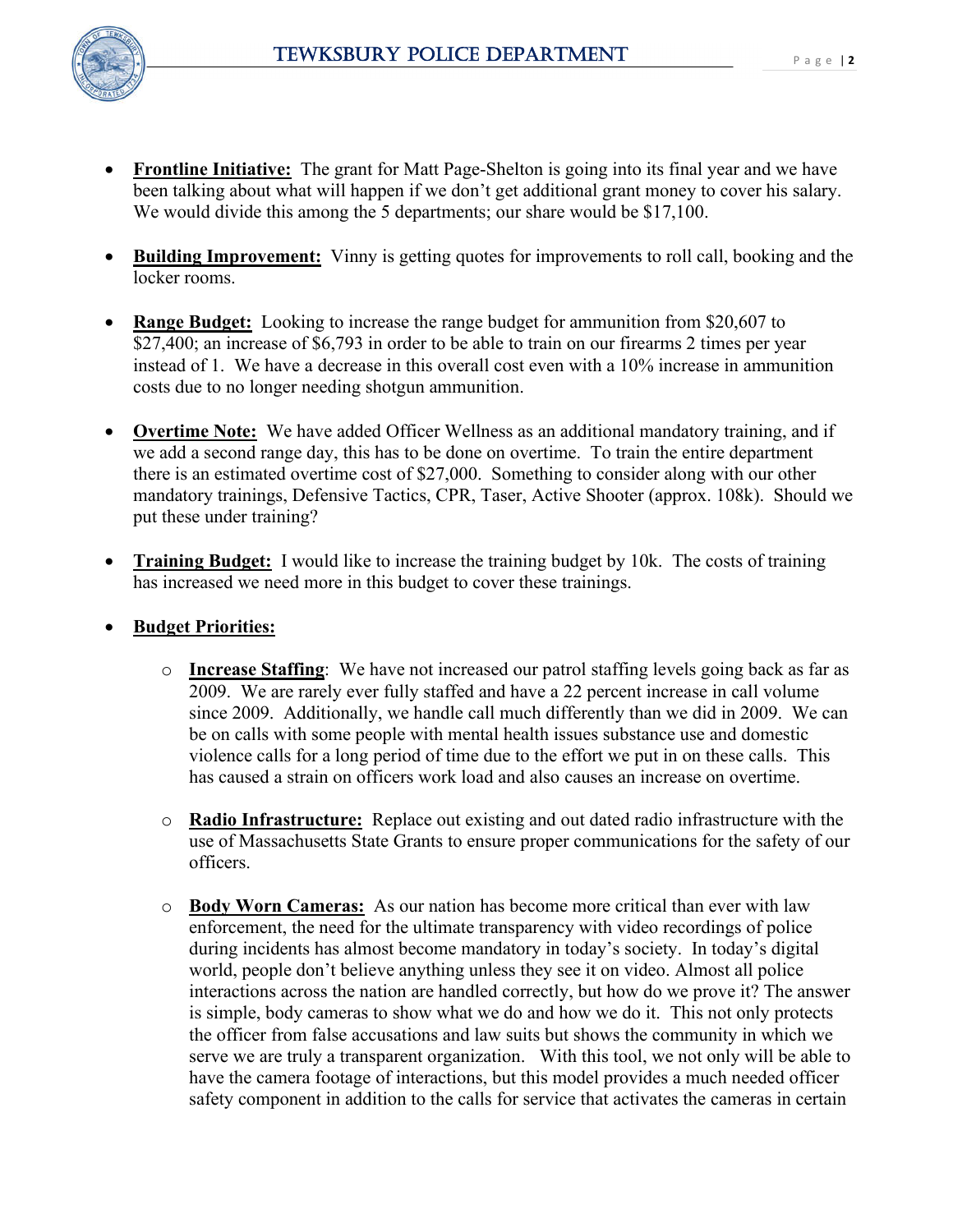

- 
- **Frontline Initiative:** The grant for Matt Page-Shelton is going into its final year and we have been talking about what will happen if we don't get additional grant money to cover his salary. We would divide this among the 5 departments; our share would be \$17,100.
- **Building Improvement:** Vinny is getting quotes for improvements to roll call, booking and the locker rooms.
- **Range Budget:** Looking to increase the range budget for ammunition from \$20,607 to \$27,400; an increase of \$6,793 in order to be able to train on our firearms 2 times per year instead of 1. We have a decrease in this overall cost even with a 10% increase in ammunition costs due to no longer needing shotgun ammunition.
- **Overtime Note:** We have added Officer Wellness as an additional mandatory training, and if we add a second range day, this has to be done on overtime. To train the entire department there is an estimated overtime cost of \$27,000. Something to consider along with our other mandatory trainings, Defensive Tactics, CPR, Taser, Active Shooter (approx. 108k). Should we put these under training?
- **Training Budget:** I would like to increase the training budget by 10k. The costs of training has increased we need more in this budget to cover these trainings.
- **Budget Priorities:**
	- o **Increase Staffing**: We have not increased our patrol staffing levels going back as far as 2009. We are rarely ever fully staffed and have a 22 percent increase in call volume since 2009. Additionally, we handle call much differently than we did in 2009. We can be on calls with some people with mental health issues substance use and domestic violence calls for a long period of time due to the effort we put in on these calls. This has caused a strain on officers work load and also causes an increase on overtime.
	- o **Radio Infrastructure:** Replace out existing and out dated radio infrastructure with the use of Massachusetts State Grants to ensure proper communications for the safety of our officers.
	- o **Body Worn Cameras:** As our nation has become more critical than ever with law enforcement, the need for the ultimate transparency with video recordings of police during incidents has almost become mandatory in today's society. In today's digital world, people don't believe anything unless they see it on video. Almost all police interactions across the nation are handled correctly, but how do we prove it? The answer is simple, body cameras to show what we do and how we do it. This not only protects the officer from false accusations and law suits but shows the community in which we serve we are truly a transparent organization. With this tool, we not only will be able to have the camera footage of interactions, but this model provides a much needed officer safety component in addition to the calls for service that activates the cameras in certain